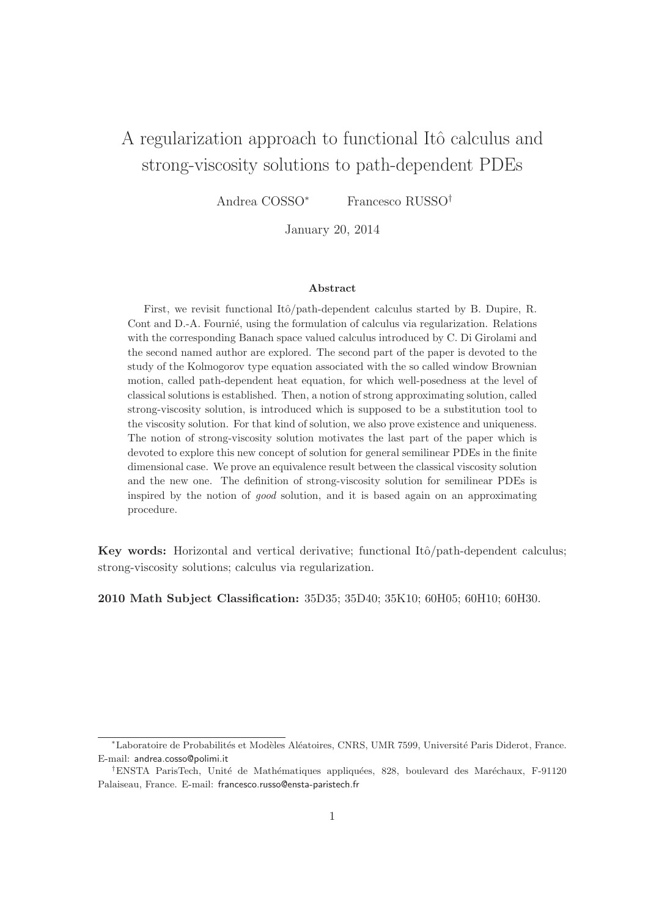# A regularization approach to functional Itô calculus and strong-viscosity solutions to path-dependent PDEs

Andrea COSSO<sup>∗</sup> Francesco RUSSO†

January 20, 2014

#### Abstract

First, we revisit functional Itô/path-dependent calculus started by B. Dupire, R. Cont and D.-A. Fournie, using the formulation of calculus via regularization. Relations with the corresponding Banach space valued calculus introduced by C. Di Girolami and the second named author are explored. The second part of the paper is devoted to the study of the Kolmogorov type equation associated with the so called window Brownian motion, called path-dependent heat equation, for which well-posedness at the level of classical solutions is established. Then, a notion of strong approximating solution, called strong-viscosity solution, is introduced which is supposed to be a substitution tool to the viscosity solution. For that kind of solution, we also prove existence and uniqueness. The notion of strong-viscosity solution motivates the last part of the paper which is devoted to explore this new concept of solution for general semilinear PDEs in the finite dimensional case. We prove an equivalence result between the classical viscosity solution and the new one. The definition of strong-viscosity solution for semilinear PDEs is inspired by the notion of good solution, and it is based again on an approximating procedure.

Key words: Horizontal and vertical derivative; functional Itô/path-dependent calculus; strong-viscosity solutions; calculus via regularization.

2010 Math Subject Classification: 35D35; 35D40; 35K10; 60H05; 60H10; 60H30.

<sup>\*</sup>Laboratoire de Probabilités et Modèles Aléatoires, CNRS, UMR 7599, Université Paris Diderot, France. E-mail: andrea.cosso@polimi.it

<sup>&</sup>lt;sup>†</sup>ENSTA ParisTech, Unité de Mathématiques appliquées, 828, boulevard des Maréchaux, F-91120 Palaiseau, France. E-mail: francesco.russo@ensta-paristech.fr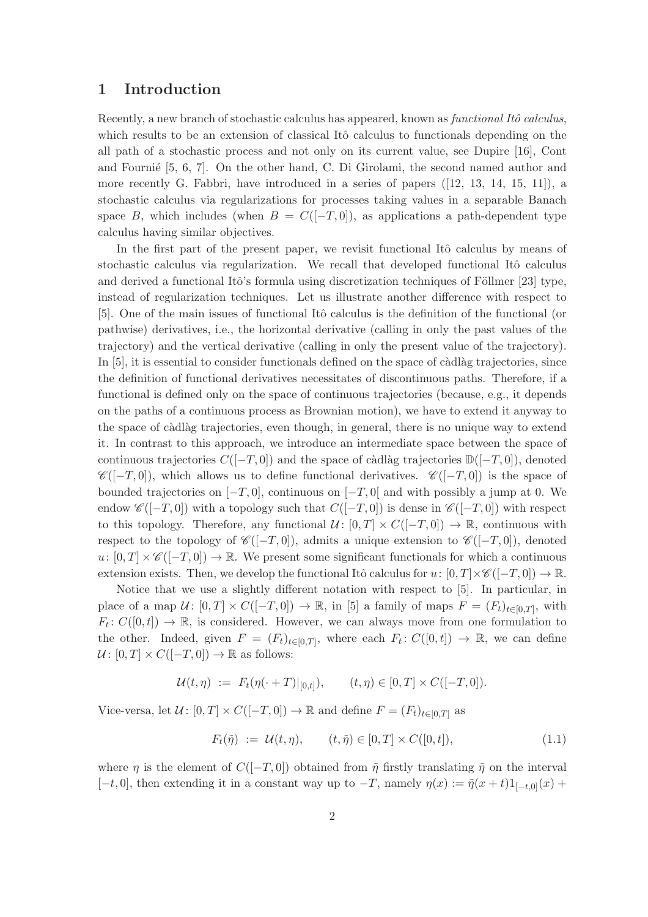# 1 Introduction

Recently, a new branch of stochastic calculus has appeared, known as *functional Itô calculus*, which results to be an extension of classical Itô calculus to functionals depending on the all path of a stochastic process and not only on its current value, see Dupire [16], Cont and Fournie  $[5, 6, 7]$ . On the other hand, C. Di Girolami, the second named author and more recently G. Fabbri, have introduced in a series of papers ([12, 13, 14, 15, 11]), a stochastic calculus via regularizations for processes taking values in a separable Banach space B, which includes (when  $B = C([-T, 0])$ , as applications a path-dependent type calculus having similar objectives.

In the first part of the present paper, we revisit functional Itô calculus by means of stochastic calculus via regularization. We recall that developed functional Itô calculus and derived a functional Itô's formula using discretization techniques of Föllmer [23] type, instead of regularization techniques. Let us illustrate another difference with respect to [5]. One of the main issues of functional Itô calculus is the definition of the functional (or pathwise) derivatives, i.e., the horizontal derivative (calling in only the past values of the trajectory) and the vertical derivative (calling in only the present value of the trajectory). In  $[5]$ , it is essential to consider functionals defined on the space of càdlàg trajectories, since the definition of functional derivatives necessitates of discontinuous paths. Therefore, if a functional is defined only on the space of continuous trajectories (because, e.g., it depends on the paths of a continuous process as Brownian motion), we have to extend it anyway to the space of càdlàg trajectories, even though, in general, there is no unique way to extend it. In contrast to this approach, we introduce an intermediate space between the space of continuous trajectories  $C([-T, 0])$  and the space of càdlàg trajectories  $\mathbb{D}([-T, 0])$ , denoted  $\mathscr{C}([-T,0])$ , which allows us to define functional derivatives.  $\mathscr{C}([-T,0])$  is the space of bounded trajectories on  $[-T, 0]$ , continuous on  $[-T, 0]$  and with possibly a jump at 0. We endow  $\mathscr{C}([-T,0])$  with a topology such that  $C([-T,0])$  is dense in  $\mathscr{C}([-T,0])$  with respect to this topology. Therefore, any functional  $U: [0, T] \times C([-T, 0]) \to \mathbb{R}$ , continuous with respect to the topology of  $\mathscr{C}([-T,0])$ , admits a unique extension to  $\mathscr{C}([-T,0])$ , denoted  $u: [0, T] \times \mathscr{C}([-T, 0]) \to \mathbb{R}$ . We present some significant functionals for which a continuous extension exists. Then, we develop the functional Itô calculus for  $u: [0, T] \times \mathcal{C}([-T, 0]) \to \mathbb{R}$ .

Notice that we use a slightly different notation with respect to [5]. In particular, in place of a map  $\mathcal{U} \colon [0,T] \times C([-T,0]) \to \mathbb{R}$ , in [5] a family of maps  $F = (F_t)_{t \in [0,T]}$ , with  $F_t: C([0,t]) \to \mathbb{R}$ , is considered. However, we can always move from one formulation to the other. Indeed, given  $F = (F_t)_{t \in [0,T]}$ , where each  $F_t: C([0,t]) \to \mathbb{R}$ , we can define  $U: [0, T] \times C([-T, 0]) \rightarrow \mathbb{R}$  as follows:

$$
\mathcal{U}(t,\eta) := F_t(\eta(\cdot+T)|_{[0,t]}), \qquad (t,\eta) \in [0,T] \times C([-T,0]).
$$

Vice-versa, let  $\mathcal{U}$ :  $[0, T] \times C([-T, 0]) \to \mathbb{R}$  and define  $F = (F_t)_{t \in [0, T]}$  as

$$
F_t(\tilde{\eta}) := \mathcal{U}(t, \eta), \qquad (t, \tilde{\eta}) \in [0, T] \times C([0, t]), \tag{1.1}
$$

where  $\eta$  is the element of  $C([-T, 0])$  obtained from  $\tilde{\eta}$  firstly translating  $\tilde{\eta}$  on the interval  $[-t, 0]$ , then extending it in a constant way up to  $-T$ , namely  $\eta(x) := \tilde{\eta}(x+t)1_{[-t,0]}(x) +$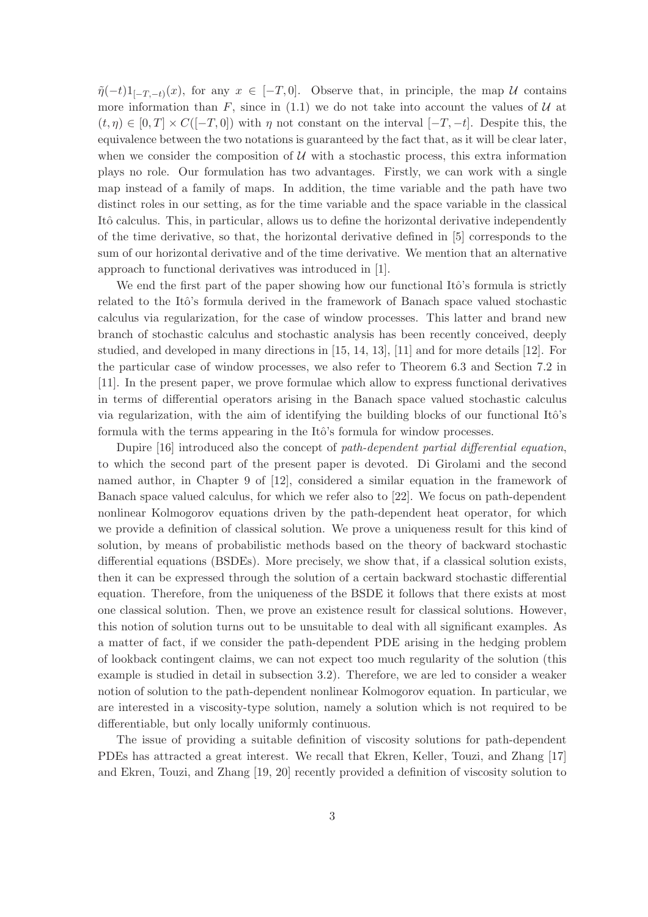$\tilde{\eta}(-t)1_{[-T,-t)}(x)$ , for any  $x \in [-T,0]$ . Observe that, in principle, the map  $\mathcal U$  contains more information than F, since in  $(1.1)$  we do not take into account the values of U at  $(t, \eta) \in [0, T] \times C([-T, 0])$  with  $\eta$  not constant on the interval  $[-T, -t]$ . Despite this, the equivalence between the two notations is guaranteed by the fact that, as it will be clear later, when we consider the composition of  $U$  with a stochastic process, this extra information plays no role. Our formulation has two advantages. Firstly, we can work with a single map instead of a family of maps. In addition, the time variable and the path have two distinct roles in our setting, as for the time variable and the space variable in the classical Itô calculus. This, in particular, allows us to define the horizontal derivative independently of the time derivative, so that, the horizontal derivative defined in [5] corresponds to the sum of our horizontal derivative and of the time derivative. We mention that an alternative approach to functional derivatives was introduced in [1].

We end the first part of the paper showing how our functional Itô's formula is strictly related to the Itô's formula derived in the framework of Banach space valued stochastic calculus via regularization, for the case of window processes. This latter and brand new branch of stochastic calculus and stochastic analysis has been recently conceived, deeply studied, and developed in many directions in [15, 14, 13], [11] and for more details [12]. For the particular case of window processes, we also refer to Theorem 6.3 and Section 7.2 in [11]. In the present paper, we prove formulae which allow to express functional derivatives in terms of differential operators arising in the Banach space valued stochastic calculus via regularization, with the aim of identifying the building blocks of our functional Itô's formula with the terms appearing in the Itô's formula for window processes.

Dupire [16] introduced also the concept of path-dependent partial differential equation, to which the second part of the present paper is devoted. Di Girolami and the second named author, in Chapter 9 of [12], considered a similar equation in the framework of Banach space valued calculus, for which we refer also to [22]. We focus on path-dependent nonlinear Kolmogorov equations driven by the path-dependent heat operator, for which we provide a definition of classical solution. We prove a uniqueness result for this kind of solution, by means of probabilistic methods based on the theory of backward stochastic differential equations (BSDEs). More precisely, we show that, if a classical solution exists, then it can be expressed through the solution of a certain backward stochastic differential equation. Therefore, from the uniqueness of the BSDE it follows that there exists at most one classical solution. Then, we prove an existence result for classical solutions. However, this notion of solution turns out to be unsuitable to deal with all significant examples. As a matter of fact, if we consider the path-dependent PDE arising in the hedging problem of lookback contingent claims, we can not expect too much regularity of the solution (this example is studied in detail in subsection 3.2). Therefore, we are led to consider a weaker notion of solution to the path-dependent nonlinear Kolmogorov equation. In particular, we are interested in a viscosity-type solution, namely a solution which is not required to be differentiable, but only locally uniformly continuous.

The issue of providing a suitable definition of viscosity solutions for path-dependent PDEs has attracted a great interest. We recall that Ekren, Keller, Touzi, and Zhang [17] and Ekren, Touzi, and Zhang [19, 20] recently provided a definition of viscosity solution to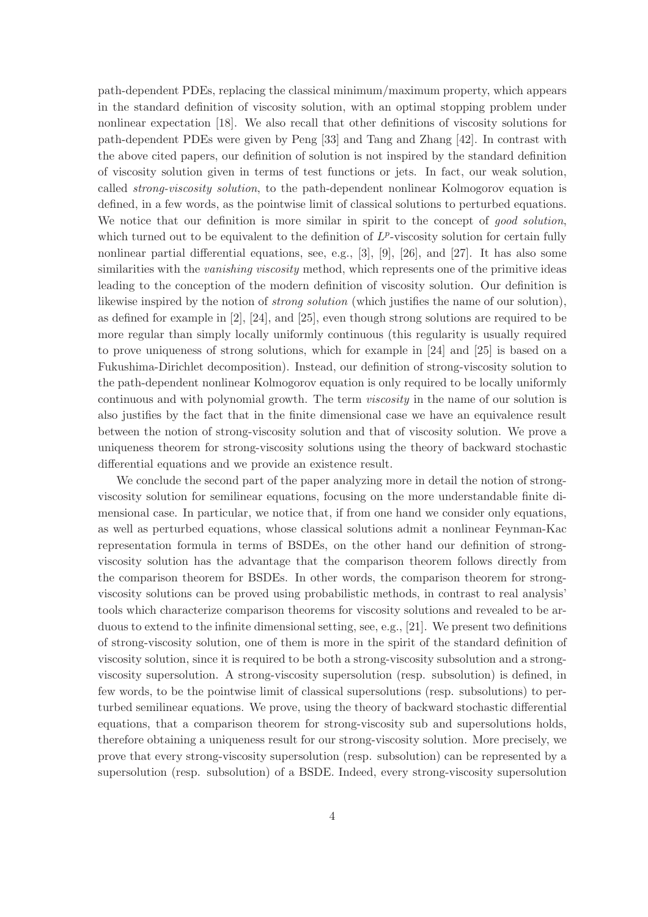path-dependent PDEs, replacing the classical minimum/maximum property, which appears in the standard definition of viscosity solution, with an optimal stopping problem under nonlinear expectation [18]. We also recall that other definitions of viscosity solutions for path-dependent PDEs were given by Peng [33] and Tang and Zhang [42]. In contrast with the above cited papers, our definition of solution is not inspired by the standard definition of viscosity solution given in terms of test functions or jets. In fact, our weak solution, called strong-viscosity solution, to the path-dependent nonlinear Kolmogorov equation is defined, in a few words, as the pointwise limit of classical solutions to perturbed equations. We notice that our definition is more similar in spirit to the concept of good solution, which turned out to be equivalent to the definition of  $L^p$ -viscosity solution for certain fully nonlinear partial differential equations, see, e.g., [3], [9], [26], and [27]. It has also some similarities with the *vanishing viscosity* method, which represents one of the primitive ideas leading to the conception of the modern definition of viscosity solution. Our definition is likewise inspired by the notion of *strong solution* (which justifies the name of our solution), as defined for example in [2], [24], and [25], even though strong solutions are required to be more regular than simply locally uniformly continuous (this regularity is usually required to prove uniqueness of strong solutions, which for example in [24] and [25] is based on a Fukushima-Dirichlet decomposition). Instead, our definition of strong-viscosity solution to the path-dependent nonlinear Kolmogorov equation is only required to be locally uniformly continuous and with polynomial growth. The term viscosity in the name of our solution is also justifies by the fact that in the finite dimensional case we have an equivalence result between the notion of strong-viscosity solution and that of viscosity solution. We prove a uniqueness theorem for strong-viscosity solutions using the theory of backward stochastic differential equations and we provide an existence result.

We conclude the second part of the paper analyzing more in detail the notion of strongviscosity solution for semilinear equations, focusing on the more understandable finite dimensional case. In particular, we notice that, if from one hand we consider only equations, as well as perturbed equations, whose classical solutions admit a nonlinear Feynman-Kac representation formula in terms of BSDEs, on the other hand our definition of strongviscosity solution has the advantage that the comparison theorem follows directly from the comparison theorem for BSDEs. In other words, the comparison theorem for strongviscosity solutions can be proved using probabilistic methods, in contrast to real analysis' tools which characterize comparison theorems for viscosity solutions and revealed to be arduous to extend to the infinite dimensional setting, see, e.g., [21]. We present two definitions of strong-viscosity solution, one of them is more in the spirit of the standard definition of viscosity solution, since it is required to be both a strong-viscosity subsolution and a strongviscosity supersolution. A strong-viscosity supersolution (resp. subsolution) is defined, in few words, to be the pointwise limit of classical supersolutions (resp. subsolutions) to perturbed semilinear equations. We prove, using the theory of backward stochastic differential equations, that a comparison theorem for strong-viscosity sub and supersolutions holds, therefore obtaining a uniqueness result for our strong-viscosity solution. More precisely, we prove that every strong-viscosity supersolution (resp. subsolution) can be represented by a supersolution (resp. subsolution) of a BSDE. Indeed, every strong-viscosity supersolution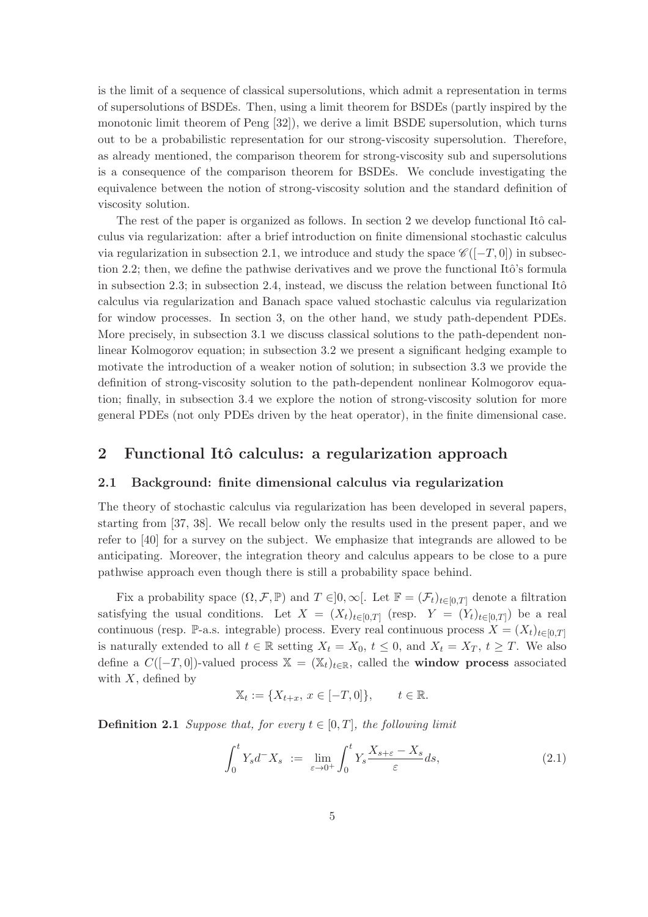is the limit of a sequence of classical supersolutions, which admit a representation in terms of supersolutions of BSDEs. Then, using a limit theorem for BSDEs (partly inspired by the monotonic limit theorem of Peng [32]), we derive a limit BSDE supersolution, which turns out to be a probabilistic representation for our strong-viscosity supersolution. Therefore, as already mentioned, the comparison theorem for strong-viscosity sub and supersolutions is a consequence of the comparison theorem for BSDEs. We conclude investigating the equivalence between the notion of strong-viscosity solution and the standard definition of viscosity solution.

The rest of the paper is organized as follows. In section 2 we develop functional Itô calculus via regularization: after a brief introduction on finite dimensional stochastic calculus via regularization in subsection 2.1, we introduce and study the space  $\mathscr{C}([-T,0])$  in subsection 2.2; then, we define the pathwise derivatives and we prove the functional Itô's formula in subsection 2.3; in subsection 2.4, instead, we discuss the relation between functional Itô calculus via regularization and Banach space valued stochastic calculus via regularization for window processes. In section 3, on the other hand, we study path-dependent PDEs. More precisely, in subsection 3.1 we discuss classical solutions to the path-dependent nonlinear Kolmogorov equation; in subsection 3.2 we present a significant hedging example to motivate the introduction of a weaker notion of solution; in subsection 3.3 we provide the definition of strong-viscosity solution to the path-dependent nonlinear Kolmogorov equation; finally, in subsection 3.4 we explore the notion of strong-viscosity solution for more general PDEs (not only PDEs driven by the heat operator), in the finite dimensional case.

# 2 Functional Itô calculus: a regularization approach

# 2.1 Background: finite dimensional calculus via regularization

The theory of stochastic calculus via regularization has been developed in several papers, starting from [37, 38]. We recall below only the results used in the present paper, and we refer to [40] for a survey on the subject. We emphasize that integrands are allowed to be anticipating. Moreover, the integration theory and calculus appears to be close to a pure pathwise approach even though there is still a probability space behind.

Fix a probability space  $(\Omega, \mathcal{F}, \mathbb{P})$  and  $T \in ]0, \infty[$ . Let  $\mathbb{F} = (\mathcal{F}_t)_{t \in [0,T]}$  denote a filtration satisfying the usual conditions. Let  $X = (X_t)_{t \in [0,T]}$  (resp.  $Y = (Y_t)_{t \in [0,T]}$ ) be a real continuous (resp. P-a.s. integrable) process. Every real continuous process  $X = (X_t)_{t \in [0,T]}$ is naturally extended to all  $t \in \mathbb{R}$  setting  $X_t = X_0$ ,  $t \leq 0$ , and  $X_t = X_T$ ,  $t \geq T$ . We also define a  $C([-T, 0])$ -valued process  $\mathbb{X} = (\mathbb{X}_t)_{t \in \mathbb{R}}$ , called the **window process** associated with  $X$ , defined by

$$
\mathbb{X}_t := \{ X_{t+x}, \, x \in [-T, 0] \}, \qquad t \in \mathbb{R}.
$$

**Definition 2.1** Suppose that, for every  $t \in [0, T]$ , the following limit

$$
\int_0^t Y_s d^- X_s \ := \ \lim_{\varepsilon \to 0^+} \int_0^t Y_s \frac{X_{s+\varepsilon} - X_s}{\varepsilon} ds,\tag{2.1}
$$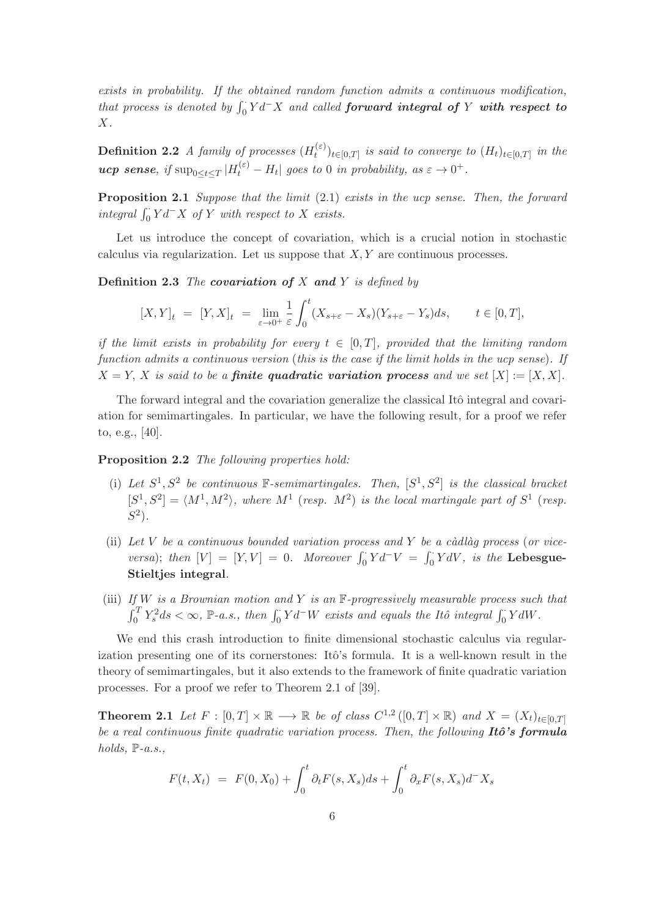exists in probability. If the obtained random function admits a continuous modification, that process is denoted by  $\int_0^{\cdot} Y d^{\top} X$  and called **forward integral of** Y with respect to X.

**Definition 2.2** A family of processes  $(H_t^{(\varepsilon)})$  $(t^{(ε)})_{t \in [0,T]}$  is said to converge to  $(H_t)_{t \in [0,T]}$  in the **ucp sense**, if  $\sup_{0 \le t \le T} |H_t^{(\varepsilon)} - H_t|$  goes to 0 in probability, as  $\varepsilon \to 0^+$ .

**Proposition 2.1** Suppose that the limit  $(2.1)$  exists in the ucp sense. Then, the forward integral  $\int_0^{\cdot} Y d^- X$  of Y with respect to X exists.

Let us introduce the concept of covariation, which is a crucial notion in stochastic calculus via regularization. Let us suppose that  $X, Y$  are continuous processes.

**Definition 2.3** The covariation of X and Y is defined by

$$
[X,Y]_t = [Y,X]_t = \lim_{\varepsilon \to 0^+} \frac{1}{\varepsilon} \int_0^t (X_{s+\varepsilon} - X_s)(Y_{s+\varepsilon} - Y_s) ds, \qquad t \in [0,T],
$$

if the limit exists in probability for every  $t \in [0,T]$ , provided that the limiting random function admits a continuous version (this is the case if the limit holds in the ucp sense). If  $X = Y$ , X is said to be a **finite quadratic variation process** and we set  $[X] := [X, X]$ .

The forward integral and the covariation generalize the classical Itô integral and covariation for semimartingales. In particular, we have the following result, for a proof we refer to, e.g., [40].

Proposition 2.2 The following properties hold:

- (i) Let  $S^1, S^2$  be continuous F-semimartingales. Then,  $[S^1, S^2]$  is the classical bracket  $[S^1, S^2] = \langle M^1, M^2 \rangle$ , where  $M^1$  (resp.  $M^2$ ) is the local martingale part of  $S^1$  (resp.  $S^2$ ).
- (ii) Let V be a continuous bounded variation process and Y be a càdlàg process (or viceversa); then  $[V] = [Y, V] = 0$ . Moreover  $\int_0^{\cdot} Y d^{-} V = \int_0^{\cdot} Y dV$ , is the Lebesgue-Stieltjes integral.
- (iii) If W is a Brownian motion and Y is an  $\mathbb{F}$ -progressively measurable process such that  $\int_0^T Y_s^2 ds < \infty$ , P-a.s., then  $\int_0^{\cdot} Y d^W$  exists and equals the Itô integral  $\int_0^{\cdot} Y dW$ .

We end this crash introduction to finite dimensional stochastic calculus via regularization presenting one of its cornerstones: Itô's formula. It is a well-known result in the theory of semimartingales, but it also extends to the framework of finite quadratic variation processes. For a proof we refer to Theorem 2.1 of [39].

**Theorem 2.1** Let  $F : [0, T] \times \mathbb{R} \longrightarrow \mathbb{R}$  be of class  $C^{1,2}([0, T] \times \mathbb{R})$  and  $X = (X_t)_{t \in [0, T]}$ be a real continuous finite quadratic variation process. Then, the following  $It\hat{o}$ 's formula holds,  $\mathbb{P}\text{-}a.s.,$ 

$$
F(t, X_t) = F(0, X_0) + \int_0^t \partial_t F(s, X_s) ds + \int_0^t \partial_x F(s, X_s) d^- X_s
$$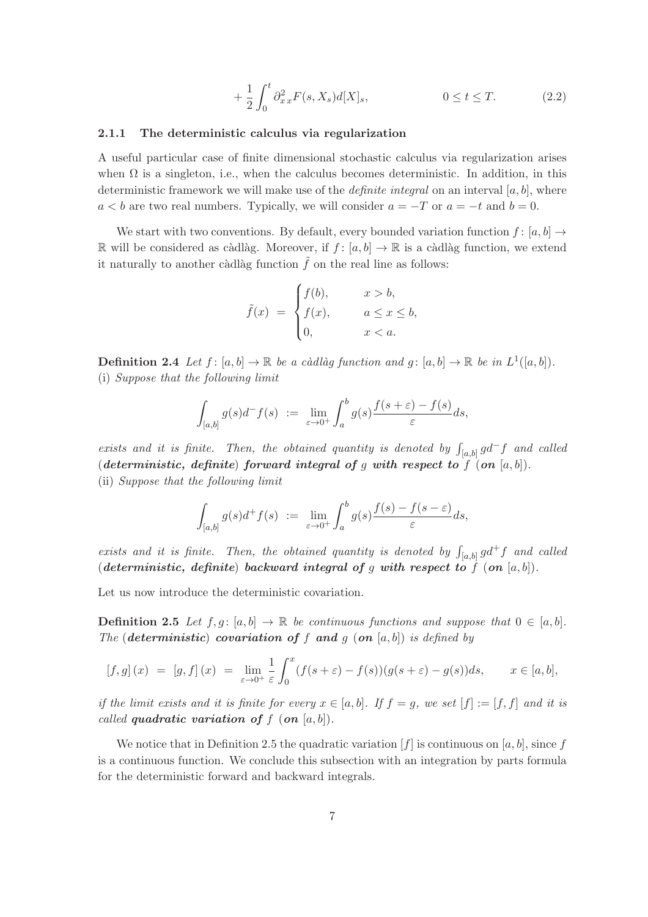$$
+\frac{1}{2} \int_0^t \partial_{xx}^2 F(s, X_s) d[X]_s, \qquad 0 \le t \le T. \tag{2.2}
$$

#### 2.1.1 The deterministic calculus via regularization

A useful particular case of finite dimensional stochastic calculus via regularization arises when  $\Omega$  is a singleton, i.e., when the calculus becomes deterministic. In addition, in this deterministic framework we will make use of the *definite integral* on an interval  $[a, b]$ , where  $a < b$  are two real numbers. Typically, we will consider  $a = -T$  or  $a = -t$  and  $b = 0$ .

We start with two conventions. By default, every bounded variation function  $f : [a, b] \rightarrow$ R will be considered as càdlàg. Moreover, if  $f : [a, b] \to \mathbb{R}$  is a càdlàg function, we extend it naturally to another càdlàg function  $\tilde{f}$  on the real line as follows:

$$
\tilde{f}(x) = \begin{cases}\nf(b), & x > b, \\
f(x), & a \le x \le b, \\
0, & x < a.\n\end{cases}
$$

**Definition 2.4** Let  $f: [a, b] \to \mathbb{R}$  be a càdlàg function and  $g: [a, b] \to \mathbb{R}$  be in  $L^1([a, b])$ . (i) Suppose that the following limit

$$
\int_{[a,b]} g(s)d^- f(s) \ := \ \lim_{\varepsilon \to 0^+} \int_a^b g(s) \frac{f(s+\varepsilon) - f(s)}{\varepsilon} ds,
$$

exists and it is finite. Then, the obtained quantity is denoted by  $\int_{[a,b]} g d^- f$  and called (deterministic, definite) forward integral of g with respect to f (on  $[a, b]$ ). (ii) Suppose that the following limit

$$
\int_{[a,b]} g(s)d^+f(s) := \lim_{\varepsilon \to 0^+} \int_a^b g(s) \frac{f(s) - f(s - \varepsilon)}{\varepsilon} ds,
$$

exists and it is finite. Then, the obtained quantity is denoted by  $\int_{[a,b]} g d^+ f$  and called (deterministic, definite) backward integral of g with respect to f (on  $[a, b]$ ).

Let us now introduce the deterministic covariation.

**Definition 2.5** Let  $f, g: [a, b] \to \mathbb{R}$  be continuous functions and suppose that  $0 \in [a, b]$ . The (deterministic) covariation of f and g (on  $[a, b]$ ) is defined by

$$
[f,g](x) = [g,f](x) = \lim_{\varepsilon \to 0^+} \frac{1}{\varepsilon} \int_0^x (f(s+\varepsilon) - f(s))(g(s+\varepsilon) - g(s))ds, \qquad x \in [a,b],
$$

if the limit exists and it is finite for every  $x \in [a, b]$ . If  $f = g$ , we set  $[f] := [f, f]$  and it is called **quadratic variation of**  $f$  (on  $[a, b]$ ).

We notice that in Definition 2.5 the quadratic variation  $[f]$  is continuous on  $[a, b]$ , since f is a continuous function. We conclude this subsection with an integration by parts formula for the deterministic forward and backward integrals.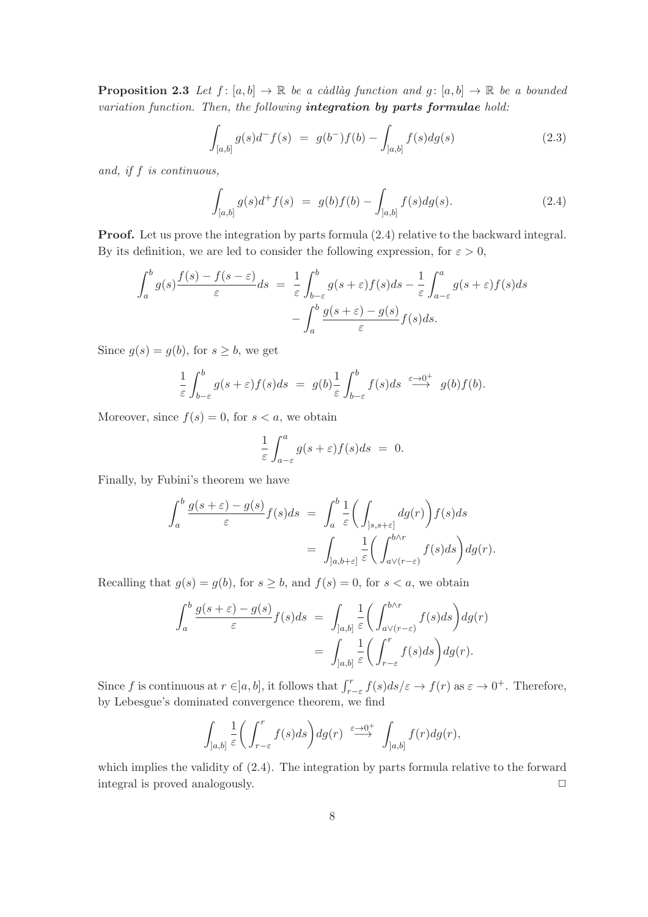**Proposition 2.3** Let  $f : [a, b] \to \mathbb{R}$  be a càdlàg function and  $g : [a, b] \to \mathbb{R}$  be a bounded variation function. Then, the following integration by parts formulae hold:

$$
\int_{[a,b]} g(s)d^- f(s) = g(b^-)f(b) - \int_{[a,b]} f(s)dg(s)
$$
\n(2.3)

and, if f is continuous,

$$
\int_{[a,b]} g(s)d^+f(s) = g(b)f(b) - \int_{[a,b]} f(s)dg(s).
$$
\n(2.4)

Proof. Let us prove the integration by parts formula (2.4) relative to the backward integral. By its definition, we are led to consider the following expression, for  $\varepsilon > 0$ ,

$$
\int_{a}^{b} g(s) \frac{f(s) - f(s - \varepsilon)}{\varepsilon} ds = \frac{1}{\varepsilon} \int_{b-\varepsilon}^{b} g(s + \varepsilon) f(s) ds - \frac{1}{\varepsilon} \int_{a-\varepsilon}^{a} g(s + \varepsilon) f(s) ds \n- \int_{a}^{b} \frac{g(s + \varepsilon) - g(s)}{\varepsilon} f(s) ds.
$$

Since  $g(s) = g(b)$ , for  $s \geq b$ , we get

$$
\frac{1}{\varepsilon} \int_{b-\varepsilon}^{b} g(s+\varepsilon) f(s) ds = g(b) \frac{1}{\varepsilon} \int_{b-\varepsilon}^{b} f(s) ds \stackrel{\varepsilon \to 0^{+}}{\longrightarrow} g(b) f(b).
$$

Moreover, since  $f(s) = 0$ , for  $s < a$ , we obtain

$$
\frac{1}{\varepsilon} \int_{a-\varepsilon}^{a} g(s+\varepsilon) f(s) ds = 0.
$$

Finally, by Fubini's theorem we have

$$
\int_{a}^{b} \frac{g(s+\varepsilon)-g(s)}{\varepsilon} f(s)ds = \int_{a}^{b} \frac{1}{\varepsilon} \left( \int_{]s,s+\varepsilon]} dg(r) \right) f(s)ds
$$

$$
= \int_{]a,b+\varepsilon]} \frac{1}{\varepsilon} \left( \int_{a\vee(r-\varepsilon)}^{b\wedge r} f(s)ds \right) dg(r).
$$

Recalling that  $g(s) = g(b)$ , for  $s \ge b$ , and  $f(s) = 0$ , for  $s < a$ , we obtain

$$
\int_{a}^{b} \frac{g(s+\varepsilon) - g(s)}{\varepsilon} f(s) ds = \int_{]a,b]} \frac{1}{\varepsilon} \left( \int_{a\vee(r-\varepsilon)}^{b\wedge r} f(s) ds \right) dg(r)
$$

$$
= \int_{]a,b]} \frac{1}{\varepsilon} \left( \int_{r-\varepsilon}^{r} f(s) ds \right) dg(r).
$$

Since f is continuous at  $r \in ]a, b]$ , it follows that  $\int_{r-\varepsilon}^r f(s)ds/\varepsilon \to f(r)$  as  $\varepsilon \to 0^+$ . Therefore, by Lebesgue's dominated convergence theorem, we find

$$
\int_{]a,b]} \frac{1}{\varepsilon} \bigg( \int_{r-\varepsilon}^r f(s) ds \bigg) dg(r) \stackrel{\varepsilon \to 0^+}{\longrightarrow} \int_{]a,b]} f(r) dg(r),
$$

which implies the validity of (2.4). The integration by parts formula relative to the forward integral is proved analogously.  $\Box$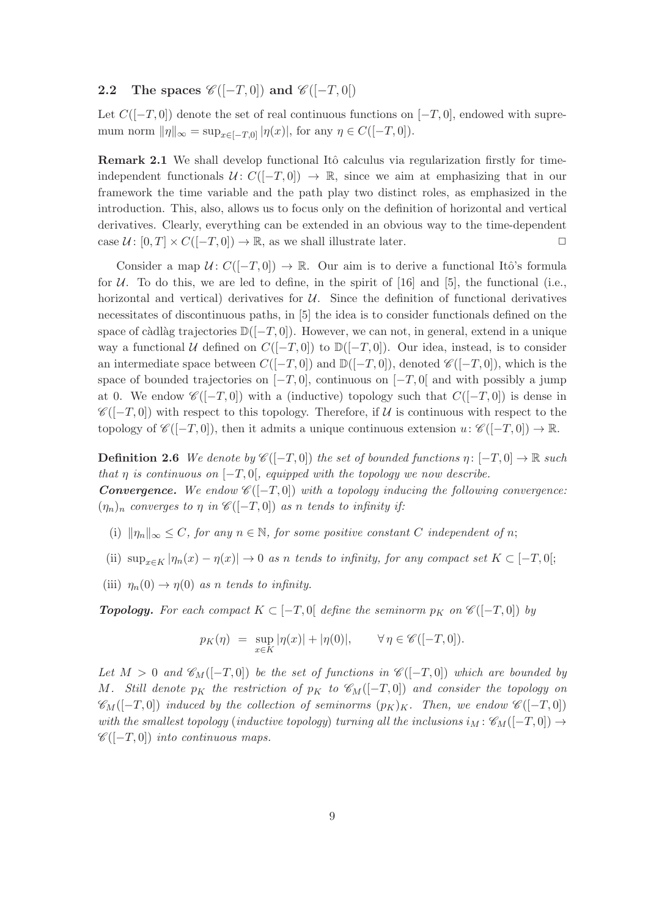# 2.2 The spaces  $\mathscr{C}([-T,0])$  and  $\mathscr{C}([-T,0])$

Let  $C([-T, 0])$  denote the set of real continuous functions on  $[-T, 0]$ , endowed with supremum norm  $\|\eta\|_{\infty} = \sup_{x \in [-T,0]} |\eta(x)|$ , for any  $\eta \in C([-T,0])$ .

Remark 2.1 We shall develop functional Itô calculus via regularization firstly for timeindependent functionals  $U: C([-T, 0]) \to \mathbb{R}$ , since we aim at emphasizing that in our framework the time variable and the path play two distinct roles, as emphasized in the introduction. This, also, allows us to focus only on the definition of horizontal and vertical derivatives. Clearly, everything can be extended in an obvious way to the time-dependent case  $\mathcal{U} \colon [0, T] \times C([-T, 0]) \to \mathbb{R}$ , as we shall illustrate later.

Consider a map  $U: C([-T, 0]) \to \mathbb{R}$ . Our aim is to derive a functional Itô's formula for  $U$ . To do this, we are led to define, in the spirit of [16] and [5], the functional (i.e., horizontal and vertical) derivatives for  $U$ . Since the definition of functional derivatives necessitates of discontinuous paths, in [5] the idea is to consider functionals defined on the space of càdlàg trajectories  $\mathbb{D}([-T, 0])$ . However, we can not, in general, extend in a unique way a functional U defined on  $C([-T,0])$  to  $\mathbb{D}([-T,0])$ . Our idea, instead, is to consider an intermediate space between  $C([-T,0])$  and  $\mathbb{D}([-T,0])$ , denoted  $\mathscr{C}([-T,0])$ , which is the space of bounded trajectories on  $[-T, 0]$ , continuous on  $[-T, 0]$  and with possibly a jump at 0. We endow  $\mathscr{C}([-T,0])$  with a (inductive) topology such that  $C([-T,0])$  is dense in  $\mathscr{C}([-T,0])$  with respect to this topology. Therefore, if U is continuous with respect to the topology of  $\mathscr{C}([-T,0])$ , then it admits a unique continuous extension  $u: \mathscr{C}([-T,0]) \to \mathbb{R}$ .

**Definition 2.6** We denote by  $\mathscr{C}([-T,0])$  the set of bounded functions  $\eta: [-T,0] \to \mathbb{R}$  such that  $\eta$  is continuous on  $[-T, 0]$ , equipped with the topology we now describe. **Convergence.** We endow  $\mathscr{C}([-T,0])$  with a topology inducing the following convergence:  $(\eta_n)_n$  converges to  $\eta$  in  $\mathscr{C}([-T,0])$  as n tends to infinity if:

- (i)  $\|\eta_n\|_{\infty} \leq C$ , for any  $n \in \mathbb{N}$ , for some positive constant C independent of n;
- (ii)  $\sup_{x\in K} |\eta_n(x) \eta(x)| \to 0$  as n tends to infinity, for any compact set  $K \subset [-T,0[$ ;
- (iii)  $\eta_n(0) \to \eta(0)$  as n tends to infinity.

**Topology.** For each compact  $K \subset [-T, 0]$  define the seminorm  $p_K$  on  $\mathscr{C}([-T, 0])$  by

$$
p_K(\eta) = \sup_{x \in K} |\eta(x)| + |\eta(0)|, \qquad \forall \eta \in \mathscr{C}([-T,0]).
$$

Let  $M > 0$  and  $\mathscr{C}_M([-T,0])$  be the set of functions in  $\mathscr{C}([-T,0])$  which are bounded by M. Still denote  $p_K$  the restriction of  $p_K$  to  $\mathscr{C}_M([-T,0])$  and consider the topology on  $\mathscr{C}_{M}([-T, 0])$  induced by the collection of seminorms  $(p_{K})_{K}$ . Then, we endow  $\mathscr{C}([-T, 0])$ with the smallest topology (inductive topology) turning all the inclusions  $i_M : \mathscr{C}_M([-T,0]) \rightarrow$  $\mathscr{C}([-T,0])$  into continuous maps.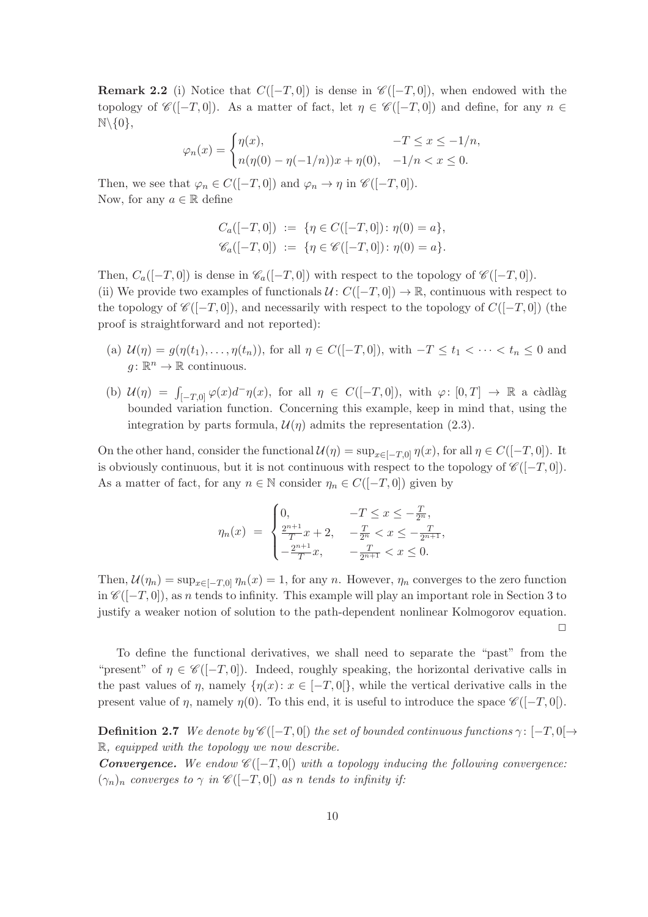**Remark 2.2** (i) Notice that  $C([-T, 0])$  is dense in  $\mathscr{C}([-T, 0])$ , when endowed with the topology of  $\mathscr{C}([-T,0])$ . As a matter of fact, let  $\eta \in \mathscr{C}([-T,0])$  and define, for any  $n \in$  $\mathbb{N}\backslash\{0\},\$ 

$$
\varphi_n(x) = \begin{cases} \eta(x), & -T \le x \le -1/n, \\ n(\eta(0) - \eta(-1/n))x + \eta(0), & -1/n < x \le 0. \end{cases}
$$

Then, we see that  $\varphi_n \in C([-T,0])$  and  $\varphi_n \to \eta$  in  $\mathscr{C}([-T,0])$ . Now, for any  $a \in \mathbb{R}$  define

$$
C_a([-T,0]) := \{\eta \in C([-T,0]) : \eta(0) = a\},\
$$
  

$$
\mathscr{C}_a([-T,0]) := \{\eta \in \mathscr{C}([-T,0]) : \eta(0) = a\}.
$$

Then,  $C_a([-T,0])$  is dense in  $\mathscr{C}_a([-T,0])$  with respect to the topology of  $\mathscr{C}([-T,0])$ . (ii) We provide two examples of functionals  $U: C([-T, 0]) \to \mathbb{R}$ , continuous with respect to the topology of  $\mathscr{C}([-T,0])$ , and necessarily with respect to the topology of  $C([-T,0])$  (the proof is straightforward and not reported):

- (a)  $\mathcal{U}(\eta) = g(\eta(t_1), \ldots, \eta(t_n)),$  for all  $\eta \in C([-T, 0]),$  with  $-T \le t_1 < \cdots < t_n \le 0$  and  $g: \mathbb{R}^n \to \mathbb{R}$  continuous.
- (b)  $\mathcal{U}(\eta) = \int_{[-T,0]} \varphi(x) d^{\top} \eta(x)$ , for all  $\eta \in C([-T,0])$ , with  $\varphi: [0,T] \to \mathbb{R}$  a càdlàg bounded variation function. Concerning this example, keep in mind that, using the integration by parts formula,  $\mathcal{U}(\eta)$  admits the representation (2.3).

On the other hand, consider the functional  $\mathcal{U}(\eta) = \sup_{x \in [-T,0]} \eta(x)$ , for all  $\eta \in C([-T,0])$ . It is obviously continuous, but it is not continuous with respect to the topology of  $\mathscr{C}([-T,0])$ . As a matter of fact, for any  $n \in \mathbb{N}$  consider  $\eta_n \in C([-T, 0])$  given by

$$
\eta_n(x) = \begin{cases} 0, & -T \le x \le -\frac{T}{2^n}, \\ \frac{2^{n+1}}{T}x + 2, & -\frac{T}{2^n} < x \le -\frac{T}{2^{n+1}}, \\ -\frac{2^{n+1}}{T}x, & -\frac{T}{2^{n+1}} < x \le 0. \end{cases}
$$

Then,  $\mathcal{U}(\eta_n) = \sup_{x \in [-T,0]} \eta_n(x) = 1$ , for any n. However,  $\eta_n$  converges to the zero function in  $\mathscr{C}([-T,0])$ , as n tends to infinity. This example will play an important role in Section 3 to justify a weaker notion of solution to the path-dependent nonlinear Kolmogorov equation.  $\Box$ 

To define the functional derivatives, we shall need to separate the "past" from the "present" of  $\eta \in \mathscr{C}([-T,0])$ . Indeed, roughly speaking, the horizontal derivative calls in the past values of  $\eta$ , namely  $\{\eta(x): x \in [-T,0]\}$ , while the vertical derivative calls in the present value of  $\eta$ , namely  $\eta(0)$ . To this end, it is useful to introduce the space  $\mathscr{C}([-T,0])$ .

**Definition 2.7** We denote by  $\mathscr{C}([-T,0])$  the set of bounded continuous functions  $\gamma: [-T,0] \rightarrow$ R, equipped with the topology we now describe.

**Convergence.** We endow  $\mathscr{C}([-T,0])$  with a topology inducing the following convergence:  $(\gamma_n)_n$  converges to  $\gamma$  in  $\mathscr{C}([-T,0])$  as n tends to infinity if: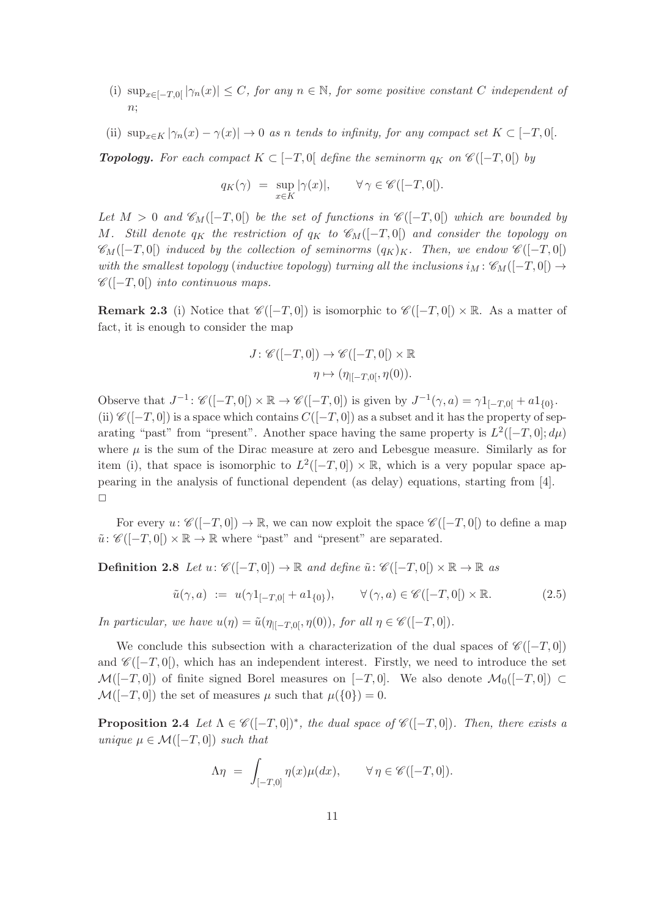- (i)  $\sup_{x \in [-T,0]} |\gamma_n(x)| \leq C$ , for any  $n \in \mathbb{N}$ , for some positive constant C independent of  $n$ :
- (ii)  $\sup_{x\in K} |\gamma_n(x) \gamma(x)| \to 0$  as n tends to infinity, for any compact set  $K \subset [-T,0].$

**Topology.** For each compact  $K \subset [-T, 0]$  define the seminorm  $q_K$  on  $\mathscr{C}([-T, 0])$  by

$$
q_K(\gamma) \ = \ \sup_{x \in K} |\gamma(x)|, \qquad \forall \, \gamma \in \mathscr{C}([-T,0]).
$$

Let  $M > 0$  and  $\mathscr{C}_M([-T,0])$  be the set of functions in  $\mathscr{C}([-T,0])$  which are bounded by M. Still denote  $q_K$  the restriction of  $q_K$  to  $\mathscr{C}_M([-T,0])$  and consider the topology on  $\mathscr{C}_{M}([-T,0])$  induced by the collection of seminorms  $(q_K)_K$ . Then, we endow  $\mathscr{C}([-T,0])$ with the smallest topology (inductive topology) turning all the inclusions  $i_M : \mathscr{C}_M([-T,0]) \to$  $\mathscr{C}([-T,0])$  into continuous maps.

**Remark 2.3** (i) Notice that  $\mathscr{C}([-T,0])$  is isomorphic to  $\mathscr{C}([-T,0]) \times \mathbb{R}$ . As a matter of fact, it is enough to consider the map

$$
J \colon \mathscr{C}([-T,0]) \to \mathscr{C}([-T,0[) \times \mathbb{R}
$$

$$
\eta \mapsto (\eta_{|[-T,0[},\eta(0)) .
$$

Observe that  $J^{-1}$ :  $\mathscr{C}([-T,0]) \times \mathbb{R} \to \mathscr{C}([-T,0])$  is given by  $J^{-1}(\gamma,a) = \gamma 1_{[-T,0[} + a1_{\{0\}})$ . (ii)  $\mathscr{C}([-T,0])$  is a space which contains  $C([-T,0])$  as a subset and it has the property of separating "past" from "present". Another space having the same property is  $L^2([-T, 0]; d\mu)$ where  $\mu$  is the sum of the Dirac measure at zero and Lebesgue measure. Similarly as for item (i), that space is isomorphic to  $L^2([-T,0]) \times \mathbb{R}$ , which is a very popular space appearing in the analysis of functional dependent (as delay) equations, starting from [4].  $\Box$ 

For every  $u: \mathscr{C}([-T,0]) \to \mathbb{R}$ , we can now exploit the space  $\mathscr{C}([-T,0])$  to define a map  $\tilde{u}$ :  $\mathscr{C}([-T,0]) \times \mathbb{R} \to \mathbb{R}$  where "past" and "present" are separated.

**Definition 2.8** Let  $u: \mathscr{C}([-T,0]) \to \mathbb{R}$  and define  $\tilde{u}: \mathscr{C}([-T,0]) \times \mathbb{R} \to \mathbb{R}$  as

$$
\tilde{u}(\gamma, a) := u(\gamma 1_{[-T, 0[} + a1_{\{0\}})), \qquad \forall (\gamma, a) \in \mathscr{C}([-T, 0[) \times \mathbb{R}].
$$
\n(2.5)

In particular, we have  $u(\eta) = \tilde{u}(\eta_{[-T,0]}, \eta(0)),$  for all  $\eta \in \mathscr{C}([-T,0]).$ 

We conclude this subsection with a characterization of the dual spaces of  $\mathscr{C}([-T,0])$ and  $\mathscr{C}([-T,0])$ , which has an independent interest. Firstly, we need to introduce the set  $\mathcal{M}([-T,0])$  of finite signed Borel measures on  $[-T,0]$ . We also denote  $\mathcal{M}_0([-T,0]) \subset$  $\mathcal{M}([-T, 0])$  the set of measures  $\mu$  such that  $\mu({0}) = 0$ .

**Proposition 2.4** Let  $\Lambda \in \mathscr{C}([-T,0])^*$ , the dual space of  $\mathscr{C}([-T,0])$ . Then, there exists a unique  $\mu \in \mathcal{M}([-T,0])$  such that

$$
\Lambda \eta = \int_{[-T,0]} \eta(x) \mu(dx), \qquad \forall \eta \in \mathscr{C}([-T,0]).
$$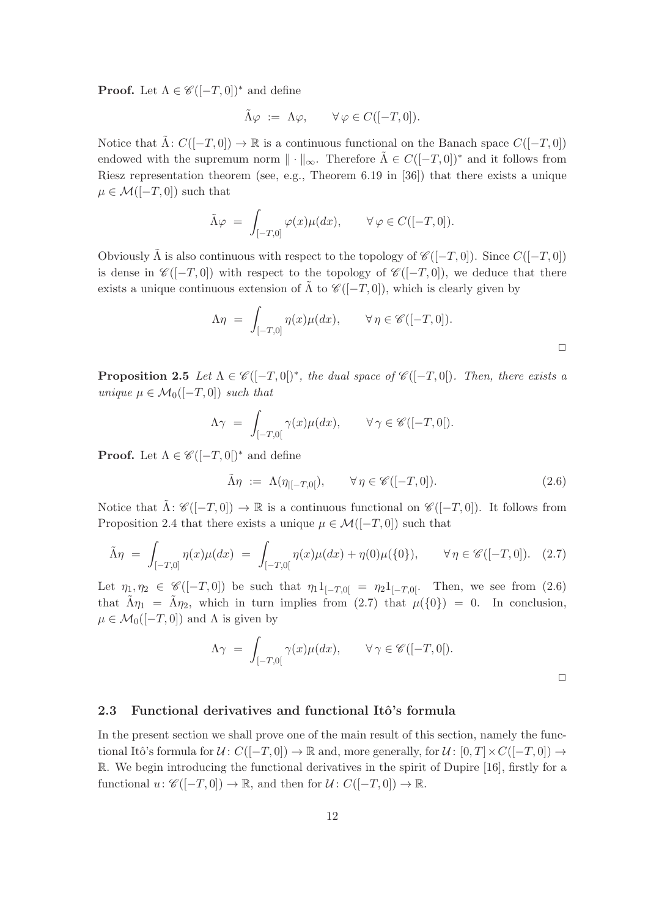**Proof.** Let  $\Lambda \in \mathscr{C}([-T,0])^*$  and define

$$
\tilde{\Lambda}\varphi \ := \ \Lambda\varphi, \qquad \forall \varphi \in C([-T,0]).
$$

Notice that  $\Lambda: C([-T, 0]) \to \mathbb{R}$  is a continuous functional on the Banach space  $C([-T, 0])$ endowed with the supremum norm  $\|\cdot\|_{\infty}$ . Therefore  $\Lambda \in C([-T, 0])^*$  and it follows from Riesz representation theorem (see, e.g., Theorem 6.19 in [36]) that there exists a unique  $\mu \in \mathcal{M}([-T,0])$  such that

$$
\tilde{\Lambda}\varphi = \int_{[-T,0]} \varphi(x)\mu(dx), \qquad \forall \varphi \in C([-T,0]).
$$

Obviously  $\tilde{\Lambda}$  is also continuous with respect to the topology of  $\mathscr{C}([-T,0])$ . Since  $C([-T,0])$ is dense in  $\mathscr{C}([-T,0])$  with respect to the topology of  $\mathscr{C}([-T,0])$ , we deduce that there exists a unique continuous extension of  $\Lambda$  to  $\mathscr{C}([-T,0])$ , which is clearly given by

$$
\Lambda \eta = \int_{[-T,0]} \eta(x) \mu(dx), \qquad \forall \eta \in \mathscr{C}([-T,0]).
$$

**Proposition 2.5** Let  $\Lambda \in \mathscr{C}([-T,0])^*$ , the dual space of  $\mathscr{C}([-T,0])$ . Then, there exists a unique  $\mu \in \mathcal{M}_0([-T,0])$  such that

$$
\Lambda \gamma = \int_{[-T,0[} \gamma(x) \mu(dx), \qquad \forall \gamma \in \mathscr{C}([-T,0[).
$$

**Proof.** Let  $\Lambda \in \mathscr{C}([-T,0])^*$  and define

$$
\tilde{\Lambda}\eta := \Lambda(\eta_{[-T,0]}), \qquad \forall \eta \in \mathscr{C}([-T,0]). \tag{2.6}
$$

Notice that  $\tilde{\Lambda}: \mathscr{C}([-T,0]) \to \mathbb{R}$  is a continuous functional on  $\mathscr{C}([-T,0])$ . It follows from Proposition 2.4 that there exists a unique  $\mu \in \mathcal{M}([-T,0])$  such that

$$
\tilde{\Lambda}\eta = \int_{[-T,0]} \eta(x)\mu(dx) = \int_{[-T,0[} \eta(x)\mu(dx) + \eta(0)\mu(\{0\}), \qquad \forall \eta \in \mathscr{C}([-T,0]). \tag{2.7}
$$

Let  $\eta_1, \eta_2 \in \mathscr{C}([-T, 0])$  be such that  $\eta_1 1_{[-T, 0]} = \eta_2 1_{[-T, 0]}$ . Then, we see from (2.6) that  $\tilde{\Lambda}\eta_1 = \tilde{\Lambda}\eta_2$ , which in turn implies from (2.7) that  $\mu({0}) = 0$ . In conclusion,  $\mu \in \mathcal{M}_0([-T,0])$  and  $\Lambda$  is given by

$$
\Lambda \gamma = \int_{[-T,0[} \gamma(x) \mu(dx), \qquad \forall \gamma \in \mathscr{C}([-T,0]).
$$

# 2.3 Functional derivatives and functional Itô's formula

In the present section we shall prove one of the main result of this section, namely the functional Itô's formula for  $\mathcal{U} \colon C([-T,0]) \to \mathbb{R}$  and, more generally, for  $\mathcal{U} \colon [0,T] \times C([-T,0]) \to$ R. We begin introducing the functional derivatives in the spirit of Dupire [16], firstly for a functional  $u: \mathscr{C}([-T,0]) \to \mathbb{R}$ , and then for  $\mathcal{U}: C([-T,0]) \to \mathbb{R}$ .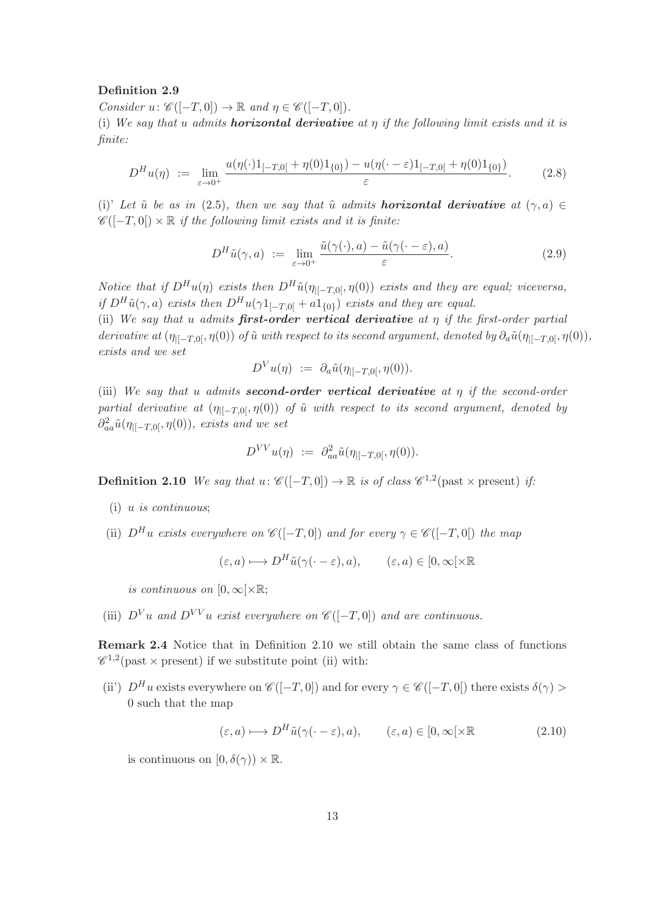# Definition 2.9

Consider  $u: \mathscr{C}([-T,0]) \to \mathbb{R}$  and  $\eta \in \mathscr{C}([-T,0])$ .

(i) We say that u admits **horizontal derivative** at  $\eta$  if the following limit exists and it is finite:

$$
D^{H}u(\eta) := \lim_{\varepsilon \to 0^{+}} \frac{u(\eta(\cdot)1_{[-T,0[} + \eta(0)1_{\{0\}}) - u(\eta(\cdot - \varepsilon)1_{[-T,0[} + \eta(0)1_{\{0\}}))}{\varepsilon}.
$$
 (2.8)

(i)' Let ŭ be as in (2.5), then we say that ŭ admits **horizontal derivative** at  $(\gamma, a) \in$  $\mathscr{C}([-T,0]) \times \mathbb{R}$  if the following limit exists and it is finite:

$$
D^H \tilde{u}(\gamma, a) := \lim_{\varepsilon \to 0^+} \frac{\tilde{u}(\gamma(\cdot), a) - \tilde{u}(\gamma(\cdot - \varepsilon), a)}{\varepsilon}.
$$
 (2.9)

Notice that if  $D^H u(\eta)$  exists then  $D^H \tilde{u}(\eta_{\vert [-T,0]}, \eta(0))$  exists and they are equal; viceversa, if  $D^H\tilde{u}(\gamma,a)$  exists then  $D^Hu(\gamma 1_{[-T,0[} + a1_{\{0\}}))$  exists and they are equal.

(ii) We say that u admits first-order vertical derivative at  $\eta$  if the first-order partial derivative at  $(\eta_{\vert[-T,0]},\eta(0))$  of  $\tilde{u}$  with respect to its second argument, denoted by  $\partial_a\tilde{u}(\eta_{\vert[-T,0]},\eta(0))$ , exists and we set

$$
D^V u(\eta) \; := \; \partial_a \tilde{u}(\eta_{|[-T,0[},\eta(0))).
$$

(iii) We say that u admits **second-order vertical derivative** at  $\eta$  if the second-order partial derivative at  $(\eta_{\parallel-T,0}, \eta(0))$  of  $\tilde{u}$  with respect to its second argument, denoted by  $\partial_{aa}^2\tilde{u}(\eta_{\vert[-T,0[},\eta(0)), \text{ exists and we set})$ 

$$
D^{VV}u(\eta) \; := \; \partial^2_{aa} \tilde{u}(\eta_{|[-T,0[},\eta(0))).
$$

**Definition 2.10** We say that  $u: \mathscr{C}([-T,0]) \to \mathbb{R}$  is of class  $\mathscr{C}^{1,2}(\text{past} \times \text{present})$  if:

- (i) u is continuous;
- (ii)  $D^H u$  exists everywhere on  $\mathscr{C}([-T,0])$  and for every  $\gamma \in \mathscr{C}([-T,0])$  the map

$$
(\varepsilon, a) \longmapsto D^H \tilde{u}(\gamma(\cdot - \varepsilon), a), \qquad (\varepsilon, a) \in [0, \infty[ \times \mathbb{R}
$$

is continuous on  $[0, \infty[\times \mathbb{R}$ ;

(iii)  $D^V u$  and  $D^{VV} u$  exist everywhere on  $\mathscr{C}([-T,0])$  and are continuous.

Remark 2.4 Notice that in Definition 2.10 we still obtain the same class of functions  $\mathscr{C}^{1,2}$ (past  $\times$  present) if we substitute point (ii) with:

(ii)  $D^H u$  exists everywhere on  $\mathscr{C}([-T,0])$  and for every  $\gamma \in \mathscr{C}([-T,0])$  there exists  $\delta(\gamma)$ 0 such that the map

$$
(\varepsilon, a) \longmapsto D^H \tilde{u}(\gamma(\cdot - \varepsilon), a), \qquad (\varepsilon, a) \in [0, \infty[ \times \mathbb{R} \tag{2.10}
$$

is continuous on  $[0, \delta(\gamma)) \times \mathbb{R}$ .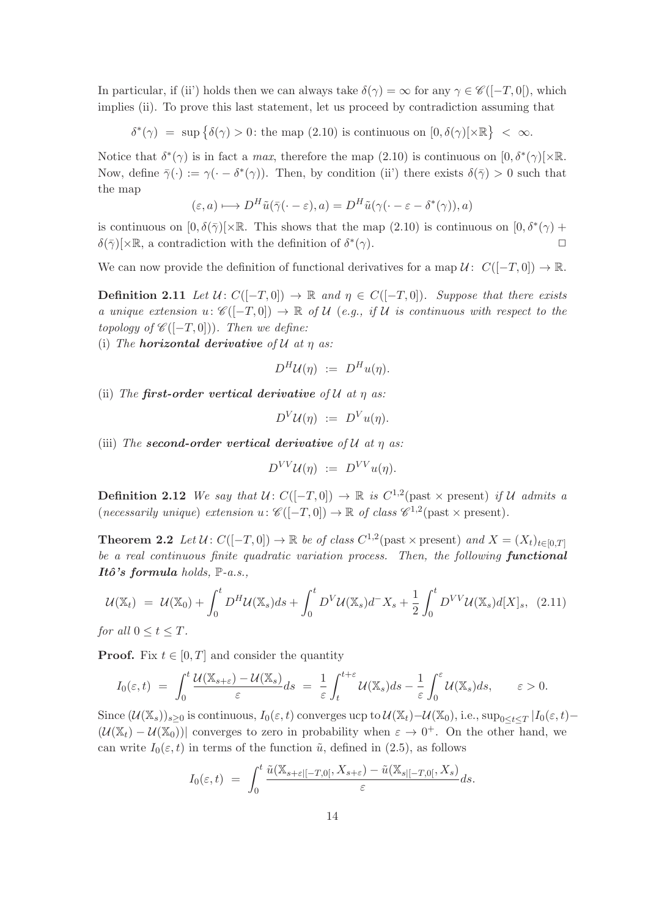In particular, if (ii') holds then we can always take  $\delta(\gamma) = \infty$  for any  $\gamma \in \mathscr{C}([-T, 0])$ , which implies (ii). To prove this last statement, let us proceed by contradiction assuming that

 $\delta^*(\gamma) = \sup \{ \delta(\gamma) > 0 \colon \text{the map } (2.10) \text{ is continuous on } [0, \delta(\gamma) \times \mathbb{R} \} < \infty.$ 

Notice that  $\delta^*(\gamma)$  is in fact a *max*, therefore the map (2.10) is continuous on  $[0, \delta^*(\gamma)] \times \mathbb{R}$ . Now, define  $\bar{\gamma}(\cdot) := \gamma(\cdot - \delta^*(\gamma))$ . Then, by condition (ii) there exists  $\delta(\bar{\gamma}) > 0$  such that the map

$$
(\varepsilon, a) \longmapsto D^H \tilde{u}(\bar{\gamma}(\cdot - \varepsilon), a) = D^H \tilde{u}(\gamma(\cdot - \varepsilon - \delta^*(\gamma)), a)
$$

is continuous on  $[0, \delta(\bar{\gamma})] \times \mathbb{R}$ . This shows that the map  $(2.10)$  is continuous on  $[0, \delta^*(\gamma) +$  $\delta(\bar{\gamma})[\times \mathbb{R},$  a contradiction with the definition of  $\delta^*$  $(\gamma)$ .

We can now provide the definition of functional derivatives for a map  $\mathcal{U}$ :  $C([-T, 0]) \to \mathbb{R}$ .

**Definition 2.11** Let  $U: C([-T, 0]) \to \mathbb{R}$  and  $\eta \in C([-T, 0])$ . Suppose that there exists a unique extension  $u: \mathscr{C}([-T,0]) \to \mathbb{R}$  of U (e.g., if U is continuous with respect to the topology of  $\mathscr{C}([-T,0]))$ . Then we define:

(i) The **horizontal derivative** of  $\mathcal U$  at  $\eta$  as:

$$
D^H \mathcal{U}(\eta) \ := \ D^H u(\eta).
$$

(ii) The first-order vertical derivative of  $\mathcal U$  at  $\eta$  as:

$$
D^V\mathcal{U}(\eta) \ := \ D^V u(\eta).
$$

(iii) The second-order vertical derivative of  $U$  at  $\eta$  as:

$$
D^{VV}U(\eta) \; := \; D^{VV}u(\eta).
$$

**Definition 2.12** We say that  $U: C([-T, 0]) \to \mathbb{R}$  is  $C^{1,2}$  (past  $\times$  present) if U admits a (necessarily unique) extension  $u: \mathscr{C}([-T,0]) \to \mathbb{R}$  of class  $\mathscr{C}^{1,2}(\text{past} \times \text{present}).$ 

**Theorem 2.2** Let  $\mathcal{U}: C([-T, 0]) \to \mathbb{R}$  be of class  $C^{1,2}$  (past  $\times$  present) and  $X = (X_t)_{t \in [0,T]}$ be a real continuous finite quadratic variation process. Then, the following **functional** Itô's formula holds,  $\mathbb{P}\text{-}a.s.,$ 

$$
\mathcal{U}(\mathbb{X}_t) = \mathcal{U}(\mathbb{X}_0) + \int_0^t D^H \mathcal{U}(\mathbb{X}_s) ds + \int_0^t D^V \mathcal{U}(\mathbb{X}_s) d^- X_s + \frac{1}{2} \int_0^t D^{VV} \mathcal{U}(\mathbb{X}_s) d[X]_s, \tag{2.11}
$$

for all  $0 \le t \le T$ .

**Proof.** Fix  $t \in [0, T]$  and consider the quantity

$$
I_0(\varepsilon,t) = \int_0^t \frac{\mathcal{U}(\mathbb{X}_{s+\varepsilon}) - \mathcal{U}(\mathbb{X}_s)}{\varepsilon} ds = \frac{1}{\varepsilon} \int_t^{t+\varepsilon} \mathcal{U}(\mathbb{X}_s) ds - \frac{1}{\varepsilon} \int_0^{\varepsilon} \mathcal{U}(\mathbb{X}_s) ds, \qquad \varepsilon > 0.
$$

Since  $(\mathcal{U}(\mathbb{X}_s))_{s\geq 0}$  is continuous,  $I_0(\varepsilon,t)$  converges ucp to  $\mathcal{U}(\mathbb{X}_t) - \mathcal{U}(\mathbb{X}_0)$ , i.e.,  $\sup_{0\leq t\leq T}|I_0(\varepsilon,t) (\mathcal{U}(\mathbb{X}_t) - \mathcal{U}(\mathbb{X}_0))$  converges to zero in probability when  $\varepsilon \to 0^+$ . On the other hand, we can write  $I_0(\varepsilon, t)$  in terms of the function  $\tilde{u}$ , defined in (2.5), as follows

$$
I_0(\varepsilon,t) = \int_0^t \frac{\tilde{u}(\mathbb{X}_{s+\varepsilon}[-T,0[,\,X_{s+\varepsilon})-\tilde{u}(\mathbb{X}_{s|[-T,0[},X_s])}{\varepsilon}ds.
$$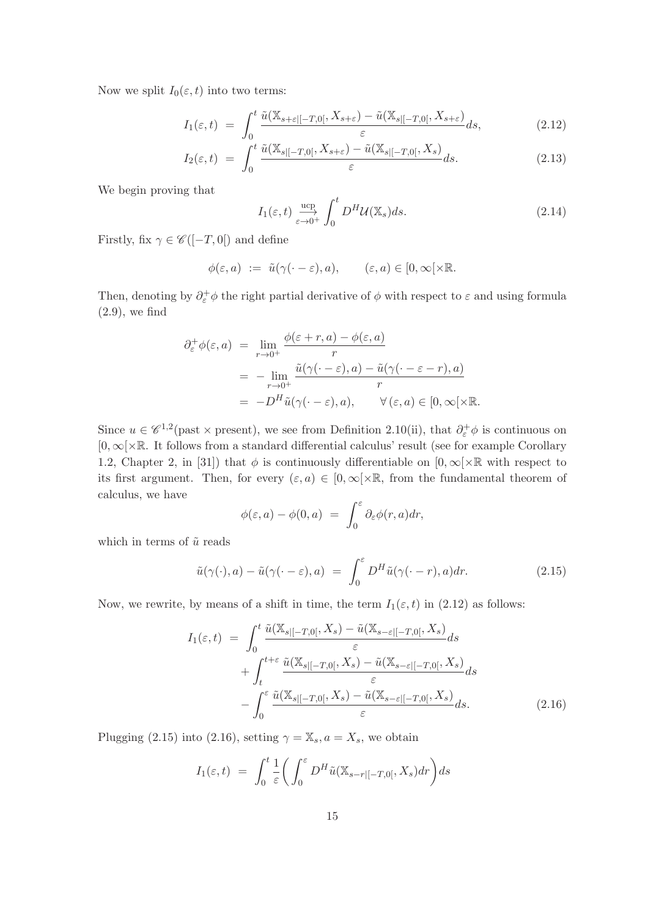Now we split  $I_0(\varepsilon, t)$  into two terms:

$$
I_1(\varepsilon, t) = \int_0^t \frac{\tilde{u}(\mathbb{X}_{s+\varepsilon[-T,0]}, X_{s+\varepsilon}) - \tilde{u}(\mathbb{X}_{s[-T,0]}, X_{s+\varepsilon})}{\varepsilon} ds, \tag{2.12}
$$

$$
I_2(\varepsilon, t) = \int_0^t \frac{\tilde{u}(\mathbb{X}_{s|[-T,0[}, X_{s+\varepsilon}) - \tilde{u}(\mathbb{X}_{s|[-T,0[}, X_s)))}{\varepsilon} ds. \tag{2.13}
$$

We begin proving that

$$
I_1(\varepsilon, t) \xrightarrow[\varepsilon \to 0^+]{} \int_0^t D^H \mathcal{U}(\mathbb{X}_s) ds. \tag{2.14}
$$

Firstly, fix  $\gamma \in \mathscr{C}([-T,0[)$  and define

$$
\phi(\varepsilon, a) \ := \ \tilde{u}(\gamma(\cdot - \varepsilon), a), \qquad (\varepsilon, a) \in [0, \infty[ \times \mathbb{R} .
$$

Then, denoting by  $\partial_{\varepsilon}^{+}\phi$  the right partial derivative of  $\phi$  with respect to  $\varepsilon$  and using formula  $(2.9)$ , we find

$$
\partial_{\varepsilon}^{+} \phi(\varepsilon, a) = \lim_{r \to 0^{+}} \frac{\phi(\varepsilon + r, a) - \phi(\varepsilon, a)}{r}
$$
  
= 
$$
- \lim_{r \to 0^{+}} \frac{\tilde{u}(\gamma(\cdot - \varepsilon), a) - \tilde{u}(\gamma(\cdot - \varepsilon - r), a)}{r}
$$
  
= 
$$
-D^{H} \tilde{u}(\gamma(\cdot - \varepsilon), a), \qquad \forall (\varepsilon, a) \in [0, \infty[ \times \mathbb{R}].
$$

Since  $u \in \mathscr{C}^{1,2}$  (past × present), we see from Definition 2.10(ii), that  $\partial_{\varepsilon}^+ \phi$  is continuous on [0, ∞[×R. It follows from a standard differential calculus' result (see for example Corollary 1.2, Chapter 2, in [31]) that  $\phi$  is continuously differentiable on  $[0, \infty) \times \mathbb{R}$  with respect to its first argument. Then, for every  $(\varepsilon, a) \in [0, \infty[\times \mathbb{R},]$  from the fundamental theorem of calculus, we have

$$
\phi(\varepsilon, a) - \phi(0, a) = \int_0^\varepsilon \partial_\varepsilon \phi(r, a) dr,
$$

which in terms of  $\tilde{u}$  reads

$$
\tilde{u}(\gamma(\cdot),a) - \tilde{u}(\gamma(\cdot - \varepsilon),a) = \int_0^{\varepsilon} D^H \tilde{u}(\gamma(\cdot - r),a) dr.
$$
\n(2.15)

Now, we rewrite, by means of a shift in time, the term  $I_1(\varepsilon, t)$  in (2.12) as follows:

$$
I_{1}(\varepsilon,t) = \int_{0}^{t} \frac{\tilde{u}(\mathbb{X}_{s|[-T,0[},X_{s}) - \tilde{u}(\mathbb{X}_{s-\varepsilon|[-T,0[},X_{s}))}{\varepsilon} ds + \int_{t}^{t+\varepsilon} \frac{\tilde{u}(\mathbb{X}_{s|[-T,0[},X_{s}) - \tilde{u}(\mathbb{X}_{s-\varepsilon|[-T,0[},X_{s}))}{\varepsilon} ds - \int_{0}^{\varepsilon} \frac{\tilde{u}(\mathbb{X}_{s|[-T,0[},X_{s}) - \tilde{u}(\mathbb{X}_{s-\varepsilon|[-T,0[},X_{s}))}{\varepsilon} ds.
$$
(2.16)

Plugging (2.15) into (2.16), setting  $\gamma = \mathbb{X}_s$ ,  $a = X_s$ , we obtain

$$
I_1(\varepsilon,t) = \int_0^t \frac{1}{\varepsilon} \bigg( \int_0^{\varepsilon} D^H \tilde{u}(\mathbb{X}_{s-r|[-T,0[}, X_s) dr \bigg) ds
$$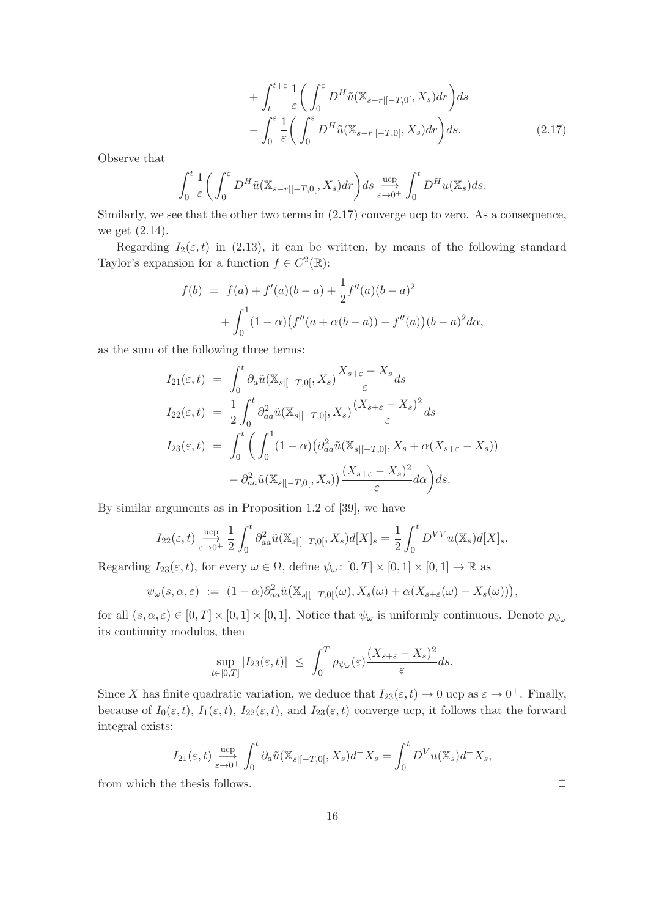$$
+\int_{t}^{t+\varepsilon} \frac{1}{\varepsilon} \left( \int_{0}^{\varepsilon} D^{H} \tilde{u}(\mathbb{X}_{s-r|[-T,0[}, X_{s}) dr) ds - \int_{0}^{\varepsilon} \frac{1}{\varepsilon} \left( \int_{0}^{\varepsilon} D^{H} \tilde{u}(\mathbb{X}_{s-r|[-T,0[}, X_{s}) dr) ds \right) ds.
$$
 (2.17)

Observe that

$$
\int_0^t \frac{1}{\varepsilon} \bigg( \int_0^\varepsilon D^H \tilde{u}(\mathbb{X}_{s-r|[-T,0[}, X_s) dr \bigg) ds \xrightarrow[\varepsilon \to 0^+]{} \int_0^t D^H u(\mathbb{X}_s) ds.
$$

Similarly, we see that the other two terms in (2.17) converge ucp to zero. As a consequence, we get (2.14).

Regarding  $I_2(\varepsilon, t)$  in (2.13), it can be written, by means of the following standard Taylor's expansion for a function  $f \in C^2(\mathbb{R})$ :

$$
f(b) = f(a) + f'(a)(b - a) + \frac{1}{2}f''(a)(b - a)^2
$$

$$
+ \int_0^1 (1 - \alpha)(f''(a + \alpha(b - a)) - f''(a))(b - a)^2 d\alpha,
$$

as the sum of the following three terms:

$$
I_{21}(\varepsilon, t) = \int_0^t \partial_a \tilde{u}(\mathbb{X}_{s|[-T,0[}, X_s) \frac{X_{s+\varepsilon} - X_s}{\varepsilon} ds \nI_{22}(\varepsilon, t) = \frac{1}{2} \int_0^t \partial_{aa}^2 \tilde{u}(\mathbb{X}_{s|[-T,0[}, X_s) \frac{(X_{s+\varepsilon} - X_s)^2}{\varepsilon} ds \nI_{23}(\varepsilon, t) = \int_0^t \left( \int_0^1 (1 - \alpha) (\partial_{aa}^2 \tilde{u}(\mathbb{X}_{s|[-T,0[}, X_s + \alpha (X_{s+\varepsilon} - X_s)) - \partial_{aa}^2 \tilde{u}(\mathbb{X}_{s|[-T,0[}, X_s)) \frac{(X_{s+\varepsilon} - X_s)^2}{\varepsilon} d\alpha \right) ds.
$$

By similar arguments as in Proposition 1.2 of [39], we have

$$
I_{22}(\varepsilon,t) \xrightarrow[\varepsilon \to 0^+]{} \frac{1}{2} \int_0^t \partial_{aa}^2 \tilde{u}(\mathbb{X}_{s|[-T,0[}, X_s) d[X]_s) = \frac{1}{2} \int_0^t D^{VV} u(\mathbb{X}_s) d[X]_s.
$$

Regarding  $I_{23}(\varepsilon, t)$ , for every  $\omega \in \Omega$ , define  $\psi_{\omega} : [0, T] \times [0, 1] \times [0, 1] \to \mathbb{R}$  as

$$
\psi_{\omega}(s,\alpha,\varepsilon) := (1-\alpha)\partial_{aa}^2\tilde{u}\big(\mathbb{X}_{s|[-T,0[}(\omega),X_s(\omega)+\alpha(X_{s+\varepsilon}(\omega)-X_s(\omega))\big),\,
$$

for all  $(s, \alpha, \varepsilon) \in [0, T] \times [0, 1] \times [0, 1]$ . Notice that  $\psi_{\omega}$  is uniformly continuous. Denote  $\rho_{\psi_{\omega}}$ its continuity modulus, then

$$
\sup_{t\in[0,T]}|I_{23}(\varepsilon,t)| \ \leq \ \int_0^T \rho_{\psi_\omega}(\varepsilon) \frac{(X_{s+\varepsilon} - X_s)^2}{\varepsilon} ds.
$$

Since X has finite quadratic variation, we deduce that  $I_{23}(\varepsilon, t) \to 0$  ucp as  $\varepsilon \to 0^+$ . Finally, because of  $I_0(\varepsilon, t)$ ,  $I_1(\varepsilon, t)$ ,  $I_{22}(\varepsilon, t)$ , and  $I_{23}(\varepsilon, t)$  converge ucp, it follows that the forward integral exists:

$$
I_{21}(\varepsilon,t) \xrightarrow[\varepsilon \to 0^+]{} \int_0^t \partial_a \tilde{u}(\mathbb{X}_{s|[-T,0[}, X_s) d^- X_s) = \int_0^t D^V u(\mathbb{X}_s) d^- X_s,
$$

from which the thesis follows.  $\Box$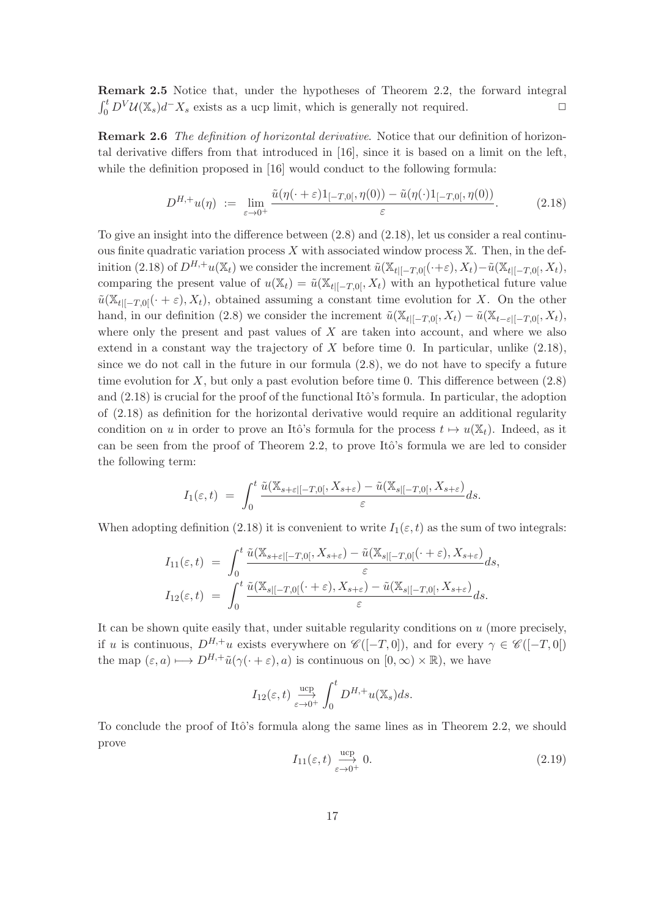Remark 2.5 Notice that, under the hypotheses of Theorem 2.2, the forward integral  $\int_0^t D^V \mathcal{U}(\mathbb{X}_s) d^- X_s$  exists as a ucp limit, which is generally not required.  $\Box$ 

Remark 2.6 The definition of horizontal derivative. Notice that our definition of horizontal derivative differs from that introduced in [16], since it is based on a limit on the left, while the definition proposed in [16] would conduct to the following formula:

$$
D^{H,+}u(\eta) := \lim_{\varepsilon \to 0^+} \frac{\tilde{u}(\eta(\cdot + \varepsilon)1_{[-T,0[},\eta(0)) - \tilde{u}(\eta(\cdot)1_{[-T,0[},\eta(0))}{\varepsilon}). \tag{2.18}
$$

To give an insight into the difference between (2.8) and (2.18), let us consider a real continuous finite quadratic variation process  $X$  with associated window process  $X$ . Then, in the definition (2.18) of  $D^{H,+}u(\mathbb{X}_t)$  we consider the increment  $\tilde{u}(\mathbb{X}_{t|[-T,0[}(\cdot+\varepsilon),X_t)-\tilde{u}(\mathbb{X}_{t|[-T,0[},X_t),\cdot))$ comparing the present value of  $u(\mathbb{X}_t) = \tilde{u}(\mathbb{X}_{t|[-T,0]}, X_t)$  with an hypothetical future value  $\tilde{u}(\mathbb{X}_{t|[-T,0]}(\cdot+\varepsilon),X_t)$ , obtained assuming a constant time evolution for X. On the other hand, in our definition (2.8) we consider the increment  $\tilde{u}(\mathbb{X}_{t|[-T,0]}, X_t) - \tilde{u}(\mathbb{X}_{t-\varepsilon|[-T,0]}, X_t)$ , where only the present and past values of  $X$  are taken into account, and where we also extend in a constant way the trajectory of  $X$  before time 0. In particular, unlike  $(2.18)$ , since we do not call in the future in our formula (2.8), we do not have to specify a future time evolution for X, but only a past evolution before time 0. This difference between  $(2.8)$ and  $(2.18)$  is crucial for the proof of the functional Itô's formula. In particular, the adoption of (2.18) as definition for the horizontal derivative would require an additional regularity condition on u in order to prove an Itô's formula for the process  $t \mapsto u(\mathbb{X}_t)$ . Indeed, as it can be seen from the proof of Theorem 2.2, to prove Itô's formula we are led to consider the following term:

$$
I_1(\varepsilon,t) = \int_0^t \frac{\tilde{u}(\mathbb{X}_{s+\varepsilon}[-T,0[,\,X_{s+\varepsilon})-\tilde{u}(\mathbb{X}_{s|[-T,0[},X_{s+\varepsilon})]}{\varepsilon}ds.
$$

When adopting definition (2.18) it is convenient to write  $I_1(\varepsilon, t)$  as the sum of two integrals:

$$
I_{11}(\varepsilon,t) = \int_0^t \frac{\tilde{u}(\mathbb{X}_{s+\varepsilon[-T,0]}, X_{s+\varepsilon}) - \tilde{u}(\mathbb{X}_{s[-T,0]}(\cdot + \varepsilon), X_{s+\varepsilon})}{\varepsilon} ds,
$$
  
\n
$$
I_{12}(\varepsilon,t) = \int_0^t \frac{\tilde{u}(\mathbb{X}_{s[-T,0]}(\cdot + \varepsilon), X_{s+\varepsilon}) - \tilde{u}(\mathbb{X}_{s[-T,0]}, X_{s+\varepsilon})}{\varepsilon} ds.
$$

It can be shown quite easily that, under suitable regularity conditions on  $u$  (more precisely, if u is continuous,  $D^{H,+}u$  exists everywhere on  $\mathscr{C}([-T,0])$ , and for every  $\gamma \in \mathscr{C}([-T,0])$ the map  $(\varepsilon, a) \mapsto D^{H,+} \tilde{u}(\gamma(\cdot + \varepsilon), a)$  is continuous on  $[0, \infty) \times \mathbb{R}$ , we have

$$
I_{12}(\varepsilon,t) \xrightarrow[\varepsilon \to 0^+]{} \int_0^t D^{H,+}u(\mathbb{X}_s)ds.
$$

To conclude the proof of Itô's formula along the same lines as in Theorem 2.2, we should prove

$$
I_{11}(\varepsilon, t) \xrightarrow[\varepsilon \to 0^+]{} 0. \tag{2.19}
$$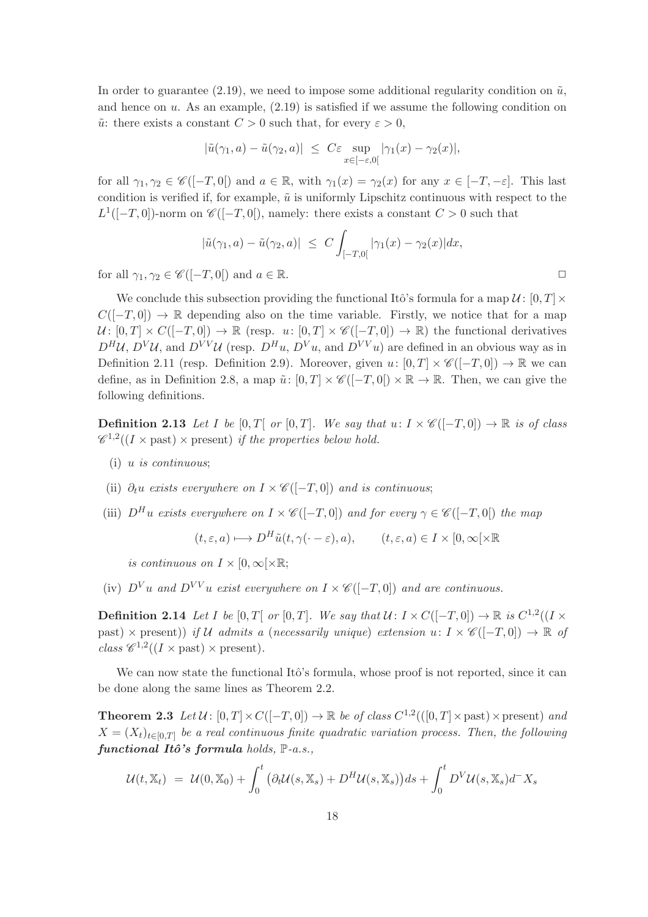In order to guarantee (2.19), we need to impose some additional regularity condition on  $\tilde{u}$ , and hence on  $u$ . As an example,  $(2.19)$  is satisfied if we assume the following condition on  $\tilde{u}$ : there exists a constant  $C > 0$  such that, for every  $\varepsilon > 0$ ,

$$
|\tilde{u}(\gamma_1, a) - \tilde{u}(\gamma_2, a)| \leq C\varepsilon \sup_{x \in [-\varepsilon, 0[} |\gamma_1(x) - \gamma_2(x)|,
$$

for all  $\gamma_1, \gamma_2 \in \mathscr{C}([-T,0])$  and  $a \in \mathbb{R}$ , with  $\gamma_1(x) = \gamma_2(x)$  for any  $x \in [-T,-\varepsilon]$ . This last condition is verified if, for example,  $\tilde{u}$  is uniformly Lipschitz continuous with respect to the  $L^1([-T, 0])$ -norm on  $\mathscr{C}([-T, 0])$ , namely: there exists a constant  $C > 0$  such that

$$
|\tilde{u}(\gamma_1, a) - \tilde{u}(\gamma_2, a)| \leq C \int_{[-T, 0]} |\gamma_1(x) - \gamma_2(x)| dx,
$$

for all  $\gamma_1, \gamma_2 \in \mathscr{C}([-T,0])$  and  $a \in \mathbb{R}$ .

We conclude this subsection providing the functional Itô's formula for a map  $\mathcal{U}$ :  $[0, T] \times$  $C([-T, 0]) \to \mathbb{R}$  depending also on the time variable. Firstly, we notice that for a map  $U: [0, T] \times C([-T, 0]) \to \mathbb{R}$  (resp. u:  $[0, T] \times \mathscr{C}([-T, 0]) \to \mathbb{R}$ ) the functional derivatives  $D^H U$ ,  $D^V U$ , and  $D^{VV} U$  (resp.  $D^H u$ ,  $D^V u$ , and  $D^{VV} u$ ) are defined in an obvious way as in Definition 2.11 (resp. Definition 2.9). Moreover, given  $u: [0, T] \times \mathscr{C}([-T, 0]) \to \mathbb{R}$  we can define, as in Definition 2.8, a map  $\tilde{u}: [0, T] \times \mathscr{C}([-T, 0]) \times \mathbb{R} \to \mathbb{R}$ . Then, we can give the following definitions.

**Definition 2.13** Let I be [0, T[ or [0, T]. We say that  $u: I \times \mathscr{C}([-T,0]) \to \mathbb{R}$  is of class  $\mathscr{C}^{1,2}((I \times \text{past}) \times \text{present})$  if the properties below hold.

- (i) u is continuous;
- (ii)  $\partial_t u$  exists everywhere on  $I \times \mathscr{C}([-T,0])$  and is continuous;
- (iii)  $D^H u$  exists everywhere on  $I \times \mathscr{C}([-T,0])$  and for every  $\gamma \in \mathscr{C}([-T,0])$  the map

$$
(t, \varepsilon, a) \longmapsto D^H \tilde{u}(t, \gamma(\cdot - \varepsilon), a), \qquad (t, \varepsilon, a) \in I \times [0, \infty[ \times \mathbb{R}
$$

is continuous on  $I \times [0, \infty[ \times \mathbb{R}$ ;

(iv)  $D^V u$  and  $D^{VV} u$  exist everywhere on  $I \times \mathcal{C}([-T,0])$  and are continuous.

**Definition 2.14** Let I be  $[0, T]$  or  $[0, T]$ . We say that  $\mathcal{U}: I \times C([-T, 0]) \to \mathbb{R}$  is  $C^{1,2}((I \times T) \times C)$ past)  $\times$  present)) if U admits a (necessarily unique) extension  $u: I \times \mathscr{C}([-T,0]) \to \mathbb{R}$  of  $class \mathcal{C}^{1,2}((I \times \text{past}) \times \text{present}).$ 

We can now state the functional Itô's formula, whose proof is not reported, since it can be done along the same lines as Theorem 2.2.

**Theorem 2.3** Let  $\mathcal{U}: [0, T] \times C([-T, 0]) \to \mathbb{R}$  be of class  $C^{1,2}(([0, T] \times \text{past}) \times \text{present})$  and  $X = (X_t)_{t \in [0,T]}$  be a real continuous finite quadratic variation process. Then, the following functional Itô's formula holds,  $\mathbb{P}\text{-}a.s.,$ 

$$
\mathcal{U}(t, \mathbb{X}_t) = \mathcal{U}(0, \mathbb{X}_0) + \int_0^t \left( \partial_t \mathcal{U}(s, \mathbb{X}_s) + D^H \mathcal{U}(s, \mathbb{X}_s) \right) ds + \int_0^t D^V \mathcal{U}(s, \mathbb{X}_s) d^- X_s
$$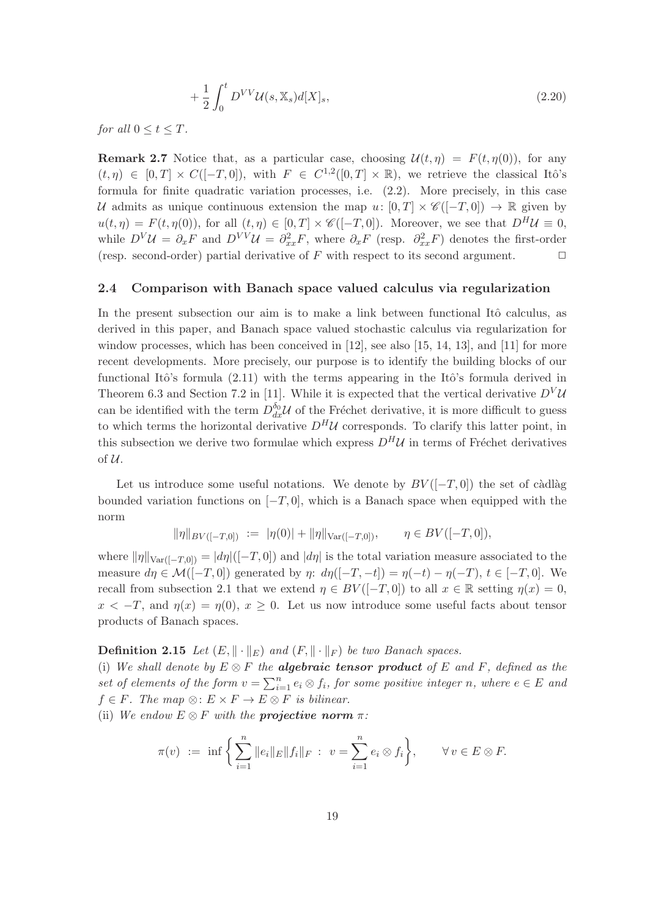$$
+\frac{1}{2}\int_0^t D^{VV}\mathcal{U}(s,\mathbb{X}_s)d[X]_s,
$$
\n(2.20)

for all  $0 \le t \le T$ .

**Remark 2.7** Notice that, as a particular case, choosing  $\mathcal{U}(t,\eta) = F(t,\eta(0))$ , for any  $(t, \eta) \in [0, T] \times C([-T, 0]),$  with  $F \in C^{1,2}([0, T] \times \mathbb{R})$ , we retrieve the classical Itô's formula for finite quadratic variation processes, i.e. (2.2). More precisely, in this case U admits as unique continuous extension the map u:  $[0, T] \times \mathscr{C}([-T, 0]) \to \mathbb{R}$  given by  $u(t,\eta) = F(t,\eta(0)),$  for all  $(t,\eta) \in [0,T] \times \mathscr{C}([-T,0]).$  Moreover, we see that  $D^H U \equiv 0$ , while  $D^V \mathcal{U} = \partial_x F$  and  $D^{VV} \mathcal{U} = \partial_{xx}^2 F$ , where  $\partial_x F$  (resp.  $\partial_{xx}^2 F$ ) denotes the first-order (resp. second-order) partial derivative of  $F$  with respect to its second argument.

# 2.4 Comparison with Banach space valued calculus via regularization

In the present subsection our aim is to make a link between functional Itô calculus, as derived in this paper, and Banach space valued stochastic calculus via regularization for window processes, which has been conceived in [12], see also [15, 14, 13], and [11] for more recent developments. More precisely, our purpose is to identify the building blocks of our functional Itô's formula  $(2.11)$  with the terms appearing in the Itô's formula derived in Theorem 6.3 and Section 7.2 in [11]. While it is expected that the vertical derivative  $D<sup>V</sup>U$ can be identified with the term  $D_{dx}^{\delta_0} \mathcal{U}$  of the Fréchet derivative, it is more difficult to guess to which terms the horizontal derivative  $D^H \mathcal{U}$  corresponds. To clarify this latter point, in this subsection we derive two formulae which express  $D^H\mathcal{U}$  in terms of Fréchet derivatives of U.

Let us introduce some useful notations. We denote by  $BV([-T, 0])$  the set of càdlàg bounded variation functions on  $[-T, 0]$ , which is a Banach space when equipped with the norm

$$
\|\eta\|_{BV([-T,0])} := |\eta(0)| + \|\eta\|_{\text{Var}([-T,0])}, \qquad \eta \in BV([-T,0]),
$$

where  $\|\eta\|_{\text{Var}([-T,0])} = |d\eta|([-T,0])$  and  $|d\eta|$  is the total variation measure associated to the measure  $d\eta \in \mathcal{M}([-T,0])$  generated by  $\eta$ :  $d\eta([-T,-t]) = \eta(-t) - \eta(-T)$ ,  $t \in [-T,0]$ . We recall from subsection 2.1 that we extend  $\eta \in BV([-T, 0])$  to all  $x \in \mathbb{R}$  setting  $\eta(x) = 0$ ,  $x < -T$ , and  $\eta(x) = \eta(0)$ ,  $x \ge 0$ . Let us now introduce some useful facts about tensor products of Banach spaces.

**Definition 2.15** Let  $(E, \|\cdot\|_E)$  and  $(F, \|\cdot\|_F)$  be two Banach spaces.

(i) We shall denote by  $E \otimes F$  the **algebraic tensor product** of E and F, defined as the set of elements of the form  $v = \sum_{i=1}^{n} e_i \otimes f_i$ , for some positive integer n, where  $e \in E$  and  $f \in F$ . The map  $\otimes : E \times F \to E \otimes F$  is bilinear.

(ii) We endow  $E \otimes F$  with the **projective norm**  $\pi$ :

$$
\pi(v) := \inf \left\{ \sum_{i=1}^n ||e_i||_E ||f_i||_F : v = \sum_{i=1}^n e_i \otimes f_i \right\}, \quad \forall v \in E \otimes F.
$$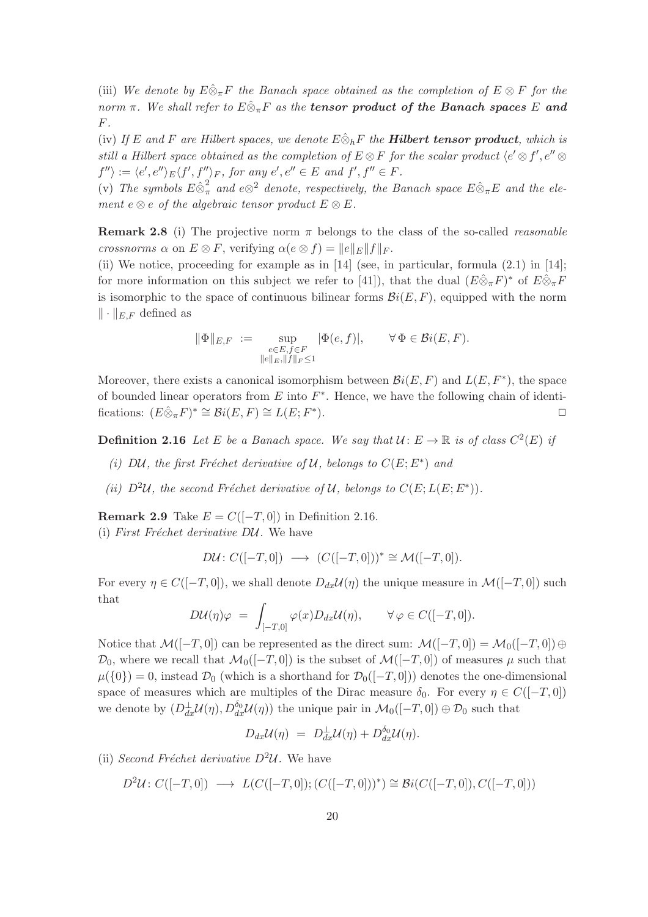(iii) We denote by  $E\hat{\otimes}_{\pi}F$  the Banach space obtained as the completion of  $E\otimes F$  for the norm  $\pi$ . We shall refer to  $E \hat{\otimes}_{\pi} F$  as the **tensor product of the Banach spaces** E and F.

(iv) If E and F are Hilbert spaces, we denote  $E\hat{\otimes}_hF$  the **Hilbert tensor product**, which is still a Hilbert space obtained as the completion of  $E \otimes F$  for the scalar product  $\langle e' \otimes f', e'' \otimes f' \rangle$  $f'' \rangle := \langle e', e'' \rangle_E \langle f', f'' \rangle_F$ , for any  $e', e'' \in E$  and  $f', f'' \in F$ .

(v) The symbols  $E \hat{\otimes}_{\pi}^2$  and  $e \otimes^2$  denote, respectively, the Banach space  $E \hat{\otimes}_{\pi} E$  and the element e  $\otimes$  e of the algebraic tensor product  $E \otimes E$ .

**Remark 2.8** (i) The projective norm  $\pi$  belongs to the class of the so-called *reasonable* crossnorms  $\alpha$  on  $E \otimes F$ , verifying  $\alpha(e \otimes f) = ||e||_E||f||_F$ .

(ii) We notice, proceeding for example as in [14] (see, in particular, formula (2.1) in [14]; for more information on this subject we refer to [41]), that the dual  $(E\hat{\otimes}_{\pi}F)^*$  of  $E\hat{\otimes}_{\pi}F$ is isomorphic to the space of continuous bilinear forms  $\mathcal{B}i(E, F)$ , equipped with the norm  $\|\cdot\|_{E,F}$  defined as

$$
\|\Phi\|_{E,F} := \sup_{\substack{e \in E, f \in F \\ \|e\|_E, \|f\|_F \le 1}} |\Phi(e, f)|, \qquad \forall \Phi \in \mathcal{B}i(E, F).
$$

Moreover, there exists a canonical isomorphism between  $\mathcal{B}i(E, F)$  and  $L(E, F^*)$ , the space of bounded linear operators from  $E$  into  $F^*$ . Hence, we have the following chain of identifications:  $(E \hat{\otimes}_{\pi} F)^* \cong \mathcal{B}i(E, F) \cong L(E; F^*$ ).  $\Box$ 

**Definition 2.16** Let E be a Banach space. We say that  $\mathcal{U}: E \to \mathbb{R}$  is of class  $C^2(E)$  if

- (i) DU, the first Fréchet derivative of U, belongs to  $C(E; E^*)$  and
- (ii)  $D^2\mathcal{U}$ , the second Fréchet derivative of  $\mathcal{U}$ , belongs to  $C(E;L(E;E^*))$ .

**Remark 2.9** Take  $E = C([-T, 0])$  in Definition 2.16.

(i) First Fréchet derivative  $D\mathcal{U}$ . We have

$$
D\mathcal{U}\colon C([-T,0]) \longrightarrow (C([-T,0]))^* \cong \mathcal{M}([-T,0]).
$$

For every  $\eta \in C([-T, 0])$ , we shall denote  $D_{dx}\mathcal{U}(\eta)$  the unique measure in  $\mathcal{M}([-T, 0])$  such that

$$
D\mathcal{U}(\eta)\varphi = \int_{[-T,0]} \varphi(x) D_{dx}\mathcal{U}(\eta), \qquad \forall \varphi \in C([-T,0]).
$$

Notice that  $\mathcal{M}([-T,0])$  can be represented as the direct sum:  $\mathcal{M}([-T,0]) = \mathcal{M}_0([-T,0]) \oplus$  $\mathcal{D}_0$ , where we recall that  $\mathcal{M}_0([-T, 0])$  is the subset of  $\mathcal{M}([-T, 0])$  of measures  $\mu$  such that  $\mu({0}) = 0$ , instead  $\mathcal{D}_0$  (which is a shorthand for  $\mathcal{D}_0([-T, 0]))$  denotes the one-dimensional space of measures which are multiples of the Dirac measure  $\delta_0$ . For every  $\eta \in C([-T, 0])$ we denote by  $(D_{dx}^{\perp} \mathcal{U}(\eta), D_{dx}^{\delta_0} \mathcal{U}(\eta))$  the unique pair in  $\mathcal{M}_0([-T, 0]) \oplus \mathcal{D}_0$  such that

$$
D_{dx}\mathcal{U}(\eta) = D_{dx}^{\perp}\mathcal{U}(\eta) + D_{dx}^{\delta_0}\mathcal{U}(\eta).
$$

(ii) Second Fréchet derivative  $D^2U$ . We have

$$
D^2 \mathcal{U} : C([-T, 0]) \longrightarrow L(C([-T, 0]); (C([-T, 0]))^*) \cong Bi(C([-T, 0]), C([-T, 0]))
$$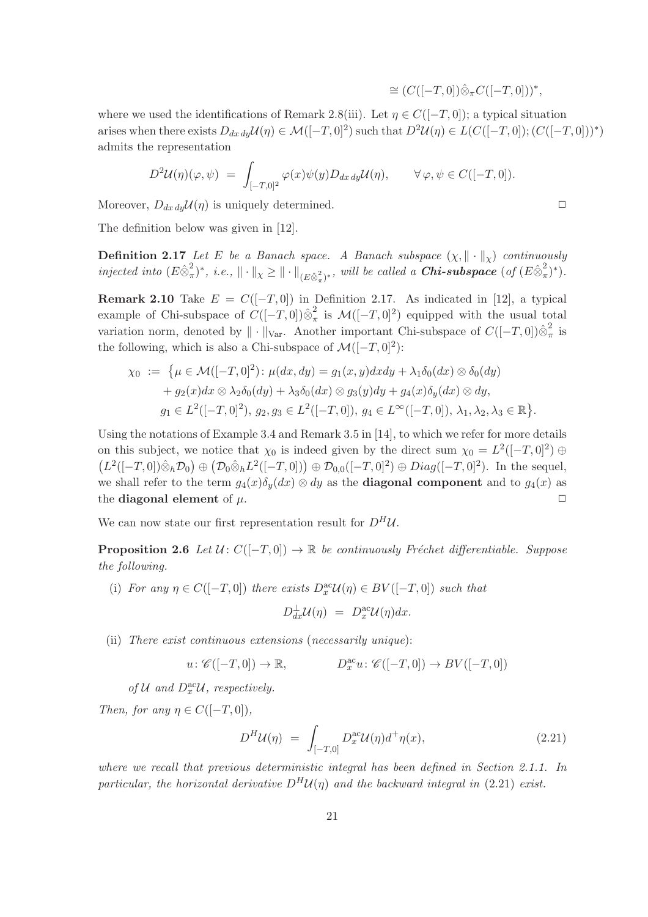$$
\cong (C([-T,0])\hat{\otimes}_{\pi}C([-T,0]))^*,
$$

where we used the identifications of Remark 2.8(iii). Let  $\eta \in C([-T, 0])$ ; a typical situation arises when there exists  $D_{dx\,dy}\mathcal{U}(\eta) \in \mathcal{M}([-T,0]^2)$  such that  $D^2\mathcal{U}(\eta) \in L(C([-T,0])$ ;  $(C([-T,0]))^*)$ admits the representation

$$
D^2 \mathcal{U}(\eta)(\varphi, \psi) = \int_{[-T,0]^2} \varphi(x) \psi(y) D_{dx\,dy} \mathcal{U}(\eta), \qquad \forall \varphi, \psi \in C([-T,0]).
$$

Moreover,  $D_{dx\,dy} \mathcal{U}(\eta)$  is uniquely determined.

The definition below was given in [12].

**Definition 2.17** Let E be a Banach space. A Banach subspace  $(\chi, \|\cdot\|_{\chi})$  continuously injected into  $(E \hat{\otimes}_{\pi}^2)$  $(\mathcal{A}^2, \mathcal{A}^*)^*$ , i.e.,  $\|\cdot\|_{\chi} \geq \|\cdot\|_{(E\hat{\otimes}^2_{\pi})^*}$ , will be called a **Chi-subspace** (of  $(E\hat{\otimes}^2_{\pi})$  $(\frac{2}{\pi})^*$ ).

Remark 2.10 Take  $E = C([-T, 0])$  in Definition 2.17. As indicated in [12], a typical example of Chi-subspace of  $C([-T, 0])\hat{\otimes}_{\pi}^2$  $\frac{2}{\pi}$  is  $\mathcal{M}([-T, 0]^2)$  equipped with the usual total variation norm, denoted by  $\|\cdot\|_{\text{Var}}$ . Another important Chi-subspace of  $C([-T, 0])\hat{\otimes}_{\pi}^2$  $\frac{2}{\pi}$  is the following, which is also a Chi-subspace of  $\mathcal{M}([-T, 0]^2)$ :

$$
\chi_0 := \left\{ \mu \in \mathcal{M}([-T, 0]^2) : \mu(dx, dy) = g_1(x, y) dx dy + \lambda_1 \delta_0(dx) \otimes \delta_0(dy) + g_2(x) dx \otimes \lambda_2 \delta_0(dy) + \lambda_3 \delta_0(dx) \otimes g_3(y) dy + g_4(x) \delta_y(dx) \otimes dy, g_1 \in L^2([-T, 0]^2), g_2, g_3 \in L^2([-T, 0]), g_4 \in L^{\infty}([-T, 0]), \lambda_1, \lambda_2, \lambda_3 \in \mathbb{R} \right\}.
$$

Using the notations of Example 3.4 and Remark 3.5 in [14], to which we refer for more details on this subject, we notice that  $\chi_0$  is indeed given by the direct sum  $\chi_0 = L^2([-T, 0]^2) \oplus$  $(L^2([-T, 0]) \hat{\otimes}_h \mathcal{D}_0) \oplus (\mathcal{D}_0 \hat{\otimes}_h L^2([-T, 0])) \oplus \mathcal{D}_{0,0}([-T, 0]^2) \oplus Diag([-T, 0]^2)$ . In the sequel, we shall refer to the term  $g_4(x)\delta_u(dx) \otimes dy$  as the **diagonal component** and to  $g_4(x)$  as the diagonal element of  $\mu$ .

We can now state our first representation result for  $D^H U$ .

**Proposition 2.6** Let  $\mathcal{U} : C([-T, 0]) \to \mathbb{R}$  be continuously Fréchet differentiable. Suppose the following.

(i) For any  $\eta \in C([-T, 0])$  there exists  $D_x^{\text{ac}}\mathcal{U}(\eta) \in BV([-T, 0])$  such that

$$
D_{dx}^{\perp} \mathcal{U}(\eta) = D_x^{\text{ac}} \mathcal{U}(\eta) dx.
$$

(ii) There exist continuous extensions (necessarily unique):

$$
u \colon \mathscr{C}([-T,0]) \to \mathbb{R}, \qquad D_x^{\text{ac}}u \colon \mathscr{C}([-T,0]) \to BV([-T,0])
$$

of  $\mathcal U$  and  $D_x^{\text{ac}}\mathcal U$ , respectively.

Then, for any  $\eta \in C([-T, 0]),$ 

$$
D^H \mathcal{U}(\eta) = \int_{[-T,0]} D_x^{\text{ac}} \mathcal{U}(\eta) d^+ \eta(x), \qquad (2.21)
$$

where we recall that previous deterministic integral has been defined in Section 2.1.1. In particular, the horizontal derivative  $D^H U(\eta)$  and the backward integral in (2.21) exist.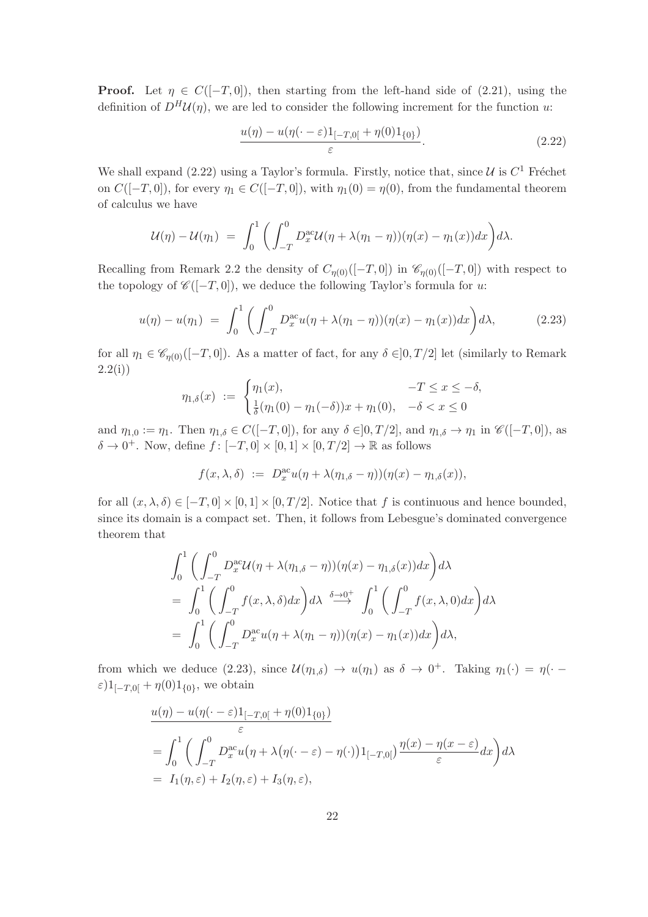**Proof.** Let  $\eta \in C([-T, 0])$ , then starting from the left-hand side of (2.21), using the definition of  $D^H{\mathcal{U}}(\eta)$ , we are led to consider the following increment for the function u:

$$
\frac{u(\eta) - u(\eta(\cdot - \varepsilon)1_{[-T,0[} + \eta(0)1_{\{0\}})}{\varepsilon}.
$$
\n(2.22)

We shall expand (2.22) using a Taylor's formula. Firstly, notice that, since  $\mathcal{U}$  is  $C^1$  Fréchet on  $C([-T, 0])$ , for every  $\eta_1 \in C([-T, 0])$ , with  $\eta_1(0) = \eta(0)$ , from the fundamental theorem of calculus we have

$$
\mathcal{U}(\eta) - \mathcal{U}(\eta_1) = \int_0^1 \bigg( \int_{-T}^0 D_x^{\text{ac}} \mathcal{U}(\eta + \lambda(\eta_1 - \eta))(\eta(x) - \eta_1(x)) dx \bigg) d\lambda.
$$

Recalling from Remark 2.2 the density of  $C_{\eta(0)}([-T,0])$  in  $\mathscr{C}_{\eta(0)}([-T,0])$  with respect to the topology of  $\mathscr{C}([-T, 0])$ , we deduce the following Taylor's formula for u:

$$
u(\eta) - u(\eta_1) = \int_0^1 \left( \int_{-T}^0 D_x^{\text{ac}} u(\eta + \lambda(\eta_1 - \eta))(\eta(x) - \eta_1(x)) dx \right) d\lambda, \tag{2.23}
$$

for all  $\eta_1 \in \mathscr{C}_{\eta(0)}([-T,0])$ . As a matter of fact, for any  $\delta \in ]0,T/2]$  let (similarly to Remark  $2.2(i)$ 

$$
\eta_{1,\delta}(x) := \begin{cases} \eta_1(x), & -T \le x \le -\delta, \\ \frac{1}{\delta}(\eta_1(0) - \eta_1(-\delta))x + \eta_1(0), & -\delta < x \le 0 \end{cases}
$$

and  $\eta_{1,0} := \eta_1$ . Then  $\eta_{1,\delta} \in C([-T,0])$ , for any  $\delta \in ]0,T/2]$ , and  $\eta_{1,\delta} \to \eta_1$  in  $\mathscr{C}([-T,0])$ , as  $\delta \to 0^+$ . Now, define  $f: [-T, 0] \times [0, 1] \times [0, T/2] \to \mathbb{R}$  as follows

$$
f(x,\lambda,\delta) := D_x^{\text{ac}} u(\eta + \lambda(\eta_{1,\delta} - \eta))(\eta(x) - \eta_{1,\delta}(x)),
$$

for all  $(x, \lambda, \delta) \in [-T, 0] \times [0, 1] \times [0, T/2]$ . Notice that f is continuous and hence bounded, since its domain is a compact set. Then, it follows from Lebesgue's dominated convergence theorem that

$$
\int_0^1 \left( \int_{-T}^0 D_x^{\alpha c} \mathcal{U}(\eta + \lambda(\eta_{1,\delta} - \eta))(\eta(x) - \eta_{1,\delta}(x)) dx \right) d\lambda
$$
  
= 
$$
\int_0^1 \left( \int_{-T}^0 f(x, \lambda, \delta) dx \right) d\lambda \stackrel{\delta \to 0^+}{\longrightarrow} \int_0^1 \left( \int_{-T}^0 f(x, \lambda, 0) dx \right) d\lambda
$$
  
= 
$$
\int_0^1 \left( \int_{-T}^0 D_x^{\alpha c} u(\eta + \lambda(\eta_1 - \eta))(\eta(x) - \eta_1(x)) dx \right) d\lambda,
$$

from which we deduce (2.23), since  $\mathcal{U}(\eta_{1,\delta}) \to u(\eta_1)$  as  $\delta \to 0^+$ . Taking  $\eta_1(\cdot) = \eta(\cdot \varepsilon$ )1<sub>[-T,0[</sub> +  $\eta(0)$ 1<sub>{0}</sub>, we obtain

$$
\frac{u(\eta) - u(\eta(\cdot - \varepsilon)1_{[-T,0[} + \eta(0)1_{\{0\}})}{\varepsilon}
$$
\n
$$
= \int_0^1 \left( \int_{-T}^0 D_x^{\text{ac}} u(\eta + \lambda(\eta(\cdot - \varepsilon) - \eta(\cdot))1_{[-T,0[}) \frac{\eta(x) - \eta(x - \varepsilon)}{\varepsilon} dx \right) d\lambda
$$
\n
$$
= I_1(\eta, \varepsilon) + I_2(\eta, \varepsilon) + I_3(\eta, \varepsilon),
$$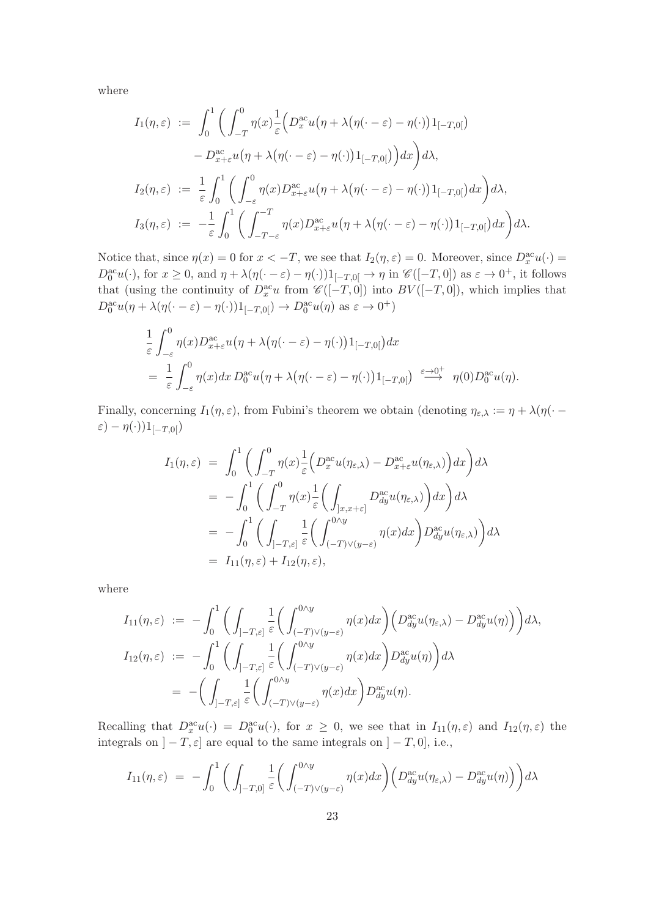where

$$
I_1(\eta,\varepsilon) := \int_0^1 \left( \int_{-T}^0 \eta(x) \frac{1}{\varepsilon} \Big( D_x^{\alpha\alpha} u(\eta + \lambda(\eta(\cdot - \varepsilon) - \eta(\cdot)) \Big) 1_{[-T,0[} ) \right. \\ - D_{x+\varepsilon}^{\alpha\alpha} u(\eta + \lambda(\eta(\cdot - \varepsilon) - \eta(\cdot)) \Big) 1_{[-T,0[} ) \Big) dx \Big) d\lambda,
$$
  
\n
$$
I_2(\eta,\varepsilon) := \frac{1}{\varepsilon} \int_0^1 \left( \int_{-\varepsilon}^0 \eta(x) D_{x+\varepsilon}^{\alpha\alpha} u(\eta + \lambda(\eta(\cdot - \varepsilon) - \eta(\cdot)) \Big) 1_{[-T,0[} ) dx \right) d\lambda,
$$
  
\n
$$
I_3(\eta,\varepsilon) := -\frac{1}{\varepsilon} \int_0^1 \left( \int_{-T-\varepsilon}^{-T} \eta(x) D_{x+\varepsilon}^{\alpha\alpha} u(\eta + \lambda(\eta(\cdot - \varepsilon) - \eta(\cdot)) \Big) 1_{[-T,0[} ) dx \right) d\lambda.
$$

Notice that, since  $\eta(x) = 0$  for  $x < -T$ , we see that  $I_2(\eta, \varepsilon) = 0$ . Moreover, since  $D_x^{\text{ac}}u(\cdot) =$  $D_0^{\text{ac}}u(\cdot)$ , for  $x \geq 0$ , and  $\eta + \lambda(\eta(\cdot - \varepsilon) - \eta(\cdot))1_{[-T,0[} \to \eta \text{ in } \mathscr{C}([-T,0]) \text{ as } \varepsilon \to 0^+$ , it follows that (using the continuity of  $D_x^{\text{ac}}u$  from  $\mathscr{C}([-T,0])$  into  $BV([-T,0])$ , which implies that  $D_0^{\rm ac}u(\eta + \lambda(\eta(\cdot - \varepsilon) - \eta(\cdot))1_{[-T,0[}) \to D_0^{\rm ac}u(\eta)$  as  $\varepsilon \to 0^+$ )

$$
\frac{1}{\varepsilon} \int_{-\varepsilon}^{0} \eta(x) D_{x+\varepsilon}^{\mathrm{ac}} u(\eta + \lambda (\eta(\cdot - \varepsilon) - \eta(\cdot)) 1_{[-T,0[}) dx \n= \frac{1}{\varepsilon} \int_{-\varepsilon}^{0} \eta(x) dx D_{0}^{\mathrm{ac}} u(\eta + \lambda (\eta(\cdot - \varepsilon) - \eta(\cdot)) 1_{[-T,0[}) \xrightarrow{\varepsilon \to 0^{+}} \eta(0) D_{0}^{\mathrm{ac}} u(\eta).
$$

Finally, concerning  $I_1(\eta, \varepsilon)$ , from Fubini's theorem we obtain (denoting  $\eta_{\varepsilon,\lambda} := \eta + \lambda(\eta(\cdot$ ε) –  $η(·)$ ) $1_{[-T,0[})$ 

$$
I_{1}(\eta,\varepsilon) = \int_{0}^{1} \left( \int_{-T}^{0} \eta(x) \frac{1}{\varepsilon} \Big( D_{x}^{\alpha c} u(\eta_{\varepsilon,\lambda}) - D_{x+\varepsilon}^{\alpha c} u(\eta_{\varepsilon,\lambda}) \Big) dx \right) d\lambda
$$
  
\n
$$
= -\int_{0}^{1} \left( \int_{-T}^{0} \eta(x) \frac{1}{\varepsilon} \Big( \int_{]x,x+\varepsilon]} D_{dy}^{\alpha c} u(\eta_{\varepsilon,\lambda}) \Big) dx \right) d\lambda
$$
  
\n
$$
= -\int_{0}^{1} \left( \int_{] -T,\varepsilon]} \frac{1}{\varepsilon} \Big( \int_{(-T)\vee(y-\varepsilon)}^{0\wedge y} \eta(x) dx \Big) D_{dy}^{\alpha c} u(\eta_{\varepsilon,\lambda}) \Big) d\lambda
$$
  
\n
$$
= I_{11}(\eta,\varepsilon) + I_{12}(\eta,\varepsilon),
$$

where

$$
I_{11}(\eta,\varepsilon) := -\int_0^1 \bigg( \int_{]-T,\varepsilon]} \frac{1}{\varepsilon} \bigg( \int_{(-T)\vee(y-\varepsilon)}^{0\wedge y} \eta(x) dx \bigg) \bigg( D_{dy}^{\mathrm{ac}} u(\eta_{\varepsilon,\lambda}) - D_{dy}^{\mathrm{ac}} u(\eta) \bigg) \bigg) d\lambda,
$$
  
\n
$$
I_{12}(\eta,\varepsilon) := -\int_0^1 \bigg( \int_{]-T,\varepsilon]} \frac{1}{\varepsilon} \bigg( \int_{(-T)\vee(y-\varepsilon)}^{0\wedge y} \eta(x) dx \bigg) D_{dy}^{\mathrm{ac}} u(\eta) \bigg) d\lambda
$$
  
\n
$$
= -\bigg( \int_{]-T,\varepsilon]} \frac{1}{\varepsilon} \bigg( \int_{(-T)\vee(y-\varepsilon)}^{0\wedge y} \eta(x) dx \bigg) D_{dy}^{\mathrm{ac}} u(\eta).
$$

Recalling that  $D_x^{\text{ac}}u(\cdot) = D_0^{\text{ac}}u(\cdot)$ , for  $x \geq 0$ , we see that in  $I_{11}(\eta,\varepsilon)$  and  $I_{12}(\eta,\varepsilon)$  the integrals on  $]-T,\varepsilon]$  are equal to the same integrals on  $]-T,0],$  i.e.,

$$
I_{11}(\eta,\varepsilon) = -\int_0^1 \bigg( \int_{]-T,0]} \frac{1}{\varepsilon} \bigg( \int_{(-T)\vee(y-\varepsilon)}^{0\wedge y} \eta(x) dx \bigg) \bigg( D_{dy}^{\text{ac}} u(\eta_{\varepsilon,\lambda}) - D_{dy}^{\text{ac}} u(\eta) \bigg) \bigg) d\lambda
$$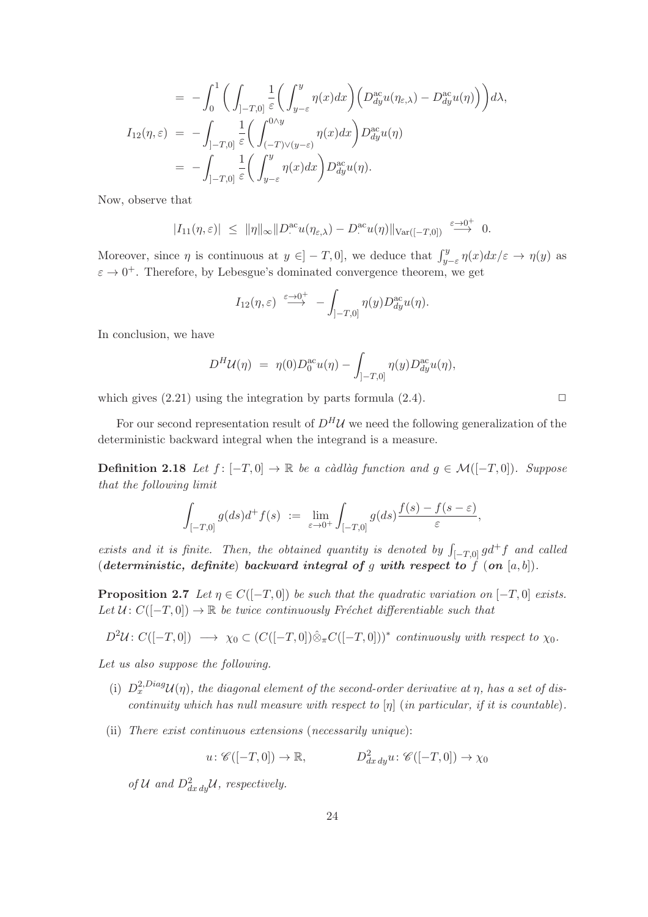$$
= -\int_0^1 \bigg( \int_{]-T,0]} \frac{1}{\varepsilon} \bigg( \int_{y-\varepsilon}^y \eta(x) dx \bigg) \bigg( D_{dy}^{\text{ac}} u(\eta_{\varepsilon,\lambda}) - D_{dy}^{\text{ac}} u(\eta) \bigg) \bigg) d\lambda,
$$
  
\n
$$
I_{12}(\eta,\varepsilon) = -\int_{]-T,0]} \frac{1}{\varepsilon} \bigg( \int_{(-T)\vee(y-\varepsilon)}^{0\wedge y} \eta(x) dx \bigg) D_{dy}^{\text{ac}} u(\eta)
$$
  
\n
$$
= -\int_{]-T,0]} \frac{1}{\varepsilon} \bigg( \int_{y-\varepsilon}^y \eta(x) dx \bigg) D_{dy}^{\text{ac}} u(\eta).
$$

Now, observe that

$$
|I_{11}(\eta,\varepsilon)| \leq \|\eta\|_{\infty} \|D^{\mathrm{ac}}_{\cdot}u(\eta_{\varepsilon,\lambda}) - D^{\mathrm{ac}}_{\cdot}u(\eta)\|_{\mathrm{Var}([-T,0])} \xrightarrow{\varepsilon \to 0^+} 0.
$$

Moreover, since  $\eta$  is continuous at  $y \in ]-T,0]$ , we deduce that  $\int_{y-\varepsilon}^{y} \eta(x) dx/\varepsilon \to \eta(y)$  as  $\varepsilon \to 0^+$ . Therefore, by Lebesgue's dominated convergence theorem, we get

$$
I_{12}(\eta,\varepsilon) \stackrel{\varepsilon\to 0^+}{\longrightarrow} -\int_{]-T,0]} \eta(y)D_{dy}^{\mathrm{ac}}u(\eta).
$$

In conclusion, we have

$$
D^{H} \mathcal{U}(\eta) = \eta(0) D_0^{\text{ac}} u(\eta) - \int_{]-T,0]} \eta(y) D_{dy}^{\text{ac}} u(\eta),
$$

which gives  $(2.21)$  using the integration by parts formula  $(2.4)$ .

For our second representation result of  $D^H\mathcal{U}$  we need the following generalization of the deterministic backward integral when the integrand is a measure.

**Definition 2.18** Let  $f: [-T, 0] \rightarrow \mathbb{R}$  be a càdlàg function and  $g \in \mathcal{M}([-T, 0])$ . Suppose that the following limit

$$
\int_{[-T,0]} g(ds) d^+ f(s) \ := \ \lim_{\varepsilon \to 0^+} \int_{[-T,0]} g(ds) \frac{f(s) - f(s - \varepsilon)}{\varepsilon},
$$

exists and it is finite. Then, the obtained quantity is denoted by  $\int_{[-T,0]} g d^+ f$  and called (deterministic, definite) backward integral of g with respect to  $f$  (on  $[a, b]$ ).

**Proposition 2.7** Let  $\eta \in C([-T, 0])$  be such that the quadratic variation on  $[-T, 0]$  exists. Let  $U: C([-T, 0]) \to \mathbb{R}$  be twice continuously Fréchet differentiable such that

$$
D^2\mathcal{U}\colon C([-T,0]) \longrightarrow \chi_0 \subset (C([-T,0])\hat{\otimes}_{\pi}C([-T,0]))^* \text{ continuously with respect to } \chi_0.
$$

Let us also suppose the following.

- (i)  $D_x^{2,Diag}U(\eta)$ , the diagonal element of the second-order derivative at  $\eta$ , has a set of discontinuity which has null measure with respect to  $[\eta]$  (in particular, if it is countable).
- (ii) There exist continuous extensions (necessarily unique):

 $u: \mathscr{C}([-T,0]) \to \mathbb{R}, \qquad D^2_{dx\,dy}u: \mathscr{C}([-T,0]) \to \chi_0$ 

of U and  $D_{dx\,dy}^2$ U, respectively.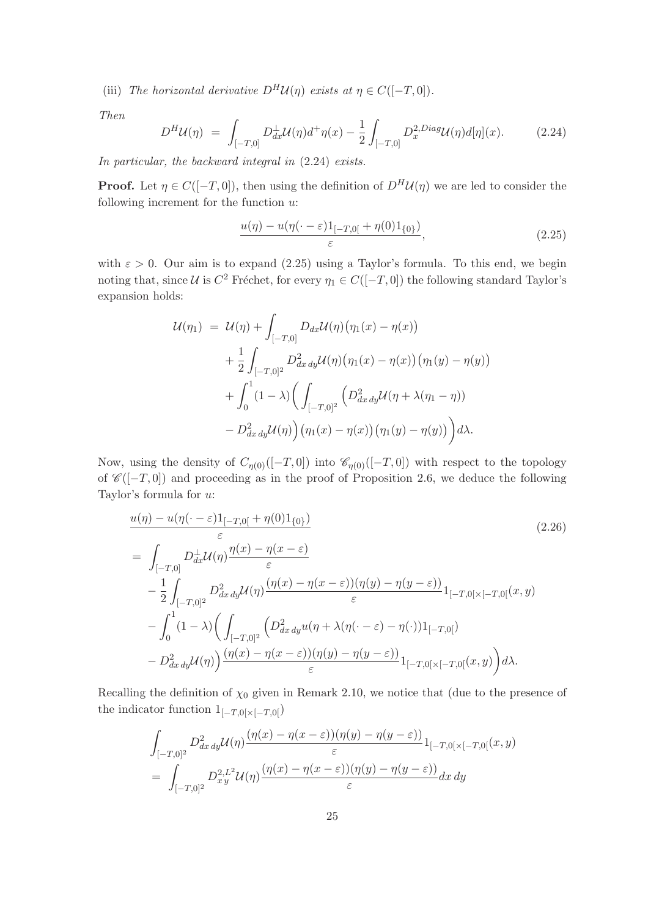(iii) The horizontal derivative  $D^H \mathcal{U}(\eta)$  exists at  $\eta \in C([-T, 0]).$ 

Then

$$
D^H \mathcal{U}(\eta) = \int_{[-T,0]} D_{dx}^{\perp} \mathcal{U}(\eta) d^{\dagger} \eta(x) - \frac{1}{2} \int_{[-T,0]} D_x^{2,Diag} \mathcal{U}(\eta) d[\eta](x).
$$
 (2.24)

In particular, the backward integral in (2.24) exists.

**Proof.** Let  $\eta \in C([-T, 0])$ , then using the definition of  $D^H \mathcal{U}(\eta)$  we are led to consider the following increment for the function  $u$ :

$$
\frac{u(\eta) - u(\eta(\cdot - \varepsilon)1_{[-T,0[} + \eta(0)1_{\{0\}})}{\varepsilon},\tag{2.25}
$$

with  $\varepsilon > 0$ . Our aim is to expand (2.25) using a Taylor's formula. To this end, we begin noting that, since  $\mathcal U$  is  $C^2$  Fréchet, for every  $\eta_1 \in C([-T, 0])$  the following standard Taylor's expansion holds:

$$
\mathcal{U}(\eta_1) = \mathcal{U}(\eta) + \int_{[-T,0]} D_{dx}\mathcal{U}(\eta) (\eta_1(x) - \eta(x)) \n+ \frac{1}{2} \int_{[-T,0]^2} D_{dx\,dy}^2 \mathcal{U}(\eta) (\eta_1(x) - \eta(x)) (\eta_1(y) - \eta(y)) \n+ \int_0^1 (1 - \lambda) \bigg( \int_{[-T,0]^2} \bigg( D_{dx\,dy}^2 \mathcal{U}(\eta + \lambda(\eta_1 - \eta)) \n- D_{dx\,dy}^2 \mathcal{U}(\eta) \bigg) (\eta_1(x) - \eta(x)) (\eta_1(y) - \eta(y)) \bigg) d\lambda.
$$

Now, using the density of  $C_{\eta(0)}([-T,0])$  into  $\mathscr{C}_{\eta(0)}([-T,0])$  with respect to the topology of  $\mathscr{C}([-T,0])$  and proceeding as in the proof of Proposition 2.6, we deduce the following Taylor's formula for u:

$$
\frac{u(\eta) - u(\eta(\cdot - \varepsilon)1_{[-T,0]} + \eta(0)1_{\{0\}})}{\varepsilon}
$$
\n
$$
= \int_{[-T,0]} D_{dx}^{\perp} \mathcal{U}(\eta) \frac{\eta(x) - \eta(x - \varepsilon)}{\varepsilon} \n- \frac{1}{2} \int_{[-T,0]^2} D_{dx}^2 dy \mathcal{U}(\eta) \frac{(\eta(x) - \eta(x - \varepsilon))(\eta(y) - \eta(y - \varepsilon))}{\varepsilon} 1_{[-T,0] \times [-T,0]}(x, y) \n- \int_0^1 (1 - \lambda) \left( \int_{[-T,0]^2} \left( D_{dx}^2 dy u(\eta + \lambda(\eta(\cdot - \varepsilon) - \eta(\cdot))1_{[-T,0]}\right) \right. \\
\left. - D_{dx}^2 dy \mathcal{U}(\eta) \right) \frac{(\eta(x) - \eta(x - \varepsilon))(\eta(y) - \eta(y - \varepsilon))}{\varepsilon} 1_{[-T,0] \times [-T,0]}(x, y) d\lambda.
$$
\n(2.26)

Recalling the definition of  $\chi_0$  given in Remark 2.10, we notice that (due to the presence of the indicator function  $1_{[-T,0[\times[-T,0[}])$ 

$$
\int_{[-T,0]^2} D^2_{dx\,dy} \mathcal{U}(\eta) \frac{(\eta(x) - \eta(x-\varepsilon))(\eta(y) - \eta(y-\varepsilon))}{\varepsilon} 1_{[-T,0[\times[-T,0[}(x,y))]}
$$
\n
$$
= \int_{[-T,0]^2} D^{2,L^2}_{xy} \mathcal{U}(\eta) \frac{(\eta(x) - \eta(x-\varepsilon))(\eta(y) - \eta(y-\varepsilon))}{\varepsilon} dx\,dy
$$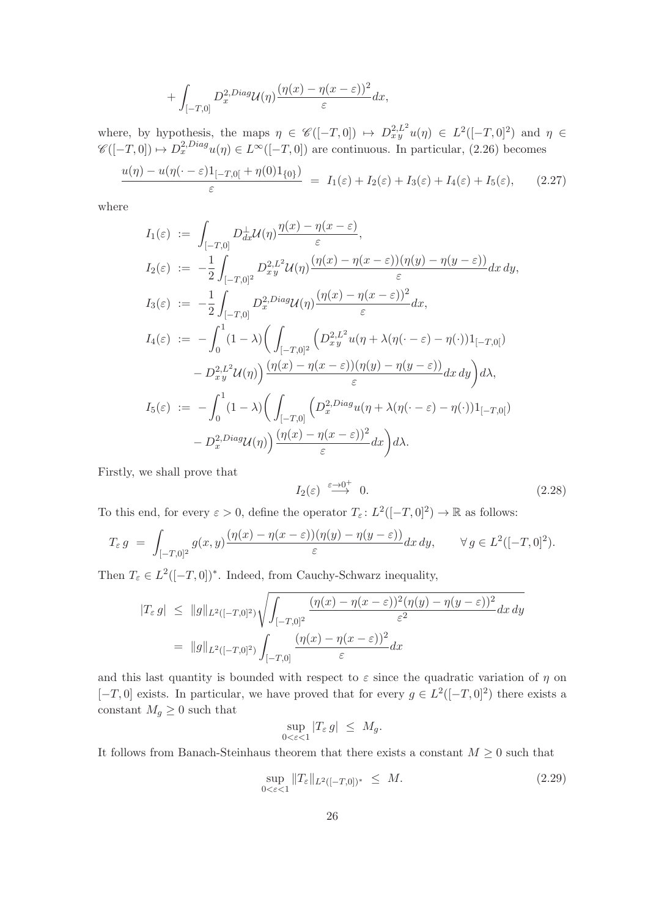$$
+\int_{[-T,0]} D_x^{2,Diag} \mathcal{U}(\eta) \frac{(\eta(x)-\eta(x-\varepsilon))^2}{\varepsilon} dx,
$$

where, by hypothesis, the maps  $\eta \in \mathscr{C}([-T,0]) \mapsto D^{2,L^2}_{xy}u(\eta) \in L^2([-T,0]^2)$  and  $\eta \in$  $\mathscr{C}([-T,0]) \mapsto D_x^{2,Diag}u(\eta) \in L^{\infty}([-T,0])$  are continuous. In particular, (2.26) becomes

$$
\frac{u(\eta) - u(\eta(\cdot - \varepsilon)1_{[-T,0[} + \eta(0)1_{\{0\}})}{\varepsilon} = I_1(\varepsilon) + I_2(\varepsilon) + I_3(\varepsilon) + I_4(\varepsilon) + I_5(\varepsilon), \qquad (2.27)
$$

where

$$
I_1(\varepsilon) := \int_{[-T,0]} D_{dx}^{\perp} \mathcal{U}(\eta) \frac{\eta(x) - \eta(x - \varepsilon)}{\varepsilon},
$$
  
\n
$$
I_2(\varepsilon) := -\frac{1}{2} \int_{[-T,0]^2} D_{xy}^{2,L^2} \mathcal{U}(\eta) \frac{(\eta(x) - \eta(x - \varepsilon))(\eta(y) - \eta(y - \varepsilon))}{\varepsilon} dx dy,
$$
  
\n
$$
I_3(\varepsilon) := -\frac{1}{2} \int_{[-T,0]^2} D_{x}^{2,Diag} \mathcal{U}(\eta) \frac{(\eta(x) - \eta(x - \varepsilon))^2}{\varepsilon} dx,
$$
  
\n
$$
I_4(\varepsilon) := -\int_{0}^{1} (1 - \lambda) \Big( \int_{[-T,0]^2} \Big( D_{xy}^{2,L^2} u(\eta + \lambda(\eta(\cdot - \varepsilon) - \eta(\cdot))1_{[-T,0[}) -D_{xy}^{2,L^2} \mathcal{U}(\eta) \Big) \frac{(\eta(x) - \eta(x - \varepsilon))(\eta(y) - \eta(y - \varepsilon))}{\varepsilon} dx dy \Big) d\lambda,
$$
  
\n
$$
I_5(\varepsilon) := -\int_{0}^{1} (1 - \lambda) \Big( \int_{[-T,0]} \Big( D_{x}^{2,Diag} u(\eta + \lambda(\eta(\cdot - \varepsilon) - \eta(\cdot))1_{[-T,0[}) -D_{x}^{2,Diag} \mathcal{U}(\eta) \Big) \frac{(\eta(x) - \eta(x - \varepsilon))^2}{\varepsilon} dx \Big) d\lambda.
$$

Firstly, we shall prove that

$$
I_2(\varepsilon) \stackrel{\varepsilon \to 0^+}{\longrightarrow} 0. \tag{2.28}
$$

To this end, for every  $\varepsilon > 0$ , define the operator  $T_{\varepsilon} : L^2([-T, 0]^2) \to \mathbb{R}$  as follows:

$$
T_{\varepsilon} g = \int_{[-T,0]^2} g(x,y) \frac{(\eta(x) - \eta(x-\varepsilon))(\eta(y) - \eta(y-\varepsilon))}{\varepsilon} dx dy, \quad \forall g \in L^2([-T,0]^2).
$$

Then  $T_{\varepsilon} \in L^2([-T, 0])^*$ . Indeed, from Cauchy-Schwarz inequality,

$$
|T_{\varepsilon} g| \leq ||g||_{L^{2}([-T,0]^{2})} \sqrt{\int_{[-T,0]^{2}} \frac{(\eta(x) - \eta(x-\varepsilon))^{2} (\eta(y) - \eta(y-\varepsilon))^{2}}{\varepsilon^{2}} dx dy}
$$
  
= 
$$
||g||_{L^{2}([-T,0]^{2})} \int_{[-T,0]} \frac{(\eta(x) - \eta(x-\varepsilon))^{2}}{\varepsilon} dx
$$

and this last quantity is bounded with respect to  $\varepsilon$  since the quadratic variation of  $\eta$  on  $[-T, 0]$  exists. In particular, we have proved that for every  $g \in L^2([-T, 0]^2)$  there exists a constant  $M_g \geq 0$  such that

$$
\sup_{0 < \varepsilon < 1} |T_{\varepsilon} g| \le M_g.
$$

It follows from Banach-Steinhaus theorem that there exists a constant  $M \geq 0$  such that

$$
\sup_{0 < \varepsilon < 1} \|T_{\varepsilon}\|_{L^2([-T, 0])^*} \le M. \tag{2.29}
$$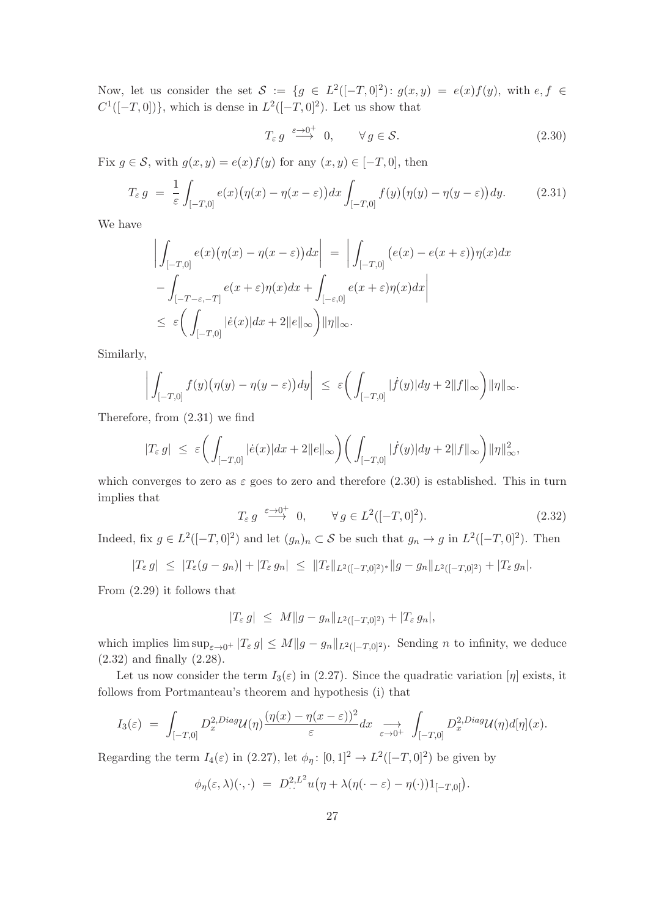Now, let us consider the set  $S := \{g \in L^2([-T, 0]^2): g(x, y) = e(x)f(y), \text{ with } e, f \in$  $C^1([-T, 0])\}$ , which is dense in  $L^2([-T, 0]^2)$ . Let us show that

$$
T_{\varepsilon} g \xrightarrow{\varepsilon \to 0^+} 0, \qquad \forall g \in \mathcal{S}.
$$
 (2.30)

Fix  $g \in \mathcal{S}$ , with  $g(x, y) = e(x)f(y)$  for any  $(x, y) \in [-T, 0]$ , then

$$
T_{\varepsilon} g = \frac{1}{\varepsilon} \int_{[-T,0]} e(x) \big( \eta(x) - \eta(x - \varepsilon) \big) dx \int_{[-T,0]} f(y) \big( \eta(y) - \eta(y - \varepsilon) \big) dy. \tag{2.31}
$$

We have

$$
\left| \int_{[-T,0]} e(x) (\eta(x) - \eta(x - \varepsilon)) dx \right| = \left| \int_{[-T,0]} (e(x) - e(x + \varepsilon)) \eta(x) dx \right|
$$
  

$$
- \int_{[-T-\varepsilon,-T]} e(x + \varepsilon) \eta(x) dx + \int_{[-\varepsilon,0]} e(x + \varepsilon) \eta(x) dx \right|
$$
  

$$
\leq \varepsilon \left( \int_{[-T,0]} |\dot{e}(x)| dx + 2||e||_{\infty} \right) ||\eta||_{\infty}.
$$

Similarly,

$$
\left| \int_{[-T,0]} f(y) \big( \eta(y) - \eta(y-\varepsilon) \big) dy \right| \ \leq \ \varepsilon \bigg( \int_{[-T,0]} |f(y)| dy + 2 \|f\|_{\infty} \bigg) \|\eta\|_{\infty}.
$$

Therefore, from (2.31) we find

$$
|T_\varepsilon\, g| \ \leq \ \varepsilon \bigg(\int_{[-T,0]} |\dot e(x)| dx + 2 \|e\|_\infty \bigg) \bigg(\int_{[-T,0]} |\dot f(y)| dy + 2 \|f\|_\infty \bigg) \|\eta\|_\infty^2,
$$

which converges to zero as  $\varepsilon$  goes to zero and therefore (2.30) is established. This in turn implies that

$$
T_{\varepsilon} g \stackrel{\varepsilon \to 0^+}{\longrightarrow} 0, \qquad \forall g \in L^2([-T, 0]^2). \tag{2.32}
$$

Indeed, fix  $g \in L^2([-T, 0]^2)$  and let  $(g_n)_n \subset S$  be such that  $g_n \to g$  in  $L^2([-T, 0]^2)$ . Then

$$
|T_{\varepsilon} g| \leq |T_{\varepsilon}(g - g_n)| + |T_{\varepsilon} g_n| \leq ||T_{\varepsilon}||_{L^2([-T,0]^2)^*} ||g - g_n||_{L^2([-T,0]^2)} + |T_{\varepsilon} g_n|.
$$

From (2.29) it follows that

$$
|T_{\varepsilon} g| \leq M \|g - g_n\|_{L^2([-T,0]^2)} + |T_{\varepsilon} g_n|,
$$

which implies  $\limsup_{\varepsilon\to 0^+} |T_{\varepsilon} g| \leq M \|g - g_n\|_{L^2([-T,0]^2)}$ . Sending *n* to infinity, we deduce (2.32) and finally (2.28).

Let us now consider the term  $I_3(\varepsilon)$  in (2.27). Since the quadratic variation  $[\eta]$  exists, it follows from Portmanteau's theorem and hypothesis (i) that

$$
I_3(\varepsilon) = \int_{[-T,0]} D_x^{2,Diag} \mathcal{U}(\eta) \frac{(\eta(x) - \eta(x-\varepsilon))^2}{\varepsilon} dx \underset{\varepsilon \to 0^+}{\longrightarrow} \int_{[-T,0]} D_x^{2,Diag} \mathcal{U}(\eta) d[\eta](x).
$$

Regarding the term  $I_4(\varepsilon)$  in (2.27), let  $\phi_\eta: [0,1]^2 \to L^2([-T,0]^2)$  be given by

$$
\phi_{\eta}(\varepsilon,\lambda)(\cdot,\cdot) = D^{2,L^2}_{\cdot\cdot\cdot}u(\eta + \lambda(\eta(\cdot-\varepsilon)-\eta(\cdot))1_{[-T,0[}).
$$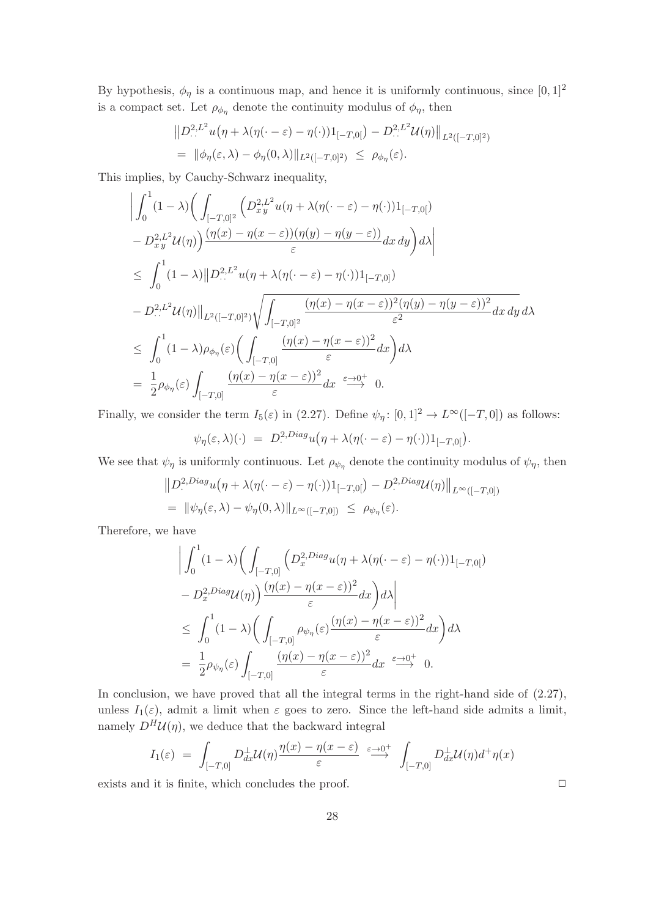By hypothesis,  $\phi_{\eta}$  is a continuous map, and hence it is uniformly continuous, since  $[0, 1]^2$ is a compact set. Let  $\rho_{\phi_{\eta}}$  denote the continuity modulus of  $\phi_{\eta}$ , then

$$
\|D^{2,L^2}_{\cdot\cdot\cdot}u(\eta+\lambda(\eta(\cdot-\varepsilon)-\eta(\cdot))1_{[-T,0[})-D^{2,L^2}_{\cdot\cdot\cdot}U(\eta)\|_{L^2([-T,0]^2)}
$$
  
=  $\|\phi_{\eta}(\varepsilon,\lambda)-\phi_{\eta}(0,\lambda)\|_{L^2([-T,0]^2)} \leq \rho_{\phi_{\eta}}(\varepsilon).$ 

This implies, by Cauchy-Schwarz inequality,

$$
\begin{split}\n&\left|\int_{0}^{1} (1-\lambda) \left(\int_{[-T,0]^{2}} \left(D_{xy}^{2,L^{2}} u(\eta+\lambda(\eta(\cdot-\varepsilon)-\eta(\cdot))1_{[-T,0[})\right)\right.\\
&\left.-D_{xy}^{2,L^{2}} \mathcal{U}(\eta)\right) \frac{(\eta(x)-\eta(x-\varepsilon))(\eta(y)-\eta(y-\varepsilon))}{\varepsilon} dx\,dy\right) d\lambda\right| \\
&\leq \int_{0}^{1} (1-\lambda) \left|\left|D_{\cdot\cdot\cdot}^{2,L^{2}} u(\eta+\lambda(\eta(\cdot-\varepsilon)-\eta(\cdot))1_{[-T,0]})\right.\right.\\
&\left.-D_{\cdot\cdot\cdot}^{2,L^{2}} \mathcal{U}(\eta)\right|\left|_{L^{2}([-T,0]^{2})} \sqrt{\int_{[-T,0]^{2}} \frac{(\eta(x)-\eta(x-\varepsilon))^{2}(\eta(y)-\eta(y-\varepsilon))^{2}}{\varepsilon^{2}} dx\,dy}\,d\lambda\right| \\
&\leq \int_{0}^{1} (1-\lambda)\rho_{\phi_{\eta}}(\varepsilon) \left(\int_{[-T,0]} \frac{(\eta(x)-\eta(x-\varepsilon))^{2}}{\varepsilon} dx\right) d\lambda \\
&= \frac{1}{2}\rho_{\phi_{\eta}}(\varepsilon) \int_{[-T,0]} \frac{(\eta(x)-\eta(x-\varepsilon))^{2}}{\varepsilon} dx \xrightarrow{\varepsilon\to 0^{+}} 0.\n\end{split}
$$

Finally, we consider the term  $I_5(\varepsilon)$  in (2.27). Define  $\psi_\eta: [0,1]^2 \to L^\infty([-T,0])$  as follows:

$$
\psi_{\eta}(\varepsilon,\lambda)(\cdot) = D^{2,Diag}_{\cdot}u(\eta + \lambda(\eta(\cdot - \varepsilon) - \eta(\cdot))1_{[-T,0]}).
$$

We see that  $\psi_{\eta}$  is uniformly continuous. Let  $\rho_{\psi_{\eta}}$  denote the continuity modulus of  $\psi_{\eta}$ , then

$$
||D^{2,Diag}_{\cdot}u(\eta+\lambda(\eta(\cdot-\varepsilon)-\eta(\cdot))1_{[-T,0[})-D^{2,Diag}_{\cdot}U(\eta)||_{L^{\infty}([-T,0])}
$$
  
=  $||\psi_{\eta}(\varepsilon,\lambda)-\psi_{\eta}(0,\lambda)||_{L^{\infty}([-T,0])} \leq \rho_{\psi_{\eta}}(\varepsilon).$ 

Therefore, we have

$$
\left| \int_0^1 (1 - \lambda) \left( \int_{[-T,0]} \left( D_x^{2,Diag} u(\eta + \lambda(\eta(\cdot - \varepsilon) - \eta(\cdot)) \mathbf{1}_{[-T,0]} \right) \right) d\lambda \right|
$$
  
-  $D_x^{2,Diag} u(\eta) \left| \frac{(\eta(x) - \eta(x - \varepsilon))^2}{\varepsilon} dx \right| d\lambda \right|$   

$$
\leq \int_0^1 (1 - \lambda) \left( \int_{[-T,0]} \rho_{\psi_\eta}(\varepsilon) \frac{(\eta(x) - \eta(x - \varepsilon))^2}{\varepsilon} dx \right) d\lambda
$$
  
=  $\frac{1}{2} \rho_{\psi_\eta}(\varepsilon) \int_{[-T,0]} \frac{(\eta(x) - \eta(x - \varepsilon))^2}{\varepsilon} dx \xrightarrow{\varepsilon \to 0^+} 0.$ 

In conclusion, we have proved that all the integral terms in the right-hand side of  $(2.27)$ , unless  $I_1(\varepsilon)$ , admit a limit when  $\varepsilon$  goes to zero. Since the left-hand side admits a limit, namely  $D^H \mathcal{U}(\eta)$ , we deduce that the backward integral

$$
I_1(\varepsilon) = \int_{[-T,0]} D_{dx}^{\perp} \mathcal{U}(\eta) \frac{\eta(x) - \eta(x - \varepsilon)}{\varepsilon} \stackrel{\varepsilon \to 0^+}{\longrightarrow} \int_{[-T,0]} D_{dx}^{\perp} \mathcal{U}(\eta) d^{\dagger} \eta(x)
$$

exists and it is finite, which concludes the proof.  $\Box$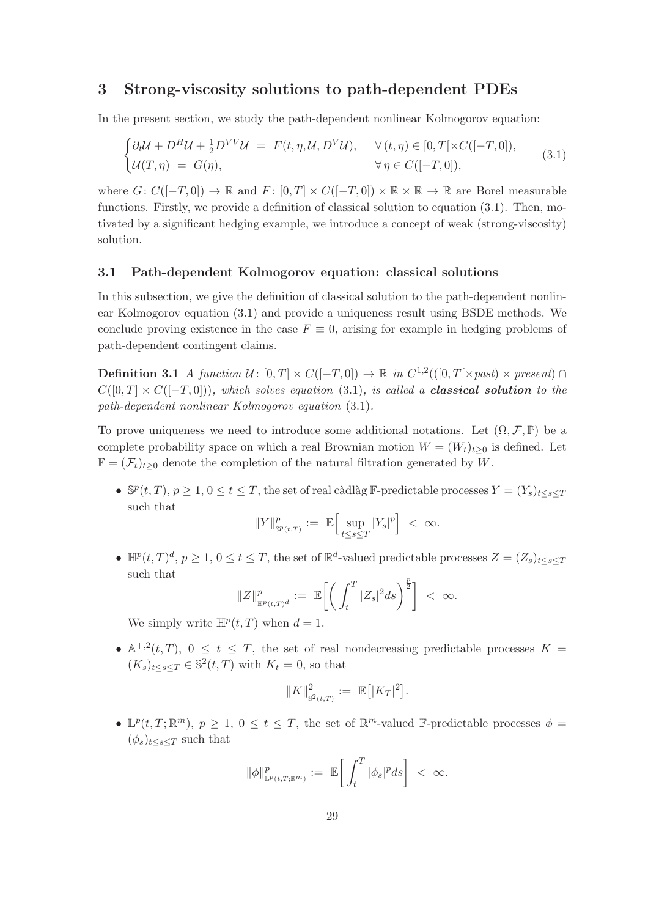# 3 Strong-viscosity solutions to path-dependent PDEs

In the present section, we study the path-dependent nonlinear Kolmogorov equation:

$$
\begin{cases}\n\partial_t \mathcal{U} + D^H \mathcal{U} + \frac{1}{2} D^{VV} \mathcal{U} = F(t, \eta, \mathcal{U}, D^V \mathcal{U}), & \forall (t, \eta) \in [0, T[ \times C([-T, 0]),\\ \n\mathcal{U}(T, \eta) = G(\eta), & \forall \eta \in C([-T, 0]),\n\end{cases} (3.1)
$$

where  $G: C([-T, 0]) \to \mathbb{R}$  and  $F: [0, T] \times C([-T, 0]) \times \mathbb{R} \times \mathbb{R} \to \mathbb{R}$  are Borel measurable functions. Firstly, we provide a definition of classical solution to equation (3.1). Then, motivated by a significant hedging example, we introduce a concept of weak (strong-viscosity) solution.

# 3.1 Path-dependent Kolmogorov equation: classical solutions

In this subsection, we give the definition of classical solution to the path-dependent nonlinear Kolmogorov equation (3.1) and provide a uniqueness result using BSDE methods. We conclude proving existence in the case  $F \equiv 0$ , arising for example in hedging problems of path-dependent contingent claims.

**Definition 3.1** A function  $\mathcal{U} \colon [0,T] \times C([-T,0]) \to \mathbb{R}$  in  $C^{1,2}(([0,T[ \times past) \times present) \cap$  $C([0, T] \times C([-T, 0]))$ , which solves equation (3.1), is called a **classical solution** to the path-dependent nonlinear Kolmogorov equation (3.1).

To prove uniqueness we need to introduce some additional notations. Let  $(\Omega, \mathcal{F}, \mathbb{P})$  be a complete probability space on which a real Brownian motion  $W = (W_t)_{t>0}$  is defined. Let  $\mathbb{F} = (\mathcal{F}_t)_{t>0}$  denote the completion of the natural filtration generated by W.

•  $\mathbb{S}^p(t,T)$ ,  $p \geq 1$ ,  $0 \leq t \leq T$ , the set of real càdlàg F-predictable processes  $Y = (Y_s)_{t \leq s \leq T}$ such that

$$
\|Y\|^p_{\mathrm{sp}_{(t,T)}} := \ \mathbb{E}\Big[\sup_{t\leq s\leq T}|Y_s|^p\Big] \ < \ \infty.
$$

•  $\mathbb{H}^p(t,T)^d$ ,  $p \geq 1$ ,  $0 \leq t \leq T$ , the set of  $\mathbb{R}^d$ -valued predictable processes  $Z = (Z_s)_{t \leq s \leq T}$ such that

$$
\|Z\|_{\mathbb{H}^p(t,T)^d}^p := \mathbb{E}\bigg[\bigg(\int_t^T |Z_s|^2 ds\bigg)^{\frac{p}{2}}\bigg] < \infty.
$$

We simply write  $\mathbb{H}^p(t,T)$  when  $d=1$ .

•  $\mathbb{A}^{+,2}(t,T)$ ,  $0 \le t \le T$ , the set of real nondecreasing predictable processes  $K =$  $(K_s)_{t\leq s\leq T} \in \mathbb{S}^2(t,T)$  with  $K_t = 0$ , so that

$$
||K||_{\mathbb{S}^2(t,T)}^2 := \mathbb{E} \big[ |K_T|^2 \big].
$$

•  $\mathbb{L}^p(t,T;\mathbb{R}^m)$ ,  $p\geq 1$ ,  $0\leq t\leq T$ , the set of  $\mathbb{R}^m$ -valued F-predictable processes  $\phi =$  $(\phi_s)_{t\leq s\leq T}$  such that

$$
\|\phi\|_{\mathbb{L}^p(t,T;\mathbb{R}^m)}^p := \mathbb{E}\bigg[\int_t^T |\phi_s|^p ds\bigg] < \infty.
$$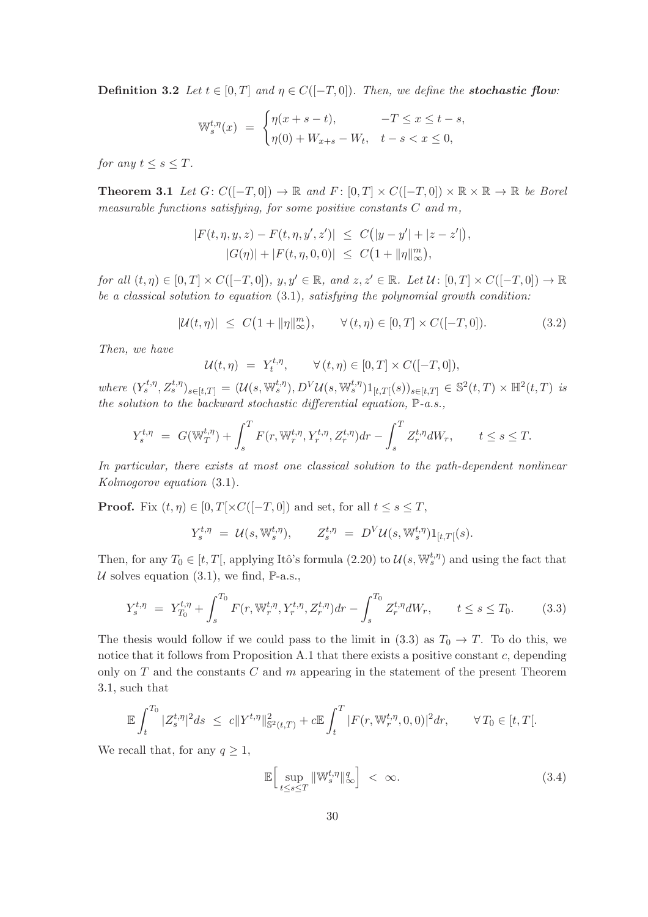**Definition 3.2** Let  $t \in [0, T]$  and  $\eta \in C([-T, 0])$ . Then, we define the **stochastic flow**:

$$
\mathbb{W}_s^{t,\eta}(x) = \begin{cases} \eta(x+s-t), & -T \le x \le t-s, \\ \eta(0) + W_{x+s} - W_t, & t-s < x \le 0, \end{cases}
$$

for any  $t \leq s \leq T$ .

**Theorem 3.1** Let  $G: C([-T, 0]) \to \mathbb{R}$  and  $F: [0, T] \times C([-T, 0]) \times \mathbb{R} \times \mathbb{R} \to \mathbb{R}$  be Borel measurable functions satisfying, for some positive constants  $C$  and  $m$ ,

$$
|F(t, \eta, y, z) - F(t, \eta, y', z')| \leq C(|y - y'| + |z - z'|),
$$
  

$$
|G(\eta)| + |F(t, \eta, 0, 0)| \leq C(1 + ||\eta||_{\infty}^{m}),
$$

for all  $(t, \eta) \in [0, T] \times C([-T, 0]), y, y' \in \mathbb{R}$ , and  $z, z' \in \mathbb{R}$ . Let  $\mathcal{U}$ :  $[0, T] \times C([-T, 0]) \to \mathbb{R}$ be a classical solution to equation  $(3.1)$ , satisfying the polynomial growth condition:

$$
|\mathcal{U}(t,\eta)| \le C\big(1 + \|\eta\|_{\infty}^m\big), \qquad \forall (t,\eta) \in [0,T] \times C([-T,0]). \tag{3.2}
$$

Then, we have

$$
\mathcal{U}(t,\eta) = Y_t^{t,\eta}, \qquad \forall (t,\eta) \in [0,T] \times C([-T,0]),
$$

where  $(Y_s^{t,\eta}, Z_s^{t,\eta})_{s \in [t,T]} = (\mathcal{U}(s, \mathbb{W}_s^{t,\eta}), D^V \mathcal{U}(s, \mathbb{W}_s^{t,\eta}) 1_{[t,T[}(s))_{s \in [t,T]} \in \mathbb{S}^2(t,T) \times \mathbb{H}^2(t,T)$  is the solution to the backward stochastic differential equation,  $\mathbb{P}\text{-}a.s.,$ 

$$
Y_s^{t,\eta} = G(\mathbb{W}_T^{t,\eta}) + \int_s^T F(r, \mathbb{W}_r^{t,\eta}, Y_r^{t,\eta}, Z_r^{t,\eta}) dr - \int_s^T Z_r^{t,\eta} dW_r, \qquad t \le s \le T.
$$

In particular, there exists at most one classical solution to the path-dependent nonlinear Kolmogorov equation (3.1).

**Proof.** Fix  $(t, \eta) \in [0, T] \times C([-T, 0])$  and set, for all  $t \leq s \leq T$ ,

$$
Y_s^{t,\eta} = \mathcal{U}(s,\mathbb{W}_s^{t,\eta}), \qquad Z_s^{t,\eta} = D^V \mathcal{U}(s,\mathbb{W}_s^{t,\eta}) 1_{[t,T]}(s).
$$

Then, for any  $T_0 \in [t, T]$ , applying Itô's formula (2.20) to  $\mathcal{U}(s, \mathbb{W}_s^{t, \eta})$  and using the fact that U solves equation (3.1), we find,  $\mathbb{P}\text{-a.s.}$ ,

$$
Y_s^{t,\eta} = Y_{T_0}^{t,\eta} + \int_s^{T_0} F(r, \mathbb{W}_r^{t,\eta}, Y_r^{t,\eta}, Z_r^{t,\eta}) dr - \int_s^{T_0} Z_r^{t,\eta} dW_r, \qquad t \le s \le T_0.
$$
 (3.3)

The thesis would follow if we could pass to the limit in (3.3) as  $T_0 \to T$ . To do this, we notice that it follows from Proposition A.1 that there exists a positive constant  $c$ , depending only on  $T$  and the constants  $C$  and  $m$  appearing in the statement of the present Theorem 3.1, such that

$$
\mathbb{E}\int_{t}^{T_0} |Z_s^{t,\eta}|^2 ds \leq c \|Y^{t,\eta}\|_{\mathbb{S}^2(t,T)}^2 + c \mathbb{E}\int_{t}^{T} |F(r,\mathbb{W}_r^{t,\eta},0,0)|^2 dr, \qquad \forall T_0 \in [t,T[.
$$

We recall that, for any  $q \geq 1$ ,

$$
\mathbb{E}\Big[\sup_{t\leq s\leq T} \|\mathbb{W}_s^{t,\eta}\|_{\infty}^q\Big] < \infty. \tag{3.4}
$$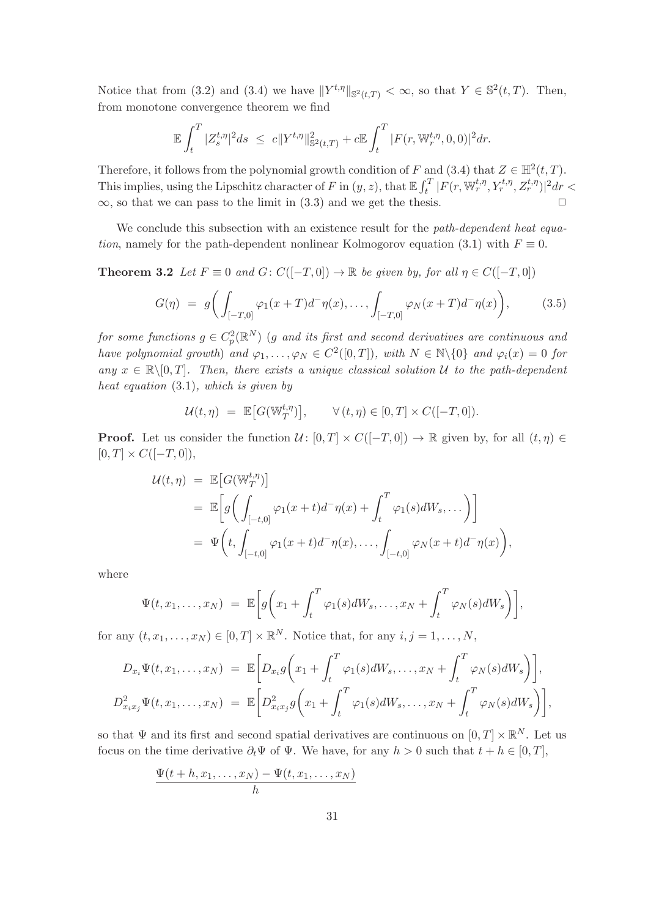Notice that from (3.2) and (3.4) we have  $||Y^{t,\eta}||_{\mathbb{S}^2(t,T)} < \infty$ , so that  $Y \in \mathbb{S}^2(t,T)$ . Then, from monotone convergence theorem we find

$$
\mathbb{E}\int_t^T |Z_s^{t,\eta}|^2 ds \ \leq \ c \|Y^{t,\eta}\|_{{\mathbb S}^2(t,T)}^2 + c \mathbb{E}\int_t^T |F(r,{\mathbb W}_r^{t,\eta},0,0)|^2 dr.
$$

Therefore, it follows from the polynomial growth condition of F and (3.4) that  $Z \in \mathbb{H}^2(t, T)$ . This implies, using the Lipschitz character of F in  $(y, z)$ , that  $\mathbb{E} \int_t^T |F(r, \mathbb{W}^{t,\eta}_r, Y^{t,\eta}_r, Z^{t,\eta}_r)|^2 dr <$  $\infty$ , so that we can pass to the limit in (3.3) and we get the thesis.

We conclude this subsection with an existence result for the path-dependent heat equation, namely for the path-dependent nonlinear Kolmogorov equation (3.1) with  $F \equiv 0$ .

**Theorem 3.2** Let  $F \equiv 0$  and  $G: C([-T, 0]) \rightarrow \mathbb{R}$  be given by, for all  $\eta \in C([-T, 0])$ 

$$
G(\eta) = g\bigg(\int_{[-T,0]} \varphi_1(x+T)d^{-}\eta(x), \dots, \int_{[-T,0]} \varphi_N(x+T)d^{-}\eta(x)\bigg), \tag{3.5}
$$

for some functions  $g \in C^2_p(\mathbb{R}^N)$  (g and its first and second derivatives are continuous and have polynomial growth) and  $\varphi_1, \ldots, \varphi_N \in C^2([0,T])$ , with  $N \in \mathbb{N} \setminus \{0\}$  and  $\varphi_i(x) = 0$  for any  $x \in \mathbb{R} \setminus [0,T]$ . Then, there exists a unique classical solution U to the path-dependent heat equation (3.1), which is given by

$$
\mathcal{U}(t,\eta) = \mathbb{E}\big[G(\mathbb{W}_T^{t,\eta})\big], \qquad \forall (t,\eta) \in [0,T] \times C([-T,0]).
$$

**Proof.** Let us consider the function  $\mathcal{U} : [0, T] \times C([-T, 0]) \to \mathbb{R}$  given by, for all  $(t, \eta) \in$  $[0, T] \times C([-T, 0]),$ 

$$
\mathcal{U}(t,\eta) = \mathbb{E}\big[G(\mathbb{W}_T^{t,\eta})\big]
$$
  
= 
$$
\mathbb{E}\bigg[g\bigg(\int_{[-t,0]} \varphi_1(x+t)d^-\eta(x) + \int_t^T \varphi_1(s)dW_s,\dots\bigg)\bigg]
$$
  
= 
$$
\Psi\bigg(t,\int_{[-t,0]} \varphi_1(x+t)d^-\eta(x),\dots,\int_{[-t,0]} \varphi_N(x+t)d^-\eta(x)\bigg),
$$

where

$$
\Psi(t,x_1,\ldots,x_N) = \mathbb{E}\bigg[g\bigg(x_1+\int_t^T\varphi_1(s)dW_s,\ldots,x_N+\int_t^T\varphi_N(s)dW_s\bigg)\bigg],
$$

for any  $(t, x_1, \ldots, x_N) \in [0, T] \times \mathbb{R}^N$ . Notice that, for any  $i, j = 1, \ldots, N$ ,

$$
D_{x_i}\Psi(t,x_1,\ldots,x_N) = \mathbb{E}\bigg[D_{x_i}g\bigg(x_1+\int_t^T\varphi_1(s)dW_s,\ldots,x_N+\int_t^T\varphi_N(s)dW_s\bigg)\bigg],
$$
  

$$
D_{x_ix_j}^2\Psi(t,x_1,\ldots,x_N) = \mathbb{E}\bigg[D_{x_ix_j}^2g\bigg(x_1+\int_t^T\varphi_1(s)dW_s,\ldots,x_N+\int_t^T\varphi_N(s)dW_s\bigg)\bigg],
$$

so that  $\Psi$  and its first and second spatial derivatives are continuous on  $[0, T] \times \mathbb{R}^N$ . Let us focus on the time derivative  $\partial_t \Psi$  of  $\Psi$ . We have, for any  $h > 0$  such that  $t + h \in [0, T]$ ,

$$
\frac{\Psi(t+h,x_1,\ldots,x_N)-\Psi(t,x_1,\ldots,x_N)}{h}
$$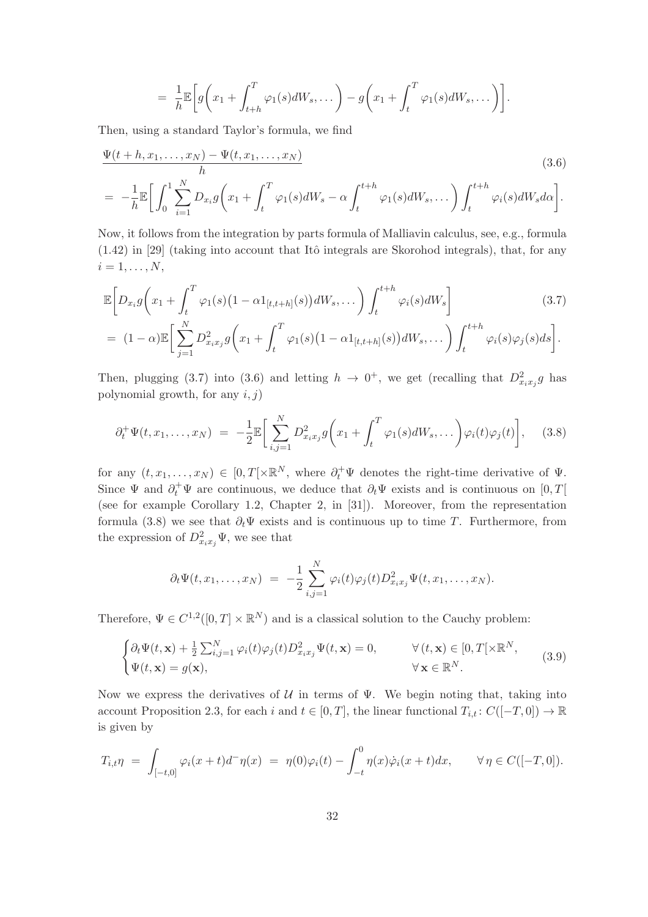$$
= \frac{1}{h} \mathbb{E}\bigg[g\bigg(x_1 + \int_{t+h}^T \varphi_1(s)dW_s, \dots\bigg) - g\bigg(x_1 + \int_t^T \varphi_1(s)dW_s, \dots\bigg)\bigg].
$$

Then, using a standard Taylor's formula, we find

$$
\frac{\Psi(t+h,x_1,\ldots,x_N) - \Psi(t,x_1,\ldots,x_N)}{h}
$$
\n
$$
= -\frac{1}{h} \mathbb{E} \bigg[ \int_0^1 \sum_{i=1}^N D_{x_i} g\bigg(x_1 + \int_t^T \varphi_1(s) dW_s - \alpha \int_t^{t+h} \varphi_1(s) dW_s, \ldots \bigg) \int_t^{t+h} \varphi_i(s) dW_s d\alpha \bigg].
$$
\n(3.6)

Now, it follows from the integration by parts formula of Malliavin calculus, see, e.g., formula  $(1.42)$  in [29] (taking into account that Itô integrals are Skorohod integrals), that, for any  $i = 1, \ldots, N$ ,

$$
\mathbb{E}\bigg[D_{x_i}g\bigg(x_1+\int_t^T\varphi_1(s)\big(1-\alpha 1_{[t,t+h]}(s)\big)dW_s,\dots\bigg)\int_t^{t+h}\varphi_i(s)dW_s\bigg]\tag{3.7}
$$

$$
= (1-\alpha)\mathbb{E}\bigg[\sum_{j=1}^N D_{x_ix_j}^2g\bigg(x_1+\int_t^T\varphi_1(s)\big(1-\alpha1_{[t,t+h]}(s)\big)dW_s,\dots\bigg)\int_t^{t+h}\varphi_i(s)\varphi_j(s)ds\bigg].
$$

Then, plugging (3.7) into (3.6) and letting  $h \to 0^+$ , we get (recalling that  $D^2_{x_ix_j}g$  has polynomial growth, for any  $i, j$ )

$$
\partial_t^+ \Psi(t, x_1, \dots, x_N) = -\frac{1}{2} \mathbb{E} \bigg[ \sum_{i,j=1}^N D_{x_i x_j}^2 g\bigg(x_1 + \int_t^T \varphi_1(s) dW_s, \dots \bigg) \varphi_i(t) \varphi_j(t) \bigg], \quad (3.8)
$$

for any  $(t, x_1, \ldots, x_N) \in [0, T[ \times \mathbb{R}^N, \text{ where } \partial_t^+ \Psi \text{ denotes the right-time derivative of } \Psi.$ Since  $\Psi$  and  $\partial_t^+\Psi$  are continuous, we deduce that  $\partial_t\Psi$  exists and is continuous on  $[0,T[$ (see for example Corollary 1.2, Chapter 2, in [31]). Moreover, from the representation formula (3.8) we see that  $\partial_t \Psi$  exists and is continuous up to time T. Furthermore, from the expression of  $D_{x_ix_j}^2 \Psi$ , we see that

$$
\partial_t \Psi(t, x_1, \dots, x_N) = -\frac{1}{2} \sum_{i,j=1}^N \varphi_i(t) \varphi_j(t) D^2_{x_i x_j} \Psi(t, x_1, \dots, x_N).
$$

Therefore,  $\Psi \in C^{1,2}([0,T] \times \mathbb{R}^N)$  and is a classical solution to the Cauchy problem:

$$
\begin{cases} \partial_t \Psi(t, \mathbf{x}) + \frac{1}{2} \sum_{i,j=1}^N \varphi_i(t) \varphi_j(t) D_{x_i x_j}^2 \Psi(t, \mathbf{x}) = 0, & \forall (t, \mathbf{x}) \in [0, T[ \times \mathbb{R}^N, \\ \Psi(t, \mathbf{x}) = g(\mathbf{x}), & \forall \mathbf{x} \in \mathbb{R}^N. \end{cases}
$$
(3.9)

Now we express the derivatives of  $U$  in terms of  $\Psi$ . We begin noting that, taking into account Proposition 2.3, for each i and  $t \in [0, T]$ , the linear functional  $T_{i,t} : C([-T, 0]) \to \mathbb{R}$ is given by

$$
T_{i,t}\eta = \int_{[-t,0]} \varphi_i(x+t)d^{-}\eta(x) = \eta(0)\varphi_i(t) - \int_{-t}^{0} \eta(x)\dot{\varphi}_i(x+t)dx, \qquad \forall \eta \in C([-T,0]).
$$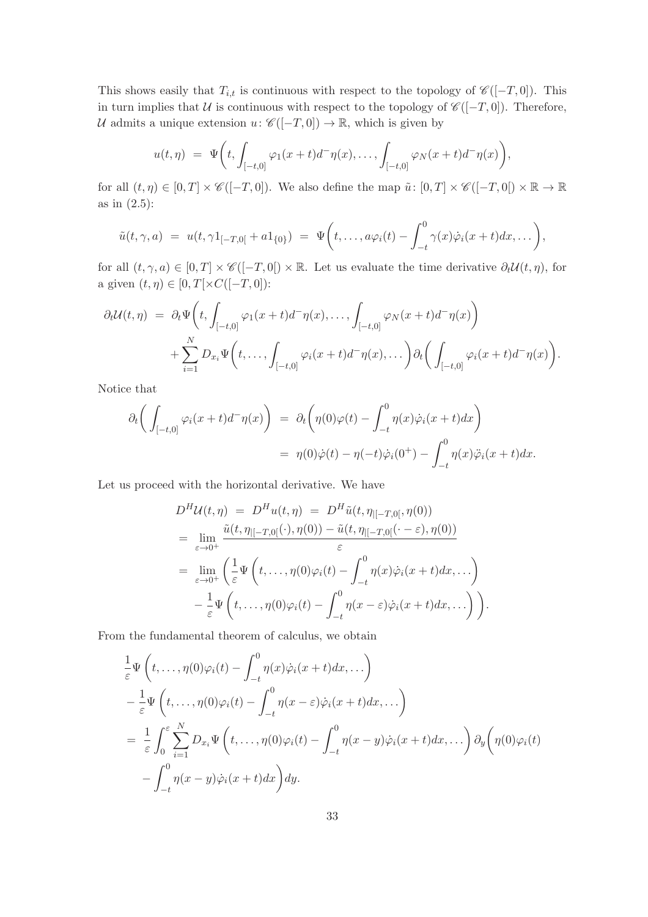This shows easily that  $T_{i,t}$  is continuous with respect to the topology of  $\mathscr{C}([-T,0])$ . This in turn implies that  $U$  is continuous with respect to the topology of  $\mathscr{C}([-T,0])$ . Therefore, U admits a unique extension  $u: \mathscr{C}([-T,0]) \to \mathbb{R}$ , which is given by

$$
u(t,\eta) = \Psi\bigg(t, \int_{[-t,0]} \varphi_1(x+t) d^-\eta(x), \ldots, \int_{[-t,0]} \varphi_N(x+t) d^-\eta(x)\bigg),
$$

for all  $(t, \eta) \in [0, T] \times \mathscr{C}([-T, 0])$ . We also define the map  $\tilde{u} \colon [0, T] \times \mathscr{C}([-T, 0]) \times \mathbb{R} \to \mathbb{R}$ as in (2.5):

$$
\tilde{u}(t,\gamma,a) = u(t,\gamma 1_{[-T,0[} + a1_{\{0\}})) = \Psi\bigg(t,\ldots,a\varphi_i(t) - \int_{-t}^0 \gamma(x)\dot{\varphi}_i(x+t)dx,\ldots\bigg),
$$

for all  $(t, \gamma, a) \in [0, T] \times \mathscr{C}([-T, 0]) \times \mathbb{R}$ . Let us evaluate the time derivative  $\partial_t \mathcal{U}(t, \eta)$ , for a given  $(t, \eta) \in [0, T[ \times C([-T, 0])$ :

$$
\partial_t \mathcal{U}(t,\eta) = \partial_t \Psi \bigg(t, \int_{[-t,0]} \varphi_1(x+t) d^-\eta(x), \dots, \int_{[-t,0]} \varphi_N(x+t) d^-\eta(x)\bigg) + \sum_{i=1}^N D_{x_i} \Psi \bigg(t, \dots, \int_{[-t,0]} \varphi_i(x+t) d^-\eta(x), \dots\bigg) \partial_t \bigg(\int_{[-t,0]} \varphi_i(x+t) d^-\eta(x)\bigg).
$$

Notice that

$$
\partial_t \left( \int_{[-t,0]} \varphi_i(x+t) d^-\eta(x) \right) = \partial_t \left( \eta(0)\varphi(t) - \int_{-t}^0 \eta(x)\dot{\varphi}_i(x+t) dx \right)
$$
  

$$
= \eta(0)\dot{\varphi}(t) - \eta(-t)\dot{\varphi}_i(0^+) - \int_{-t}^0 \eta(x)\ddot{\varphi}_i(x+t) dx.
$$

Let us proceed with the horizontal derivative. We have

$$
D^H \mathcal{U}(t, \eta) = D^H u(t, \eta) = D^H \tilde{u}(t, \eta_{[-T,0[}, \eta(0))
$$
  
\n
$$
= \lim_{\varepsilon \to 0^+} \frac{\tilde{u}(t, \eta_{[-T,0[}(\cdot), \eta(0)) - \tilde{u}(t, \eta_{[-T,0[}(\cdot - \varepsilon), \eta(0)))}{\varepsilon}
$$
  
\n
$$
= \lim_{\varepsilon \to 0^+} \left( \frac{1}{\varepsilon} \Psi \left( t, \dots, \eta(0) \varphi_i(t) - \int_{-t}^0 \eta(x) \dot{\varphi}_i(x + t) dx, \dots \right) - \frac{1}{\varepsilon} \Psi \left( t, \dots, \eta(0) \varphi_i(t) - \int_{-t}^0 \eta(x - \varepsilon) \dot{\varphi}_i(x + t) dx, \dots \right) \right).
$$

From the fundamental theorem of calculus, we obtain

$$
\frac{1}{\varepsilon} \Psi\left(t, \ldots, \eta(0)\varphi_i(t) - \int_{-t}^0 \eta(x)\dot{\varphi}_i(x+t)dx, \ldots\right) \n- \frac{1}{\varepsilon} \Psi\left(t, \ldots, \eta(0)\varphi_i(t) - \int_{-t}^0 \eta(x-\varepsilon)\dot{\varphi}_i(x+t)dx, \ldots\right) \n= \frac{1}{\varepsilon} \int_0^{\varepsilon} \sum_{i=1}^N D_{x_i} \Psi\left(t, \ldots, \eta(0)\varphi_i(t) - \int_{-t}^0 \eta(x-y)\dot{\varphi}_i(x+t)dx, \ldots\right) \partial_y\left(\eta(0)\varphi_i(t) - \int_{-t}^0 \eta(x-y)\dot{\varphi}_i(x+t)dx\right)dy.
$$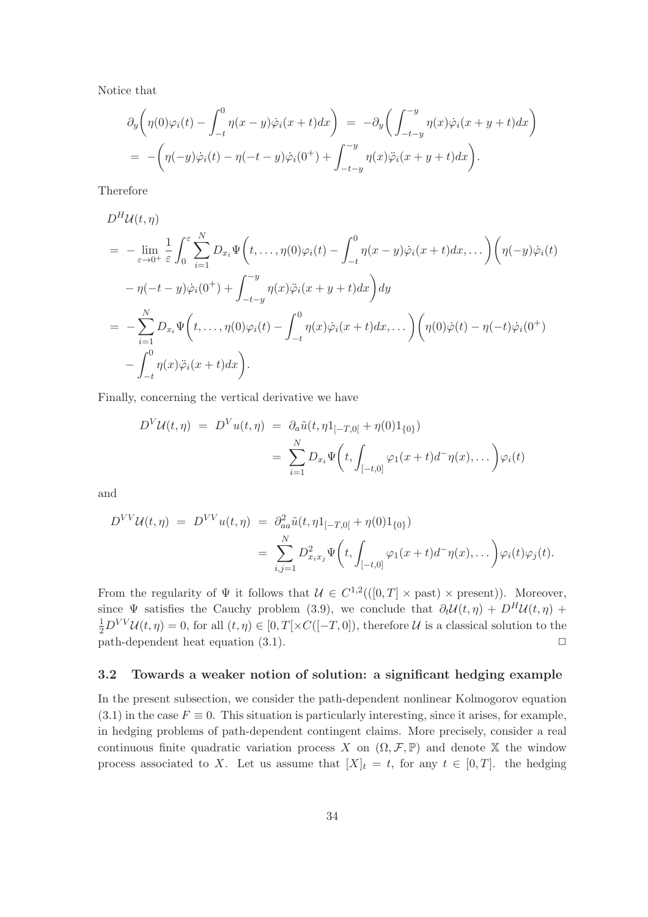Notice that

$$
\partial_y \left( \eta(0)\varphi_i(t) - \int_{-t}^0 \eta(x-y)\dot{\varphi}_i(x+t)dx \right) = -\partial_y \left( \int_{-t-y}^{-y} \eta(x)\dot{\varphi}_i(x+y+t)dx \right)
$$
  
= 
$$
- \left( \eta(-y)\dot{\varphi}_i(t) - \eta(-t-y)\dot{\varphi}_i(0^+) + \int_{-t-y}^{-y} \eta(x)\ddot{\varphi}_i(x+y+t)dx \right).
$$

Therefore

$$
D^H \mathcal{U}(t, \eta)
$$
  
=  $-\lim_{\varepsilon \to 0^+} \frac{1}{\varepsilon} \int_0^{\varepsilon} \sum_{i=1}^N D_{x_i} \Psi \left( t, \dots, \eta(0) \varphi_i(t) - \int_{-t}^0 \eta(x - y) \dot{\varphi}_i(x + t) dx, \dots \right) \left( \eta(-y) \dot{\varphi}_i(t) - \eta(-t - y) \dot{\varphi}_i(0^+) + \int_{-t - y}^{-y} \eta(x) \ddot{\varphi}_i(x + y + t) dx \right) dy$   
=  $-\sum_{i=1}^N D_{x_i} \Psi \left( t, \dots, \eta(0) \varphi_i(t) - \int_{-t}^0 \eta(x) \dot{\varphi}_i(x + t) dx, \dots \right) \left( \eta(0) \dot{\varphi}(t) - \eta(-t) \dot{\varphi}_i(0^+) - \int_{-t}^0 \eta(x) \ddot{\varphi}_i(x + t) dx \right).$ 

Finally, concerning the vertical derivative we have

$$
D^{V}U(t,\eta) = D^{V}u(t,\eta) = \partial_{a}\tilde{u}(t,\eta_{[-T,0[}+\eta(0)1_{\{0\}}))
$$
  

$$
= \sum_{i=1}^{N} D_{x_{i}}\Psi\left(t, \int_{[-t,0]} \varphi_{1}(x+t)d^{-}\eta(x),\dots\right)\varphi_{i}(t)
$$

and

$$
D^{VV}U(t,\eta) = D^{VV}u(t,\eta) = \partial_{aa}^2 \tilde{u}(t,\eta 1_{[-T,0[} + \eta(0)1_{\{0\}}))
$$
  

$$
= \sum_{i,j=1}^N D_{x_ix_j}^2 \Psi\left(t, \int_{[-t,0]} \varphi_1(x+t)d^-\eta(x),\dots\right)\varphi_i(t)\varphi_j(t).
$$

From the regularity of  $\Psi$  it follows that  $\mathcal{U} \in C^{1,2}((0,T] \times \text{past}) \times \text{present})$ ). Moreover, since  $\Psi$  satisfies the Cauchy problem (3.9), we conclude that  $\partial_t \mathcal{U}(t, \eta) + D^H \mathcal{U}(t, \eta) + D^H \mathcal{U}(t, \eta)$  $\frac{1}{2}D^{VV}U(t,\eta) = 0$ , for all  $(t,\eta) \in [0,T[\times C([-T,0]),$  therefore U is a classical solution to the path-dependent heat equation  $(3.1)$ .  $\Box$ 

#### 3.2 Towards a weaker notion of solution: a significant hedging example

In the present subsection, we consider the path-dependent nonlinear Kolmogorov equation  $(3.1)$  in the case  $F \equiv 0$ . This situation is particularly interesting, since it arises, for example, in hedging problems of path-dependent contingent claims. More precisely, consider a real continuous finite quadratic variation process X on  $(\Omega, \mathcal{F}, \mathbb{P})$  and denote X the window process associated to X. Let us assume that  $[X]_t = t$ , for any  $t \in [0, T]$ . the hedging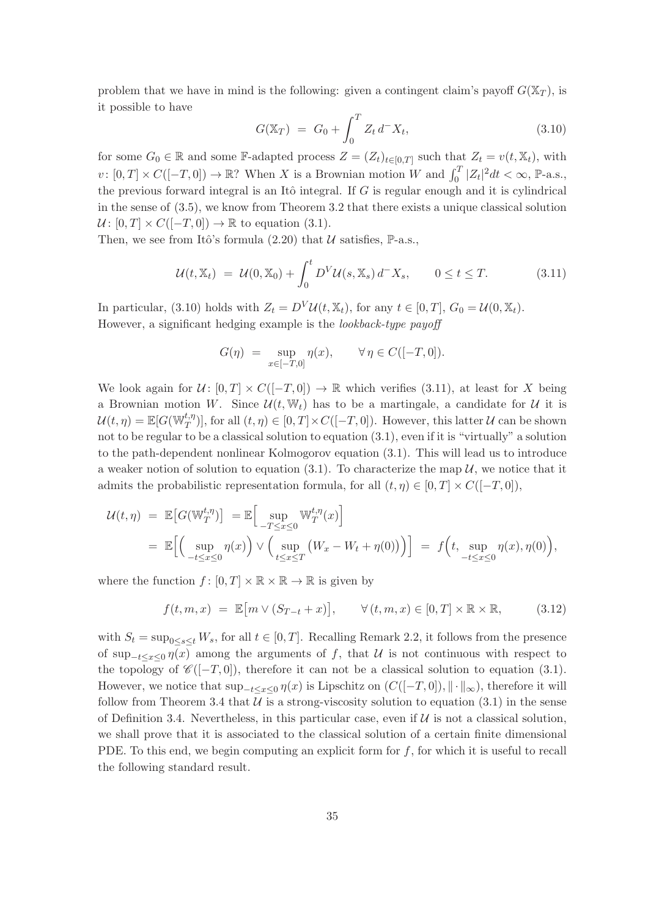problem that we have in mind is the following: given a contingent claim's payoff  $G(\mathbb{X}_T)$ , is it possible to have

$$
G(\mathbb{X}_T) = G_0 + \int_0^T Z_t d^- X_t, \qquad (3.10)
$$

for some  $G_0 \in \mathbb{R}$  and some F-adapted process  $Z = (Z_t)_{t \in [0,T]}$  such that  $Z_t = v(t, \mathbb{X}_t)$ , with  $v: [0, T] \times C([-T, 0]) \to \mathbb{R}$ ? When X is a Brownian motion W and  $\int_0^T |Z_t|^2 dt < \infty$ , P-a.s., the previous forward integral is an Itô integral. If  $G$  is regular enough and it is cylindrical in the sense of (3.5), we know from Theorem 3.2 that there exists a unique classical solution  $\mathcal{U}: [0, T] \times C([-T, 0]) \rightarrow \mathbb{R}$  to equation (3.1).

Then, we see from Itô's formula  $(2.20)$  that  $\mathcal U$  satisfies, P-a.s.,

$$
\mathcal{U}(t,\mathbb{X}_t) = \mathcal{U}(0,\mathbb{X}_0) + \int_0^t D^V \mathcal{U}(s,\mathbb{X}_s) d^- X_s, \qquad 0 \le t \le T. \tag{3.11}
$$

In particular, (3.10) holds with  $Z_t = D^V \mathcal{U}(t, \mathbb{X}_t)$ , for any  $t \in [0, T]$ ,  $G_0 = \mathcal{U}(0, \mathbb{X}_t)$ . However, a significant hedging example is the lookback-type payoff

$$
G(\eta) = \sup_{x \in [-T,0]} \eta(x), \qquad \forall \eta \in C([-T,0]).
$$

We look again for  $\mathcal{U} \colon [0,T] \times C([-T,0]) \to \mathbb{R}$  which verifies (3.11), at least for X being a Brownian motion W. Since  $\mathcal{U}(t, \mathbb{W}_t)$  has to be a martingale, a candidate for  $\mathcal{U}$  it is  $\mathcal{U}(t,\eta) = \mathbb{E}[G(\mathbb{W}_T^{t,\eta})],$  for all  $(t,\eta) \in [0,T] \times C([-T,0]).$  However, this latter  $\mathcal U$  can be shown not to be regular to be a classical solution to equation (3.1), even if it is "virtually" a solution to the path-dependent nonlinear Kolmogorov equation (3.1). This will lead us to introduce a weaker notion of solution to equation (3.1). To characterize the map  $\mathcal{U}$ , we notice that it admits the probabilistic representation formula, for all  $(t, \eta) \in [0, T] \times C([-T, 0]),$ 

$$
\mathcal{U}(t,\eta) = \mathbb{E}\big[G(\mathbb{W}_T^{t,\eta})\big] = \mathbb{E}\Big[\sup_{-T\leq x\leq 0} \mathbb{W}_T^{t,\eta}(x)\Big]
$$
  
= 
$$
\mathbb{E}\Big[\Big(\sup_{-t\leq x\leq 0} \eta(x)\Big) \vee \Big(\sup_{t\leq x\leq T} \big(W_x - W_t + \eta(0)\big)\Big)\Big] = f\Big(t, \sup_{-t\leq x\leq 0} \eta(x), \eta(0)\Big),
$$

where the function  $f : [0, T] \times \mathbb{R} \times \mathbb{R} \to \mathbb{R}$  is given by

$$
f(t, m, x) = \mathbb{E}[m \vee (S_{T-t} + x)], \qquad \forall (t, m, x) \in [0, T] \times \mathbb{R} \times \mathbb{R}, \tag{3.12}
$$

with  $S_t = \sup_{0 \le s \le t} W_s$ , for all  $t \in [0, T]$ . Recalling Remark 2.2, it follows from the presence of sup<sub>-t≤x≤0</sub>  $\eta(x)$  among the arguments of f, that U is not continuous with respect to the topology of  $\mathscr{C}([-T,0])$ , therefore it can not be a classical solution to equation (3.1). However, we notice that  $\sup_{-t\leq x\leq 0}\eta(x)$  is Lipschitz on  $(C([-T, 0]), \|\cdot\|_{\infty})$ , therefore it will follow from Theorem 3.4 that  $U$  is a strong-viscosity solution to equation (3.1) in the sense of Definition 3.4. Nevertheless, in this particular case, even if  $\mathcal U$  is not a classical solution, we shall prove that it is associated to the classical solution of a certain finite dimensional PDE. To this end, we begin computing an explicit form for  $f$ , for which it is useful to recall the following standard result.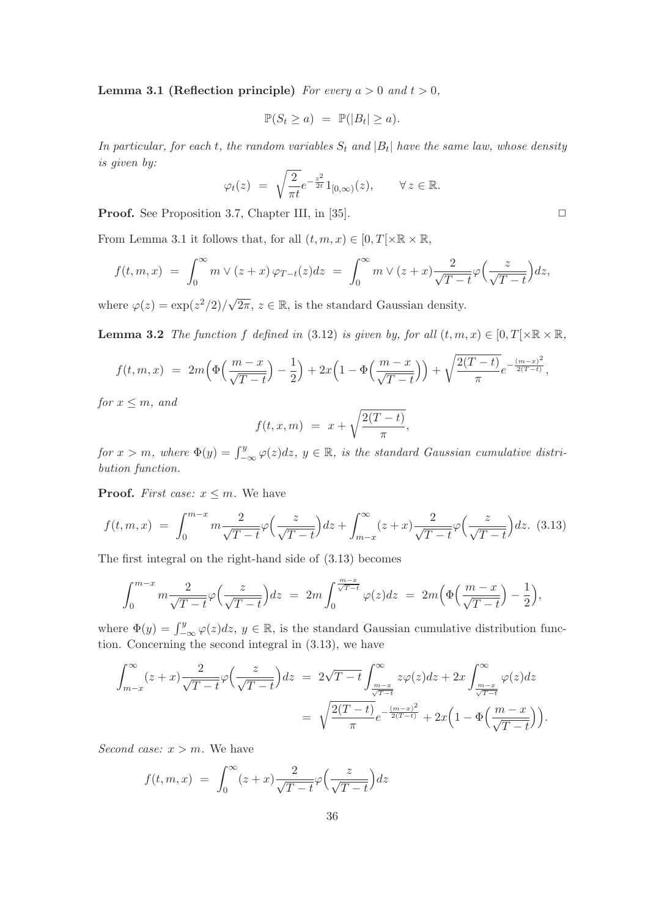**Lemma 3.1 (Reflection principle)** For every  $a > 0$  and  $t > 0$ ,

$$
\mathbb{P}(S_t \ge a) = \mathbb{P}(|B_t| \ge a).
$$

In particular, for each t, the random variables  $S_t$  and  $|B_t|$  have the same law, whose density is given by:

$$
\varphi_t(z) = \sqrt{\frac{2}{\pi t}} e^{-\frac{z^2}{2t}} 1_{[0,\infty)}(z), \quad \forall z \in \mathbb{R}.
$$

**Proof.** See Proposition 3.7, Chapter III, in [35].  $\Box$ 

From Lemma 3.1 it follows that, for all  $(t, m, x) \in [0, T] \times \mathbb{R} \times \mathbb{R}$ ,

$$
f(t,m,x) = \int_0^\infty m \vee (z+x) \varphi_{T-t}(z) dz = \int_0^\infty m \vee (z+x) \frac{2}{\sqrt{T-t}} \varphi \left( \frac{z}{\sqrt{T-t}} \right) dz,
$$

where  $\varphi(z) = \exp(z^2/2)/\sqrt{2\pi}, z \in \mathbb{R}$ , is the standard Gaussian density.

**Lemma 3.2** The function f defined in (3.12) is given by, for all  $(t, m, x) \in [0, T] \times \mathbb{R} \times \mathbb{R}$ ,

$$
f(t, m, x) = 2m\left(\Phi\left(\frac{m-x}{\sqrt{T-t}}\right) - \frac{1}{2}\right) + 2x\left(1 - \Phi\left(\frac{m-x}{\sqrt{T-t}}\right)\right) + \sqrt{\frac{2(T-t)}{\pi}}e^{-\frac{(m-x)^2}{2(T-t)}},
$$

for  $x \leq m$ , and

$$
f(t,x,m) = x + \sqrt{\frac{2(T-t)}{\pi}},
$$

for  $x > m$ , where  $\Phi(y) = \int_{-\infty}^{y} \varphi(z) dz$ ,  $y \in \mathbb{R}$ , is the standard Gaussian cumulative distribution function.

**Proof.** First case:  $x \leq m$ . We have

$$
f(t,m,x) = \int_0^{m-x} m \frac{2}{\sqrt{T-t}} \varphi\left(\frac{z}{\sqrt{T-t}}\right) dz + \int_{m-x}^{\infty} (z+x) \frac{2}{\sqrt{T-t}} \varphi\left(\frac{z}{\sqrt{T-t}}\right) dz. \tag{3.13}
$$

The first integral on the right-hand side of (3.13) becomes

$$
\int_0^{m-x} m \frac{2}{\sqrt{T-t}} \varphi \Big( \frac{z}{\sqrt{T-t}} \Big) dz = 2m \int_0^{\frac{m-x}{\sqrt{T-t}}} \varphi(z) dz = 2m \Big( \Phi \Big( \frac{m-x}{\sqrt{T-t}} \Big) - \frac{1}{2} \Big),
$$

where  $\Phi(y) = \int_{-\infty}^{y} \varphi(z) dz$ ,  $y \in \mathbb{R}$ , is the standard Gaussian cumulative distribution function. Concerning the second integral in (3.13), we have

$$
\int_{m-x}^{\infty} (z+x) \frac{2}{\sqrt{T-t}} \varphi \left(\frac{z}{\sqrt{T-t}}\right) dz = 2\sqrt{T-t} \int_{\frac{m-x}{\sqrt{T-t}}}^{\infty} z\varphi(z) dz + 2x \int_{\frac{m-x}{\sqrt{T-t}}}^{\infty} \varphi(z) dz
$$

$$
= \sqrt{\frac{2(T-t)}{\pi}} e^{-\frac{(m-x)^2}{2(T-t)}} + 2x \left(1 - \Phi\left(\frac{m-x}{\sqrt{T-t}}\right)\right).
$$

Second case:  $x > m$ . We have

$$
f(t, m, x) = \int_0^{\infty} (z + x) \frac{2}{\sqrt{T - t}} \varphi \left(\frac{z}{\sqrt{T - t}}\right) dz
$$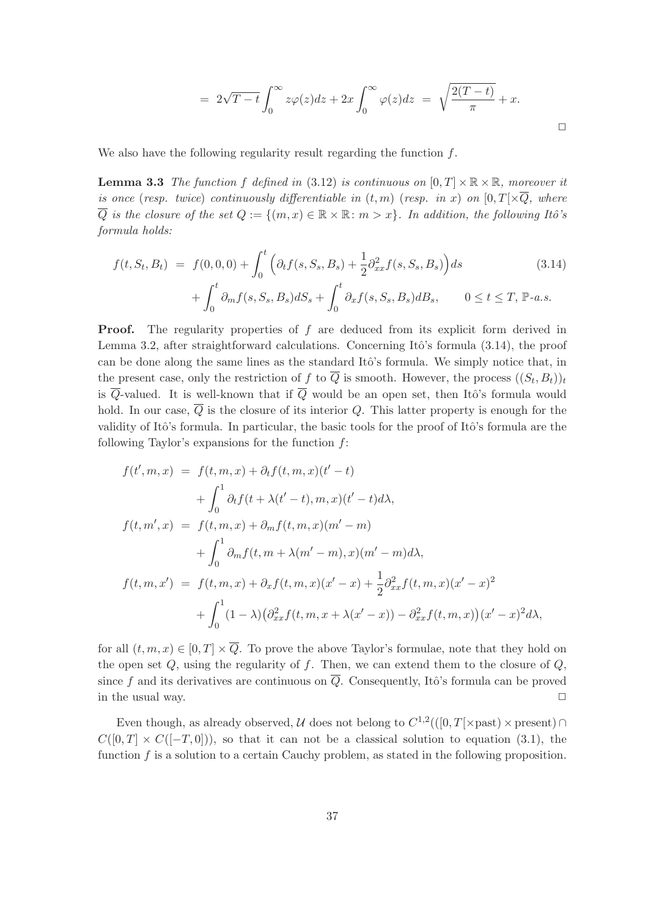$$
= 2\sqrt{T-t} \int_0^\infty z\varphi(z)dz + 2x \int_0^\infty \varphi(z)dz = \sqrt{\frac{2(T-t)}{\pi}} + x.
$$

We also have the following regularity result regarding the function  $f$ .

**Lemma 3.3** The function f defined in (3.12) is continuous on  $[0, T] \times \mathbb{R} \times \mathbb{R}$ , moreover it is once (resp. twice) continuously differentiable in  $(t, m)$  (resp. in x) on  $[0, T] \times \overline{Q}$ , where  $\overline{Q}$  is the closure of the set  $Q := \{(m, x) \in \mathbb{R} \times \mathbb{R} : m > x\}$ . In addition, the following Itô's formula holds:

$$
f(t, S_t, B_t) = f(0, 0, 0) + \int_0^t \left( \partial_t f(s, S_s, B_s) + \frac{1}{2} \partial_{xx}^2 f(s, S_s, B_s) \right) ds
$$
(3.14)  
+ 
$$
\int_0^t \partial_m f(s, S_s, B_s) dS_s + \int_0^t \partial_x f(s, S_s, B_s) dB_s, \qquad 0 \le t \le T, \mathbb{P}\text{-}a.s.
$$

**Proof.** The regularity properties of f are deduced from its explicit form derived in Lemma 3.2, after straightforward calculations. Concerning Itô's formula  $(3.14)$ , the proof can be done along the same lines as the standard Itô's formula. We simply notice that, in the present case, only the restriction of f to Q is smooth. However, the process  $((S_t, B_t))_t$ is  $\overline{Q}$ -valued. It is well-known that if  $\overline{Q}$  would be an open set, then Itô's formula would hold. In our case,  $\overline{Q}$  is the closure of its interior Q. This latter property is enough for the validity of Itô's formula. In particular, the basic tools for the proof of Itô's formula are the following Taylor's expansions for the function  $f$ :

$$
f(t', m, x) = f(t, m, x) + \partial_t f(t, m, x)(t' - t)
$$
  
+  $\int_0^1 \partial_t f(t + \lambda(t' - t), m, x)(t' - t) d\lambda$ ,  

$$
f(t, m', x) = f(t, m, x) + \partial_m f(t, m, x)(m' - m)
$$
  
+  $\int_0^1 \partial_m f(t, m + \lambda(m' - m), x)(m' - m) d\lambda$ ,  

$$
f(t, m, x') = f(t, m, x) + \partial_x f(t, m, x)(x' - x) + \frac{1}{2} \partial_{xx}^2 f(t, m, x)(x' - x)^2
$$
  
+  $\int_0^1 (1 - \lambda) (\partial_{xx}^2 f(t, m, x + \lambda(x' - x)) - \partial_{xx}^2 f(t, m, x))(x' - x)^2 d\lambda$ ,

for all  $(t, m, x) \in [0, T] \times \overline{Q}$ . To prove the above Taylor's formulae, note that they hold on the open set  $Q$ , using the regularity of  $f$ . Then, we can extend them to the closure of  $Q$ , since f and its derivatives are continuous on  $\overline{Q}$ . Consequently, Itô's formula can be proved in the usual way.  $\Box$ 

Even though, as already observed,  $\mathcal U$  does not belong to  $C^{1,2}((0,T[\times \text{past}) \times \text{present}) \cap$  $C([0, T] \times C([-T, 0]))$ , so that it can not be a classical solution to equation (3.1), the function  $f$  is a solution to a certain Cauchy problem, as stated in the following proposition.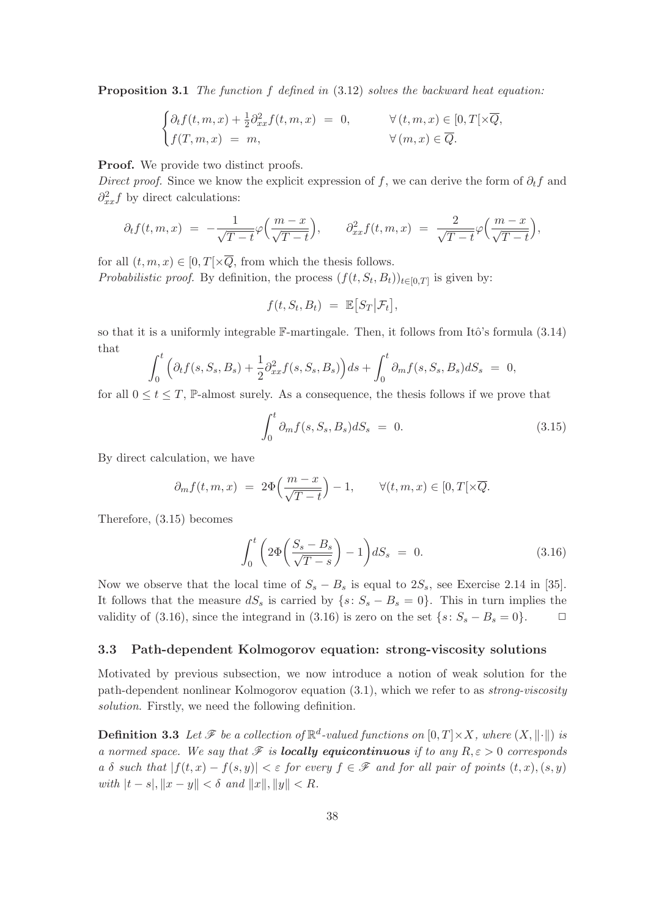**Proposition 3.1** The function f defined in  $(3.12)$  solves the backward heat equation:

$$
\begin{cases} \partial_t f(t, m, x) + \frac{1}{2} \partial_{xx}^2 f(t, m, x) = 0, & \forall (t, m, x) \in [0, T[ \times \overline{Q}, \\ f(T, m, x) = m, & \forall (m, x) \in \overline{Q}. \end{cases}
$$

**Proof.** We provide two distinct proofs.

Direct proof. Since we know the explicit expression of f, we can derive the form of  $\partial_t f$  and  $\partial_{xx}^2 f$  by direct calculations:

$$
\partial_t f(t,m,x) = -\frac{1}{\sqrt{T-t}} \varphi\left(\frac{m-x}{\sqrt{T-t}}\right), \qquad \partial_{xx}^2 f(t,m,x) = \frac{2}{\sqrt{T-t}} \varphi\left(\frac{m-x}{\sqrt{T-t}}\right),
$$

for all  $(t, m, x) \in [0, T] \times \overline{Q}$ , from which the thesis follows. *Probabilistic proof.* By definition, the process  $(f(t, S_t, B_t))_{t \in [0,T]}$  is given by:

$$
f(t, S_t, B_t) = \mathbb{E}[S_T | \mathcal{F}_t],
$$

so that it is a uniformly integrable  $\mathbb{F}\text{-martingale}$ . Then, it follows from Itô's formula (3.14) that

$$
\int_0^t \Big( \partial_t f(s, S_s, B_s) + \frac{1}{2} \partial_{xx}^2 f(s, S_s, B_s) \Big) ds + \int_0^t \partial_m f(s, S_s, B_s) dS_s = 0,
$$

for all  $0 \le t \le T$ , P-almost surely. As a consequence, the thesis follows if we prove that

$$
\int_0^t \partial_m f(s, S_s, B_s) dS_s = 0. \tag{3.15}
$$

By direct calculation, we have

$$
\partial_m f(t, m, x) = 2\Phi\left(\frac{m - x}{\sqrt{T - t}}\right) - 1, \qquad \forall (t, m, x) \in [0, T[\times \overline{Q}].
$$

Therefore, (3.15) becomes

$$
\int_0^t \left(2\Phi\left(\frac{S_s - B_s}{\sqrt{T - s}}\right) - 1\right) dS_s = 0. \tag{3.16}
$$

Now we observe that the local time of  $S_s - B_s$  is equal to  $2S_s$ , see Exercise 2.14 in [35]. It follows that the measure  $dS<sub>s</sub>$  is carried by  $\{s: S<sub>s</sub> - B<sub>s</sub> = 0\}$ . This in turn implies the validity of (3.16), since the integrand in (3.16) is zero on the set  $\{s: S_s - B_s = 0\}$ .  $\Box$ 

# 3.3 Path-dependent Kolmogorov equation: strong-viscosity solutions

Motivated by previous subsection, we now introduce a notion of weak solution for the path-dependent nonlinear Kolmogorov equation  $(3.1)$ , which we refer to as *strong-viscosity* solution. Firstly, we need the following definition.

**Definition 3.3** Let  $\mathscr F$  be a collection of  $\mathbb R^d$ -valued functions on  $[0,T] \times X$ , where  $(X, \|\cdot\|)$  is a normed space. We say that  $\mathscr F$  is **locally equicontinuous** if to any  $R, \varepsilon > 0$  corresponds a δ such that  $|f(t, x) - f(s, y)| < \varepsilon$  for every  $f \in \mathscr{F}$  and for all pair of points  $(t, x), (s, y)$ with  $|t - s|, \|x - y\| < \delta$  and  $||x||, ||y|| < R$ .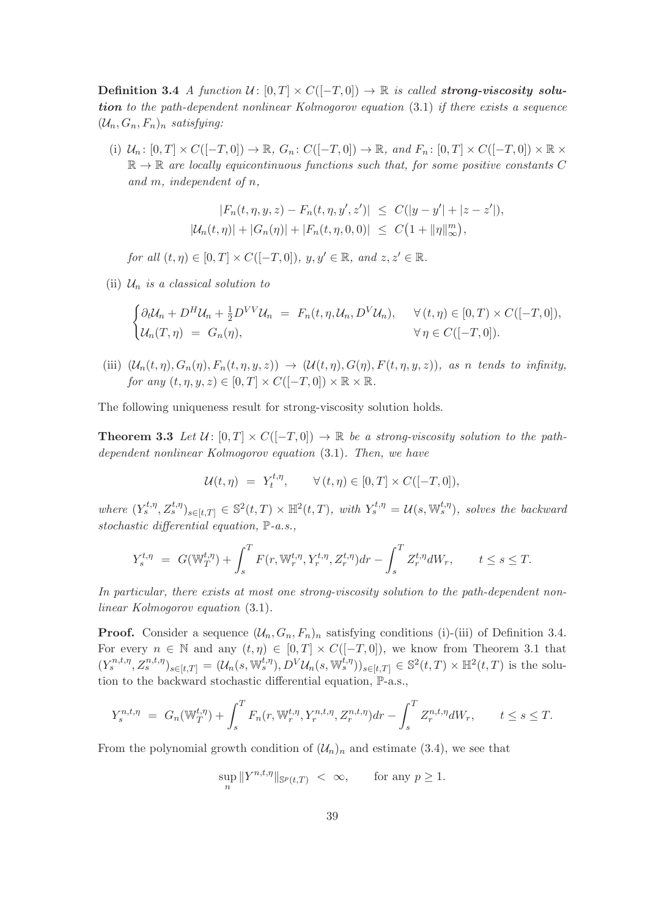Definition 3.4 A function  $\mathcal{U} \colon [0,T] \times C([-T,0]) \to \mathbb{R}$  is called strong-viscosity solution to the path-dependent nonlinear Kolmogorov equation (3.1) if there exists a sequence  $(\mathcal{U}_n, G_n, F_n)_n$  satisfying:

(i)  $\mathcal{U}_n: [0, T] \times C([-T, 0]) \to \mathbb{R}, G_n: C([-T, 0]) \to \mathbb{R}, and F_n: [0, T] \times C([-T, 0]) \times \mathbb{R} \times$  $\mathbb{R} \to \mathbb{R}$  are locally equicontinuous functions such that, for some positive constants C and m, independent of n,

$$
|F_n(t, \eta, y, z) - F_n(t, \eta, y', z')| \le C(|y - y'| + |z - z'|),
$$
  

$$
|U_n(t, \eta)| + |G_n(\eta)| + |F_n(t, \eta, 0, 0)| \le C(1 + ||\eta||_{\infty}^m),
$$

for all  $(t, \eta) \in [0, T] \times C([-T, 0]), y, y' \in \mathbb{R}$ , and  $z, z' \in \mathbb{R}$ .

(ii)  $\mathcal{U}_n$  is a classical solution to

$$
\begin{cases} \partial_t \mathcal{U}_n + D^H \mathcal{U}_n + \frac{1}{2} D^{VV} \mathcal{U}_n = F_n(t, \eta, \mathcal{U}_n, D^V \mathcal{U}_n), & \forall (t, \eta) \in [0, T) \times C([-T, 0]), \\ \mathcal{U}_n(T, \eta) = G_n(\eta), & \forall \eta \in C([-T, 0]). \end{cases}
$$

(iii)  $(\mathcal{U}_n(t,\eta), G_n(\eta), F_n(t,\eta,y,z)) \rightarrow (\mathcal{U}(t,\eta), G(\eta), F(t,\eta,y,z))$ , as n tends to infinity, for any  $(t, \eta, y, z) \in [0, T] \times C([-T, 0]) \times \mathbb{R} \times \mathbb{R}$ .

The following uniqueness result for strong-viscosity solution holds.

**Theorem 3.3** Let  $\mathcal{U} \colon [0,T] \times C([-T,0]) \to \mathbb{R}$  be a strong-viscosity solution to the pathdependent nonlinear Kolmogorov equation (3.1). Then, we have

$$
\mathcal{U}(t,\eta) = Y_t^{t,\eta}, \qquad \forall (t,\eta) \in [0,T] \times C([-T,0]),
$$

where  $(Y_s^{t,\eta}, Z_s^{t,\eta})_{s \in [t,T]} \in \mathbb{S}^2(t,T) \times \mathbb{H}^2(t,T)$ , with  $Y_s^{t,\eta} = \mathcal{U}(s, \mathbb{W}_s^{t,\eta})$ , solves the backward stochastic differential equation, P-a.s.,

$$
Y_s^{t,\eta} = G(\mathbb{W}_T^{t,\eta}) + \int_s^T F(r, \mathbb{W}_r^{t,\eta}, Y_r^{t,\eta}, Z_r^{t,\eta}) dr - \int_s^T Z_r^{t,\eta} dW_r, \qquad t \le s \le T.
$$

In particular, there exists at most one strong-viscosity solution to the path-dependent nonlinear Kolmogorov equation (3.1).

**Proof.** Consider a sequence  $(\mathcal{U}_n, G_n, F_n)_n$  satisfying conditions (i)-(iii) of Definition 3.4. For every  $n \in \mathbb{N}$  and any  $(t, \eta) \in [0, T] \times C([-T, 0])$ , we know from Theorem 3.1 that  $(Y_s^{n,t,\eta}, Z_s^{n,t,\eta})_{s \in [t,T]} = (\mathcal{U}_n(s, \mathbb{W}_s^{t,\eta}), D^V \mathcal{U}_n(s, \mathbb{W}_s^{t,\eta}))_{s \in [t,T]} \in \mathbb{S}^2(t,T) \times \mathbb{H}^2(t,T)$  is the solution to the backward stochastic differential equation, P-a.s.,

$$
Y_s^{n,t,\eta} = G_n(\mathbb{W}_T^{t,\eta}) + \int_s^T F_n(r, \mathbb{W}_r^{t,\eta}, Y_r^{n,t,\eta}, Z_r^{n,t,\eta}) dr - \int_s^T Z_r^{n,t,\eta} dW_r, \qquad t \le s \le T.
$$

From the polynomial growth condition of  $(\mathcal{U}_n)_n$  and estimate (3.4), we see that

$$
\sup_n \|Y^{n,t,\eta}\|_{\mathbb{S}^p(t,T)} \; < \; \infty, \qquad \text{for any } p \geq 1.
$$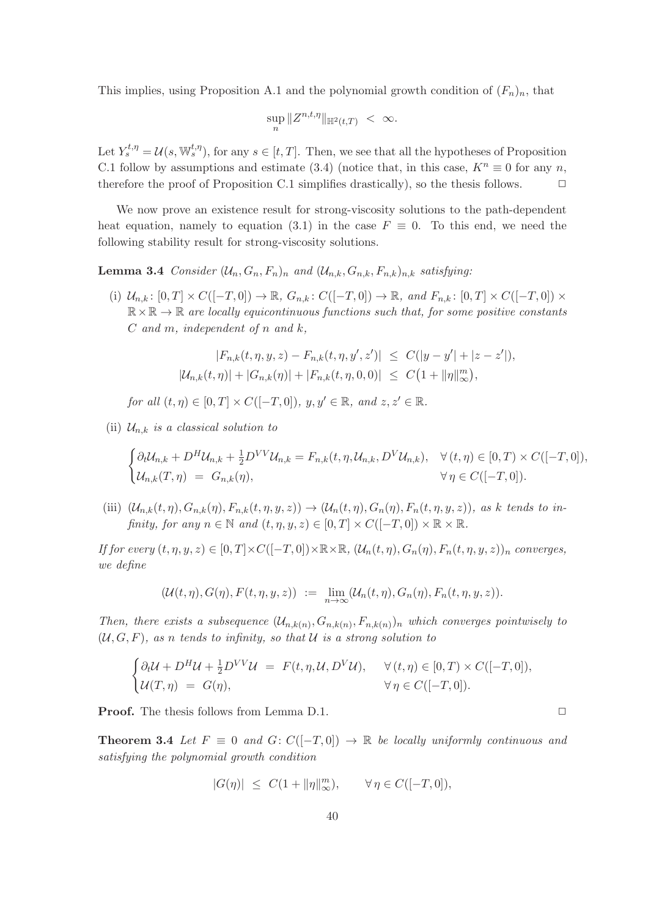This implies, using Proposition A.1 and the polynomial growth condition of  $(F_n)_n$ , that

$$
\sup_n \|Z^{n,t,\eta}\|_{\mathbb{H}^2(t,T)} < \infty.
$$

Let  $Y_s^{t,\eta} = \mathcal{U}(s, \mathbb{W}_s^{t,\eta}),$  for any  $s \in [t,T]$ . Then, we see that all the hypotheses of Proposition C.1 follow by assumptions and estimate (3.4) (notice that, in this case,  $K^n \equiv 0$  for any *n*, therefore the proof of Proposition C.1 simplifies drastically), so the thesis follows. therefore the proof of Proposition C.1 simplifies drastically), so the thesis follows.

We now prove an existence result for strong-viscosity solutions to the path-dependent heat equation, namely to equation (3.1) in the case  $F \equiv 0$ . To this end, we need the following stability result for strong-viscosity solutions.

**Lemma 3.4** Consider  $(\mathcal{U}_n, G_n, F_n)_n$  and  $(\mathcal{U}_{n,k}, G_{n,k}, F_{n,k})_{n,k}$  satisfying:

(i)  $\mathcal{U}_{n,k} : [0,T] \times C([-T,0]) \to \mathbb{R}, G_{n,k} : C([-T,0]) \to \mathbb{R}, and F_{n,k} : [0,T] \times C([-T,0]) \times$  $\mathbb{R} \times \mathbb{R} \to \mathbb{R}$  are locally equicontinuous functions such that, for some positive constants  $C$  and  $m$ , independent of  $n$  and  $k$ ,

$$
|F_{n,k}(t,\eta,y,z) - F_{n,k}(t,\eta,y',z')| \leq C(|y-y'| + |z-z'|),
$$
  

$$
|U_{n,k}(t,\eta)| + |G_{n,k}(\eta)| + |F_{n,k}(t,\eta,0,0)| \leq C(1 + ||\eta||_{\infty}^m),
$$

for all  $(t, \eta) \in [0, T] \times C([-T, 0]), y, y' \in \mathbb{R},$  and  $z, z' \in \mathbb{R}$ .

(ii)  $\mathcal{U}_{n,k}$  is a classical solution to

$$
\begin{cases} \partial_t \mathcal{U}_{n,k} + D^H \mathcal{U}_{n,k} + \frac{1}{2} D^{VV} \mathcal{U}_{n,k} = F_{n,k}(t,\eta,\mathcal{U}_{n,k},D^V \mathcal{U}_{n,k}), & \forall (t,\eta) \in [0,T) \times C([-T,0]),\\ \mathcal{U}_{n,k}(T,\eta) = G_{n,k}(\eta), & \forall \eta \in C([-T,0]). \end{cases}
$$

(iii)  $(\mathcal{U}_{n,k}(t,\eta), G_{n,k}(\eta), F_{n,k}(t,\eta,y,z)) \rightarrow (\mathcal{U}_n(t,\eta), G_n(\eta), F_n(t,\eta,y,z))$ , as k tends to infinity, for any  $n \in \mathbb{N}$  and  $(t, \eta, y, z) \in [0, T] \times C([-T, 0]) \times \mathbb{R} \times \mathbb{R}$ .

If for every  $(t, \eta, y, z) \in [0, T] \times C([-T, 0]) \times \mathbb{R} \times \mathbb{R}$ ,  $(\mathcal{U}_n(t, \eta), G_n(\eta), F_n(t, \eta, y, z))_n$  converges, we define

$$
(\mathcal{U}(t,\eta),G(\eta),F(t,\eta,y,z)) := \lim_{n\to\infty} (\mathcal{U}_n(t,\eta),G_n(\eta),F_n(t,\eta,y,z)).
$$

Then, there exists a subsequence  $(\mathcal{U}_{n,k(n)}, G_{n,k(n)}, F_{n,k(n)})$  which converges pointwisely to  $(U, G, F)$ , as n tends to infinity, so that U is a strong solution to

$$
\begin{cases} \partial_t \mathcal{U} + D^H \mathcal{U} + \frac{1}{2} D^{VV} \mathcal{U} &= F(t, \eta, \mathcal{U}, D^V \mathcal{U}), \quad \forall (t, \eta) \in [0, T) \times C([-T, 0]), \\ \mathcal{U}(T, \eta) &= G(\eta), \quad \forall \eta \in C([-T, 0]). \end{cases}
$$

**Proof.** The thesis follows from Lemma D.1. ◯

**Theorem 3.4** Let  $F \equiv 0$  and  $G: C([-T, 0]) \rightarrow \mathbb{R}$  be locally uniformly continuous and satisfying the polynomial growth condition

$$
|G(\eta)|\ \le\ C(1+\|\eta\|_\infty^m),\qquad \forall\,\eta\in C([-T,0]),
$$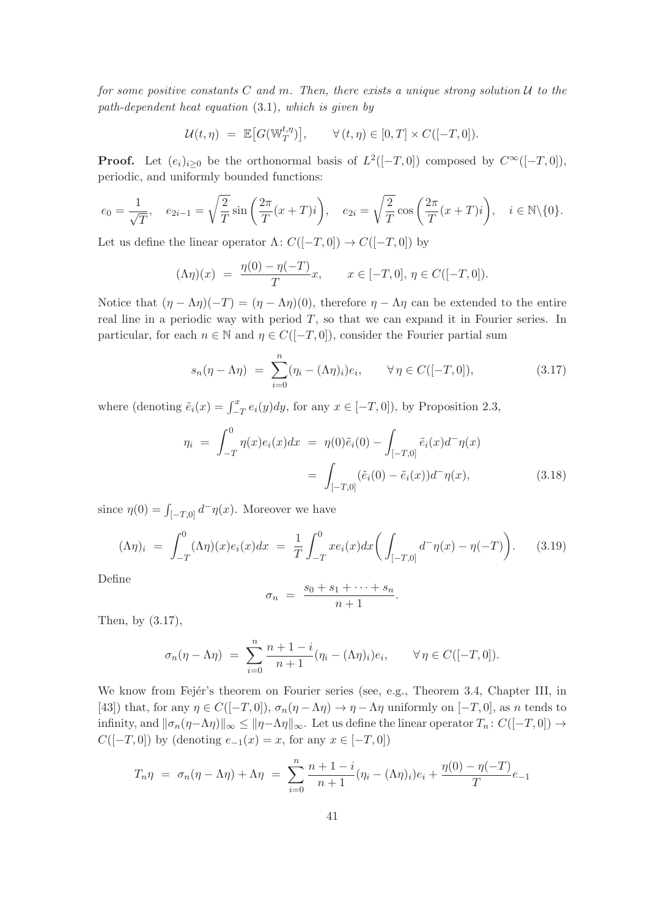for some positive constants C and m. Then, there exists a unique strong solution  $U$  to the path-dependent heat equation (3.1), which is given by

$$
\mathcal{U}(t,\eta) = \mathbb{E}\big[G(\mathbb{W}_T^{t,\eta})\big], \qquad \forall (t,\eta) \in [0,T] \times C([-T,0]).
$$

**Proof.** Let  $(e_i)_{i\geq 0}$  be the orthonormal basis of  $L^2([-T,0])$  composed by  $C^{\infty}([-T,0])$ , periodic, and uniformly bounded functions:

$$
e_0 = \frac{1}{\sqrt{T}}, \quad e_{2i-1} = \sqrt{\frac{2}{T}} \sin\left(\frac{2\pi}{T}(x+T)i\right), \quad e_{2i} = \sqrt{\frac{2}{T}} \cos\left(\frac{2\pi}{T}(x+T)i\right), \quad i \in \mathbb{N}\backslash\{0\}.
$$

Let us define the linear operator  $\Lambda: C([-T,0]) \to C([-T,0])$  by

$$
(\Lambda \eta)(x) = \frac{\eta(0) - \eta(-T)}{T} x, \qquad x \in [-T, 0], \, \eta \in C([-T, 0]).
$$

Notice that  $(\eta - \Lambda \eta)(-T) = (\eta - \Lambda \eta)(0)$ , therefore  $\eta - \Lambda \eta$  can be extended to the entire real line in a periodic way with period  $T$ , so that we can expand it in Fourier series. In particular, for each  $n \in \mathbb{N}$  and  $\eta \in C([-T, 0])$ , consider the Fourier partial sum

$$
s_n(\eta - \Lambda \eta) = \sum_{i=0}^n (\eta_i - (\Lambda \eta)_i) e_i, \qquad \forall \eta \in C([-T, 0]), \qquad (3.17)
$$

where (denoting  $\tilde{e}_i(x) = \int_{-T}^x e_i(y) dy$ , for any  $x \in [-T, 0]$ ), by Proposition 2.3,

$$
\eta_i = \int_{-T}^0 \eta(x) e_i(x) dx = \eta(0) \tilde{e}_i(0) - \int_{[-T,0]} \tilde{e}_i(x) d^- \eta(x)
$$

$$
= \int_{[-T,0]} (\tilde{e}_i(0) - \tilde{e}_i(x)) d^- \eta(x), \tag{3.18}
$$

.

since  $\eta(0) = \int_{[-T,0]} d^{\dagger} \eta(x)$ . Moreover we have

$$
(\Lambda \eta)_i \ = \ \int_{-T}^0 (\Lambda \eta)(x) e_i(x) dx \ = \ \frac{1}{T} \int_{-T}^0 x e_i(x) dx \bigg( \int_{[-T,0]} d^- \eta(x) - \eta(-T) \bigg). \tag{3.19}
$$

Define

$$
\sigma_n = \frac{s_0 + s_1 + \dots + s_n}{n+1}
$$

Then, by (3.17),

$$
\sigma_n(\eta - \Lambda \eta) = \sum_{i=0}^n \frac{n+1-i}{n+1} (\eta_i - (\Lambda \eta)_i) e_i, \qquad \forall \eta \in C([-T, 0]).
$$

We know from Fejér's theorem on Fourier series (see, e.g., Theorem 3.4, Chapter III, in [43]) that, for any  $\eta \in C([-T, 0])$ ,  $\sigma_n(\eta - \Lambda \eta) \to \eta - \Lambda \eta$  uniformly on  $[-T, 0]$ , as n tends to infinity, and  $\|\sigma_n(\eta-\Lambda\eta)\|_{\infty} \leq \|\eta-\Lambda\eta\|_{\infty}$ . Let us define the linear operator  $T_n: C([-T, 0]) \to$  $C([-T, 0])$  by (denoting  $e_{-1}(x) = x$ , for any  $x \in [-T, 0])$ 

$$
T_n \eta = \sigma_n(\eta - \Lambda \eta) + \Lambda \eta = \sum_{i=0}^n \frac{n+1-i}{n+1} (\eta_i - (\Lambda \eta)_i) e_i + \frac{\eta(0) - \eta(-T)}{T} e_{-1}
$$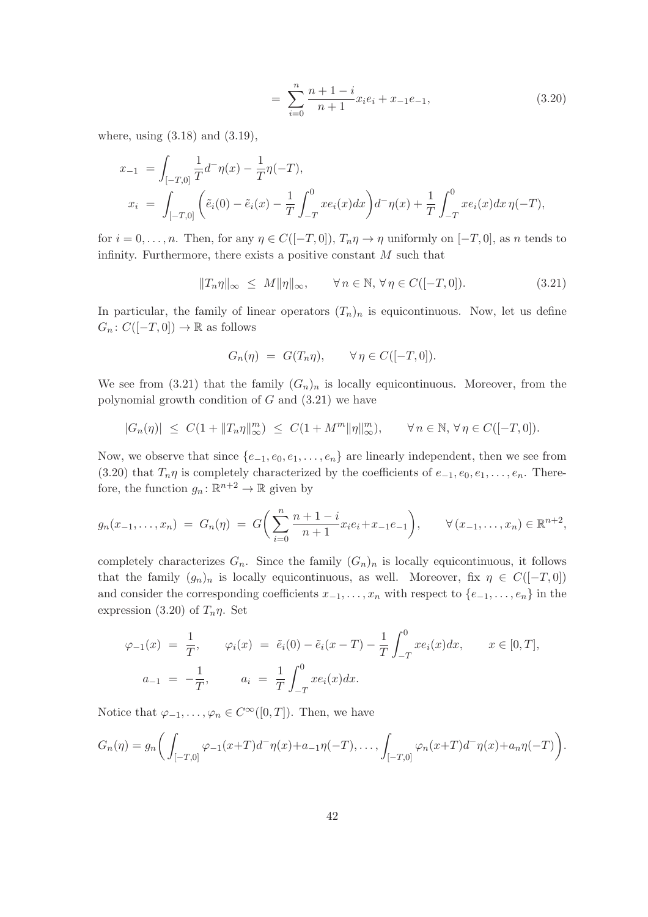$$
= \sum_{i=0}^{n} \frac{n+1-i}{n+1} x_i e_i + x_{-1} e_{-1}, \tag{3.20}
$$

where, using (3.18) and (3.19),

$$
x_{-1} = \int_{[-T,0]} \frac{1}{T} d^{-} \eta(x) - \frac{1}{T} \eta(-T),
$$
  
\n
$$
x_{i} = \int_{[-T,0]} \left( \tilde{e}_{i}(0) - \tilde{e}_{i}(x) - \frac{1}{T} \int_{-T}^{0} x e_{i}(x) dx \right) d^{-} \eta(x) + \frac{1}{T} \int_{-T}^{0} x e_{i}(x) dx \eta(-T),
$$

for  $i = 0, \ldots, n$ . Then, for any  $\eta \in C([-T, 0]), T_n \eta \to \eta$  uniformly on  $[-T, 0]$ , as n tends to infinity. Furthermore, there exists a positive constant  $M$  such that

$$
||T_n\eta||_{\infty} \le M||\eta||_{\infty}, \qquad \forall n \in \mathbb{N}, \forall \eta \in C([-T, 0]). \tag{3.21}
$$

In particular, the family of linear operators  $(T_n)_n$  is equicontinuous. Now, let us define  $G_n: C([-T, 0]) \to \mathbb{R}$  as follows

$$
G_n(\eta) = G(T_n \eta), \qquad \forall \eta \in C([-T, 0]).
$$

We see from (3.21) that the family  $(G_n)_n$  is locally equicontinuous. Moreover, from the polynomial growth condition of  $G$  and  $(3.21)$  we have

$$
|G_n(\eta)| \leq C(1+\|T_n\eta\|_\infty^m) \leq C(1+M^m\|\eta\|_\infty^m), \qquad \forall n \in \mathbb{N}, \forall \eta \in C([-T,0]).
$$

Now, we observe that since  $\{e_{-1}, e_0, e_1, \ldots, e_n\}$  are linearly independent, then we see from (3.20) that  $T_n\eta$  is completely characterized by the coefficients of  $e_{-1}, e_0, e_1, \ldots, e_n$ . Therefore, the function  $g_n: \mathbb{R}^{n+2} \to \mathbb{R}$  given by

$$
g_n(x_{-1},\ldots,x_n) \ = \ G_n(\eta) \ = \ G\bigg(\sum_{i=0}^n \frac{n+1-i}{n+1} x_i e_i + x_{-1} e_{-1}\bigg), \qquad \forall \ (x_{-1},\ldots,x_n) \in \mathbb{R}^{n+2},
$$

completely characterizes  $G_n$ . Since the family  $(G_n)_n$  is locally equicontinuous, it follows that the family  $(g_n)_n$  is locally equicontinuous, as well. Moreover, fix  $\eta \in C([-T, 0])$ and consider the corresponding coefficients  $x_{-1}, \ldots, x_n$  with respect to  $\{e_{-1}, \ldots, e_n\}$  in the expression (3.20) of  $T_n \eta$ . Set

$$
\varphi_{-1}(x) = \frac{1}{T}, \qquad \varphi_i(x) = \tilde{e}_i(0) - \tilde{e}_i(x - T) - \frac{1}{T} \int_{-T}^0 x e_i(x) dx, \qquad x \in [0, T],
$$
  

$$
a_{-1} = -\frac{1}{T}, \qquad a_i = \frac{1}{T} \int_{-T}^0 x e_i(x) dx.
$$

Notice that  $\varphi_{-1}, \ldots, \varphi_n \in C^\infty([0,T])$ . Then, we have

$$
G_n(\eta) = g_n\bigg(\int_{[-T,0]} \varphi_{-1}(x+T)d^{-}\eta(x)+a_{-1}\eta(-T),\ldots,\int_{[-T,0]} \varphi_n(x+T)d^{-}\eta(x)+a_n\eta(-T)\bigg).
$$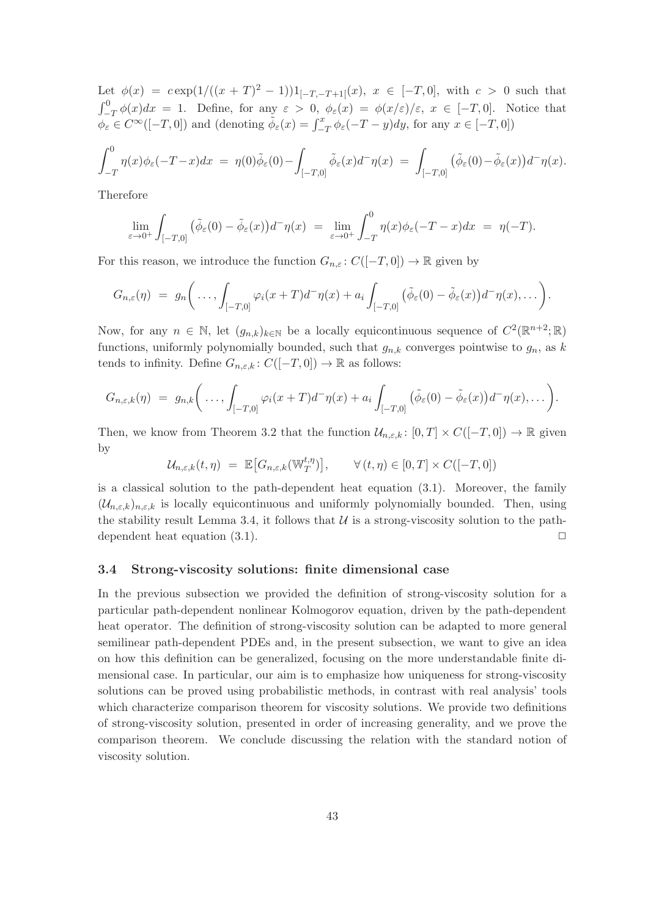Let  $\phi(x) = c \exp(1/((x+T)^2-1))1_{[-T,-T+1]}(x), x \in [-T,0],$  with  $c > 0$  such that  $\int_{-T}^{0} \phi(x) dx = 1$ . Define, for any  $\varepsilon > 0$ ,  $\phi_{\varepsilon}(x) = \phi(x/\varepsilon)/\varepsilon$ ,  $x \in [-T, 0]$ . Notice that  $\phi_{\varepsilon} \in C^{\infty}([-T, 0])$  and (denoting  $\tilde{\phi}_{\varepsilon}(x) = \int_{-T}^{x} \phi_{\varepsilon}(-T - y) dy$ , for any  $x \in [-T, 0])$ 

$$
\int_{-T}^{0} \eta(x)\phi_{\varepsilon}(-T-x)dx = \eta(0)\tilde{\phi}_{\varepsilon}(0) - \int_{[-T,0]} \tilde{\phi}_{\varepsilon}(x)d^{-}\eta(x) = \int_{[-T,0]} (\tilde{\phi}_{\varepsilon}(0) - \tilde{\phi}_{\varepsilon}(x))d^{-}\eta(x).
$$

Therefore

$$
\lim_{\varepsilon \to 0^+} \int_{[-T,0]} \left( \tilde{\phi}_{\varepsilon}(0) - \tilde{\phi}_{\varepsilon}(x) \right) d^-\eta(x) = \lim_{\varepsilon \to 0^+} \int_{-T}^0 \eta(x) \phi_{\varepsilon}(-T-x) dx = \eta(-T).
$$

For this reason, we introduce the function  $G_{n,\varepsilon} : C([-T,0]) \to \mathbb{R}$  given by

$$
G_{n,\varepsilon}(\eta) = g_n\bigg(\ldots,\int_{[-T,0]} \varphi_i(x+T)d^-\eta(x)+a_i\int_{[-T,0]}(\tilde{\phi}_{\varepsilon}(0)-\tilde{\phi}_{\varepsilon}(x))d^-\eta(x),\ldots\bigg).
$$

Now, for any  $n \in \mathbb{N}$ , let  $(g_{n,k})_{k \in \mathbb{N}}$  be a locally equicontinuous sequence of  $C^2(\mathbb{R}^{n+2}; \mathbb{R})$ functions, uniformly polynomially bounded, such that  $g_{n,k}$  converges pointwise to  $g_n$ , as k tends to infinity. Define  $G_{n,\varepsilon,k} : C([-T,0]) \to \mathbb{R}$  as follows:

$$
G_{n,\varepsilon,k}(\eta) = g_{n,k}\bigg(\ldots,\int_{[-T,0]} \varphi_i(x+T)d^-\eta(x)+a_i\int_{[-T,0]}(\tilde{\phi}_{\varepsilon}(0)-\tilde{\phi}_{\varepsilon}(x))d^-\eta(x),\ldots\bigg).
$$

Then, we know from Theorem 3.2 that the function  $\mathcal{U}_{n,\varepsilon,k}$ :  $[0,T] \times C([-T,0]) \to \mathbb{R}$  given by

$$
\mathcal{U}_{n,\varepsilon,k}(t,\eta) = \mathbb{E}\big[G_{n,\varepsilon,k}(\mathbb{W}_T^{t,\eta})\big], \qquad \forall (t,\eta) \in [0,T] \times C([-T,0])
$$

is a classical solution to the path-dependent heat equation (3.1). Moreover, the family  $(\mathcal{U}_{n,\varepsilon,k})_{n,\varepsilon,k}$  is locally equicontinuous and uniformly polynomially bounded. Then, using the stability result Lemma 3.4, it follows that  $U$  is a strong-viscosity solution to the pathdependent heat equation  $(3.1)$ .

# 3.4 Strong-viscosity solutions: finite dimensional case

In the previous subsection we provided the definition of strong-viscosity solution for a particular path-dependent nonlinear Kolmogorov equation, driven by the path-dependent heat operator. The definition of strong-viscosity solution can be adapted to more general semilinear path-dependent PDEs and, in the present subsection, we want to give an idea on how this definition can be generalized, focusing on the more understandable finite dimensional case. In particular, our aim is to emphasize how uniqueness for strong-viscosity solutions can be proved using probabilistic methods, in contrast with real analysis' tools which characterize comparison theorem for viscosity solutions. We provide two definitions of strong-viscosity solution, presented in order of increasing generality, and we prove the comparison theorem. We conclude discussing the relation with the standard notion of viscosity solution.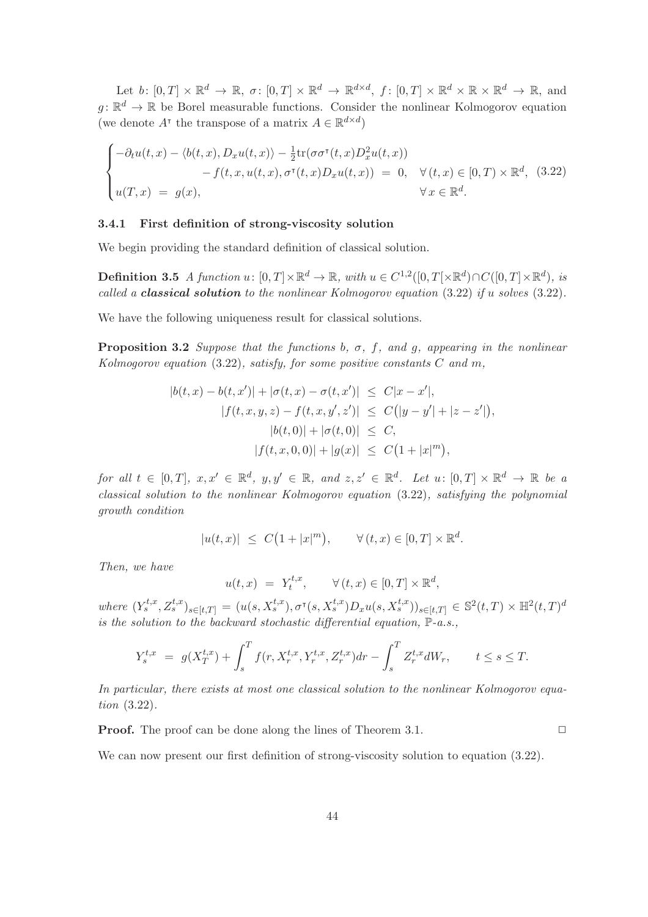Let  $b \colon [0,T] \times \mathbb{R}^d \to \mathbb{R}, \sigma \colon [0,T] \times \mathbb{R}^d \to \mathbb{R}^{d \times d}, f \colon [0,T] \times \mathbb{R}^d \times \mathbb{R} \times \mathbb{R}^d \to \mathbb{R}, \text{ and}$  $g: \mathbb{R}^d \to \mathbb{R}$  be Borel measurable functions. Consider the nonlinear Kolmogorov equation (we denote  $A^{\dagger}$  the transpose of a matrix  $A \in \mathbb{R}^{d \times d}$ )

$$
\begin{cases}\n-\partial_t u(t,x) - \langle b(t,x), D_x u(t,x) \rangle - \frac{1}{2} \text{tr}(\sigma \sigma^{\mathsf{T}}(t,x) D_x^2 u(t,x)) \\
-f(t,x, u(t,x), \sigma^{\mathsf{T}}(t,x) D_x u(t,x)) = 0, \quad \forall (t,x) \in [0,T) \times \mathbb{R}^d, \quad (3.22) \\
u(T,x) = g(x), \qquad \forall x \in \mathbb{R}^d.\n\end{cases}
$$

# 3.4.1 First definition of strong-viscosity solution

We begin providing the standard definition of classical solution.

**Definition 3.5** A function  $u: [0, T] \times \mathbb{R}^d \to \mathbb{R}$ , with  $u \in C^{1,2}([0, T] \times \mathbb{R}^d) \cap C([0, T] \times \mathbb{R}^d)$ , is called a **classical solution** to the nonlinear Kolmogorov equation (3.22) if u solves (3.22).

We have the following uniqueness result for classical solutions.

**Proposition 3.2** Suppose that the functions b,  $\sigma$ , f, and g, appearing in the nonlinear Kolmogorov equation  $(3.22)$ , satisfy, for some positive constants C and m,

$$
|b(t, x) - b(t, x')| + |\sigma(t, x) - \sigma(t, x')| \leq C|x - x'|,
$$
  
\n
$$
|f(t, x, y, z) - f(t, x, y', z')| \leq C(|y - y'| + |z - z'|),
$$
  
\n
$$
|b(t, 0)| + |\sigma(t, 0)| \leq C,
$$
  
\n
$$
|f(t, x, 0, 0)| + |g(x)| \leq C(1 + |x|^m),
$$

for all  $t \in [0,T], x, x' \in \mathbb{R}^d$ ,  $y, y' \in \mathbb{R}$ , and  $z, z' \in \mathbb{R}^d$ . Let  $u \colon [0,T] \times \mathbb{R}^d \to \mathbb{R}$  be a classical solution to the nonlinear Kolmogorov equation (3.22), satisfying the polynomial growth condition

$$
|u(t,x)| \leq C\big(1+|x|^m\big), \qquad \forall (t,x) \in [0,T] \times \mathbb{R}^d.
$$

Then, we have

$$
u(t,x) = Y_t^{t,x}, \qquad \forall (t,x) \in [0,T] \times \mathbb{R}^d,
$$

where  $(Y_s^{t,x}, Z_s^{t,x})_{s \in [t,T]} = (u(s, X_s^{t,x}), \sigma^{\tau}(s, X_s^{t,x})D_xu(s, X_s^{t,x}))_{s \in [t,T]} \in \mathbb{S}^2(t,T) \times \mathbb{H}^2(t,T)^d$ is the solution to the backward stochastic differential equation,  $\mathbb{P}\text{-}a.s.,$ 

$$
Y_s^{t,x} = g(X_T^{t,x}) + \int_s^T f(r, X_r^{t,x}, Y_r^{t,x}, Z_r^{t,x})dr - \int_s^T Z_r^{t,x}dW_r, \qquad t \le s \le T.
$$

In particular, there exists at most one classical solution to the nonlinear Kolmogorov equation (3.22).

**Proof.** The proof can be done along the lines of Theorem 3.1. □

We can now present our first definition of strong-viscosity solution to equation  $(3.22)$ .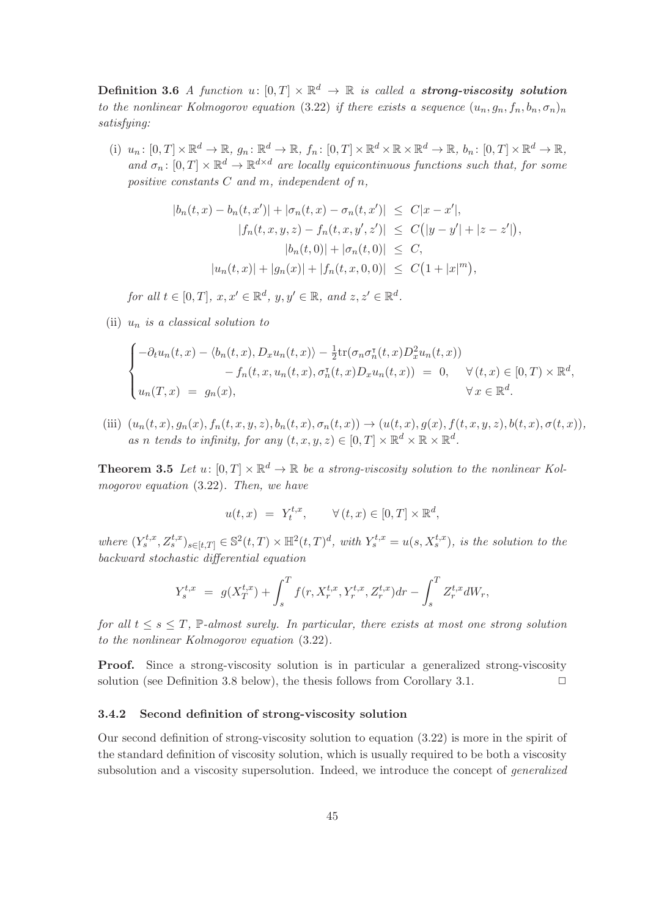Definition 3.6 A function  $u \colon [0,T] \times \mathbb{R}^d \to \mathbb{R}$  is called a strong-viscosity solution to the nonlinear Kolmogorov equation (3.22) if there exists a sequence  $(u_n, q_n, f_n, b_n, \sigma_n)_n$ satisfying:

(i)  $u_n: [0, T] \times \mathbb{R}^d \to \mathbb{R}, g_n: \mathbb{R}^d \to \mathbb{R}, f_n: [0, T] \times \mathbb{R}^d \times \mathbb{R} \times \mathbb{R}^d \to \mathbb{R}, b_n: [0, T] \times \mathbb{R}^d \to \mathbb{R},$ and  $\sigma_n: [0, T] \times \mathbb{R}^d \to \mathbb{R}^{d \times d}$  are locally equicontinuous functions such that, for some positive constants  $C$  and  $m$ , independent of  $n$ ,

$$
|b_n(t, x) - b_n(t, x')| + |\sigma_n(t, x) - \sigma_n(t, x')| \le C|x - x'|,
$$
  
\n
$$
|f_n(t, x, y, z) - f_n(t, x, y', z')| \le C(|y - y'| + |z - z'|)
$$
  
\n
$$
|b_n(t, 0)| + |\sigma_n(t, 0)| \le C,
$$
  
\n
$$
|u_n(t, x)| + |g_n(x)| + |f_n(t, x, 0, 0)| \le C(1 + |x|^m),
$$

,

for all  $t \in [0, T]$ ,  $x, x' \in \mathbb{R}^d$ ,  $y, y' \in \mathbb{R}$ , and  $z, z' \in \mathbb{R}^d$ .

(ii)  $u_n$  is a classical solution to

$$
\begin{cases}\n-\partial_t u_n(t,x) - \langle b_n(t,x), D_x u_n(t,x) \rangle - \frac{1}{2} \text{tr}(\sigma_n \sigma_n^{\intercal}(t,x) D_x^2 u_n(t,x)) \\
-\int_n(t,x, u_n(t,x), \sigma_n^{\intercal}(t,x) D_x u_n(t,x)) = 0, \quad \forall (t,x) \in [0,T) \times \mathbb{R}^d, \\
u_n(T,x) = g_n(x), \qquad \forall x \in \mathbb{R}^d.\n\end{cases}
$$

(iii)  $(u_n(t, x), g_n(x), f_n(t, x, y, z), b_n(t, x), \sigma_n(t, x)) \rightarrow (u(t, x), g(x), f(t, x, y, z), b(t, x), \sigma(t, x)),$ as n tends to infinity, for any  $(t, x, y, z) \in [0, T] \times \mathbb{R}^d \times \mathbb{R} \times \mathbb{R}^d$ .

**Theorem 3.5** Let  $u: [0, T] \times \mathbb{R}^d \to \mathbb{R}$  be a strong-viscosity solution to the nonlinear Kolmogorov equation (3.22). Then, we have

$$
u(t,x) = Y_t^{t,x}, \qquad \forall (t,x) \in [0,T] \times \mathbb{R}^d,
$$

where  $(Y_s^{t,x}, Z_s^{t,x})_{s \in [t,T]} \in \mathbb{S}^2(t,T) \times \mathbb{H}^2(t,T)^d$ , with  $Y_s^{t,x} = u(s, X_s^{t,x})$ , is the solution to the backward stochastic differential equation

$$
Y_s^{t,x} = g(X_T^{t,x}) + \int_s^T f(r, X_r^{t,x}, Y_r^{t,x}, Z_r^{t,x}) dr - \int_s^T Z_r^{t,x} dW_r,
$$

for all  $t \leq s \leq T$ , P-almost surely. In particular, there exists at most one strong solution to the nonlinear Kolmogorov equation (3.22).

Proof. Since a strong-viscosity solution is in particular a generalized strong-viscosity solution (see Definition 3.8 below), the thesis follows from Corollary 3.1.  $\Box$ 

#### 3.4.2 Second definition of strong-viscosity solution

Our second definition of strong-viscosity solution to equation (3.22) is more in the spirit of the standard definition of viscosity solution, which is usually required to be both a viscosity subsolution and a viscosity supersolution. Indeed, we introduce the concept of generalized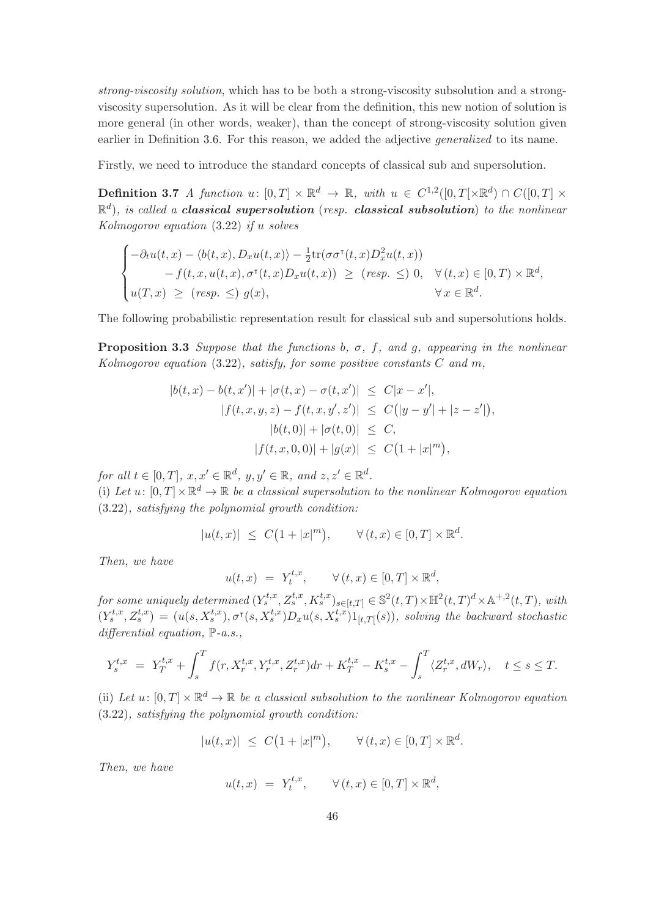strong-viscosity solution, which has to be both a strong-viscosity subsolution and a strongviscosity supersolution. As it will be clear from the definition, this new notion of solution is more general (in other words, weaker), than the concept of strong-viscosity solution given earlier in Definition 3.6. For this reason, we added the adjective *generalized* to its name.

Firstly, we need to introduce the standard concepts of classical sub and supersolution.

**Definition 3.7** A function  $u: [0, T] \times \mathbb{R}^d \to \mathbb{R}$ , with  $u \in C^{1,2}([0, T] \times \mathbb{R}^d) \cap C([0, T] \times$  $\mathbb{R}^d$ ), is called a **classical supersolution** (resp. **classical subsolution**) to the nonlinear Kolmogorov equation (3.22) if u solves

$$
\begin{cases}\n-\partial_t u(t,x) - \langle b(t,x), D_x u(t,x) \rangle - \frac{1}{2} \text{tr}(\sigma \sigma^{\tau}(t,x) D_x^2 u(t,x)) \\
-f(t,x,u(t,x),\sigma^{\tau}(t,x) D_x u(t,x)) \geq (resp. \leq) 0, \quad \forall (t,x) \in [0,T) \times \mathbb{R}^d, \\
u(T,x) \geq (resp. \leq) g(x), \qquad \forall x \in \mathbb{R}^d.\n\end{cases}
$$

The following probabilistic representation result for classical sub and supersolutions holds.

**Proposition 3.3** Suppose that the functions b,  $\sigma$ , f, and g, appearing in the nonlinear Kolmogorov equation  $(3.22)$ , satisfy, for some positive constants C and m,

$$
|b(t, x) - b(t, x')| + |\sigma(t, x) - \sigma(t, x')| \leq C|x - x'|,
$$
  
\n
$$
|f(t, x, y, z) - f(t, x, y', z')| \leq C(|y - y'| + |z - z'|),
$$
  
\n
$$
|b(t, 0)| + |\sigma(t, 0)| \leq C,
$$
  
\n
$$
|f(t, x, 0, 0)| + |g(x)| \leq C(1 + |x|^m),
$$

for all  $t \in [0, T]$ ,  $x, x' \in \mathbb{R}^d$ ,  $y, y' \in \mathbb{R}$ , and  $z, z' \in \mathbb{R}^d$ .

(i) Let  $u: [0, T] \times \mathbb{R}^d \to \mathbb{R}$  be a classical supersolution to the nonlinear Kolmogorov equation (3.22), satisfying the polynomial growth condition:

$$
|u(t,x)| \leq C\big(1+|x|^m\big), \qquad \forall (t,x) \in [0,T] \times \mathbb{R}^d.
$$

Then, we have

$$
u(t,x) = Y_t^{t,x}, \qquad \forall (t,x) \in [0,T] \times \mathbb{R}^d,
$$

for some uniquely determined  $(Y_s^{t,x}, Z_s^{t,x}, K_s^{t,x})_{s \in [t,T]} \in \mathbb{S}^2(t,T) \times \mathbb{H}^2(t,T)^d \times \mathbb{A}^{+,2}(t,T)$ , with  $(Y_s^{t,x}, Z_s^{t,x}) = (u(s, X_s^{t,x}), \sigma^{\tau}(s, X_s^{t,x})D_xu(s, X_s^{t,x})1_{[t,T[}(s)),$  solving the backward stochastic differential equation,  $\mathbb{P}\text{-}a.s.,$ 

$$
Y_s^{t,x} = Y_T^{t,x} + \int_s^T f(r, X_r^{t,x}, Y_r^{t,x}, Z_r^{t,x})dr + K_T^{t,x} - K_s^{t,x} - \int_s^T \langle Z_r^{t,x}, dW_r \rangle, \quad t \le s \le T.
$$

(ii) Let  $u: [0, T] \times \mathbb{R}^d \to \mathbb{R}$  be a classical subsolution to the nonlinear Kolmogorov equation (3.22), satisfying the polynomial growth condition:

$$
|u(t,x)| \leq C\big(1+|x|^m\big), \qquad \forall (t,x) \in [0,T] \times \mathbb{R}^d.
$$

Then, we have

$$
u(t,x) = Y_t^{t,x}, \qquad \forall (t,x) \in [0,T] \times \mathbb{R}^d,
$$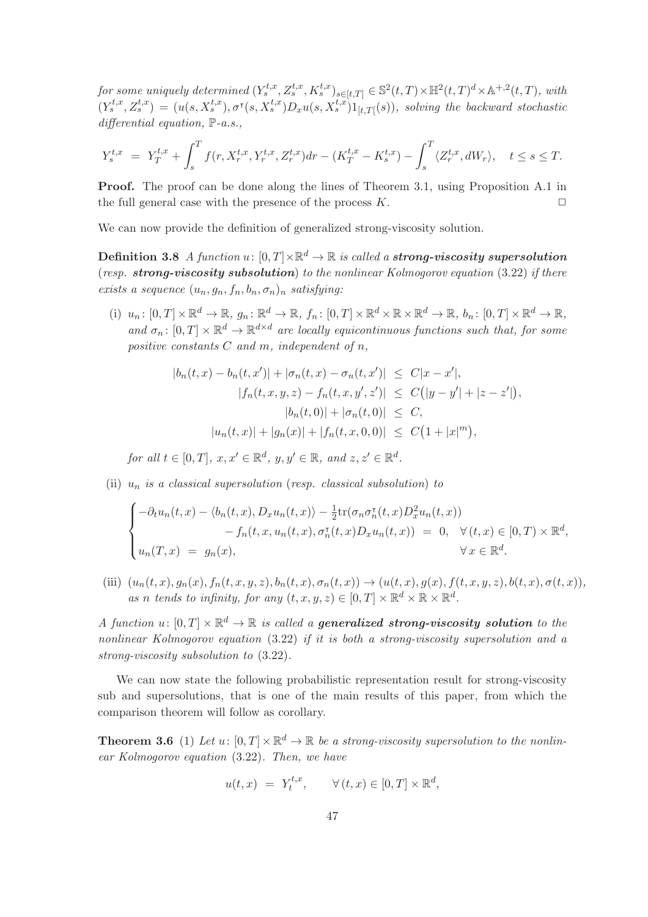for some uniquely determined  $(Y_s^{t,x}, Z_s^{t,x}, K_s^{t,x})_{s \in [t,T]} \in \mathbb{S}^2(t,T) \times \mathbb{H}^2(t,T)^d \times \mathbb{A}^{+,2}(t,T)$ , with  $(Y_s^{t,x}, Z_s^{t,x}) = (u(s, X_s^{t,x}), \sigma^{\tau}(s, X_s^{t,x})D_xu(s, X_s^{t,x})1_{[t,T[}(s)),$  solving the backward stochastic differential equation,  $\mathbb{P}\text{-}a.s.,$ 

$$
Y_s^{t,x} \ = \ Y_T^{t,x} + \int_s^T f(r, X_r^{t,x}, Y_r^{t,x}, Z_r^{t,x}) dr - (K_T^{t,x} - K_s^{t,x}) - \int_s^T \langle Z_r^{t,x}, dW_r \rangle, \quad t \le s \le T.
$$

Proof. The proof can be done along the lines of Theorem 3.1, using Proposition A.1 in the full general case with the presence of the process  $K$ .

We can now provide the definition of generalized strong-viscosity solution.

**Definition 3.8** A function  $u \colon [0,T] \times \mathbb{R}^d \to \mathbb{R}$  is called a strong-viscosity supersolution (resp. strong-viscosity subsolution) to the nonlinear Kolmogorov equation (3.22) if there exists a sequence  $(u_n, g_n, f_n, b_n, \sigma_n)_n$  satisfying:

(i)  $u_n: [0, T] \times \mathbb{R}^d \to \mathbb{R}, g_n: \mathbb{R}^d \to \mathbb{R}, f_n: [0, T] \times \mathbb{R}^d \times \mathbb{R} \times \mathbb{R}^d \to \mathbb{R}, b_n: [0, T] \times \mathbb{R}^d \to \mathbb{R},$ and  $\sigma_n: [0, T] \times \mathbb{R}^d \to \mathbb{R}^{d \times d}$  are locally equicontinuous functions such that, for some positive constants  $C$  and  $m$ , independent of  $n$ ,

$$
|b_n(t, x) - b_n(t, x')| + |\sigma_n(t, x) - \sigma_n(t, x')| \leq C|x - x'|,
$$
  
\n
$$
|f_n(t, x, y, z) - f_n(t, x, y', z')| \leq C(|y - y'| + |z - z'|),
$$
  
\n
$$
|b_n(t, 0)| + |\sigma_n(t, 0)| \leq C,
$$
  
\n
$$
|u_n(t, x)| + |g_n(x)| + |f_n(t, x, 0, 0)| \leq C(1 + |x|^m),
$$

for all  $t \in [0, T]$ ,  $x, x' \in \mathbb{R}^d$ ,  $y, y' \in \mathbb{R}$ , and  $z, z' \in \mathbb{R}^d$ .

(ii)  $u_n$  is a classical supersolution (resp. classical subsolution) to

$$
\begin{cases}\n-\partial_t u_n(t,x) - \langle b_n(t,x), D_x u_n(t,x) \rangle - \frac{1}{2} \text{tr}(\sigma_n \sigma_n^{\tau}(t,x) D_x^2 u_n(t,x)) \\
-\int_n(t,x, u_n(t,x), \sigma_n^{\tau}(t,x) D_x u_n(t,x)) = 0, \quad \forall (t,x) \in [0,T) \times \mathbb{R}^d, \\
u_n(T,x) = g_n(x), \qquad \forall x \in \mathbb{R}^d.\n\end{cases}
$$

(iii)  $(u_n(t, x), g_n(x), f_n(t, x, y, z), b_n(t, x), \sigma_n(t, x)) \rightarrow (u(t, x), g(x), f(t, x, y, z), b(t, x), \sigma(t, x)),$ as n tends to infinity, for any  $(t, x, y, z) \in [0, T] \times \mathbb{R}^d \times \mathbb{R} \times \mathbb{R}^d$ .

A function  $u \colon [0,T] \times \mathbb{R}^d \to \mathbb{R}$  is called a **generalized strong-viscosity solution** to the nonlinear Kolmogorov equation (3.22) if it is both a strong-viscosity supersolution and a strong-viscosity subsolution to (3.22).

We can now state the following probabilistic representation result for strong-viscosity sub and supersolutions, that is one of the main results of this paper, from which the comparison theorem will follow as corollary.

**Theorem 3.6** (1) Let  $u: [0, T] \times \mathbb{R}^d \to \mathbb{R}$  be a strong-viscosity supersolution to the nonlinear Kolmogorov equation (3.22). Then, we have

$$
u(t,x) = Y_t^{t,x}, \qquad \forall (t,x) \in [0,T] \times \mathbb{R}^d,
$$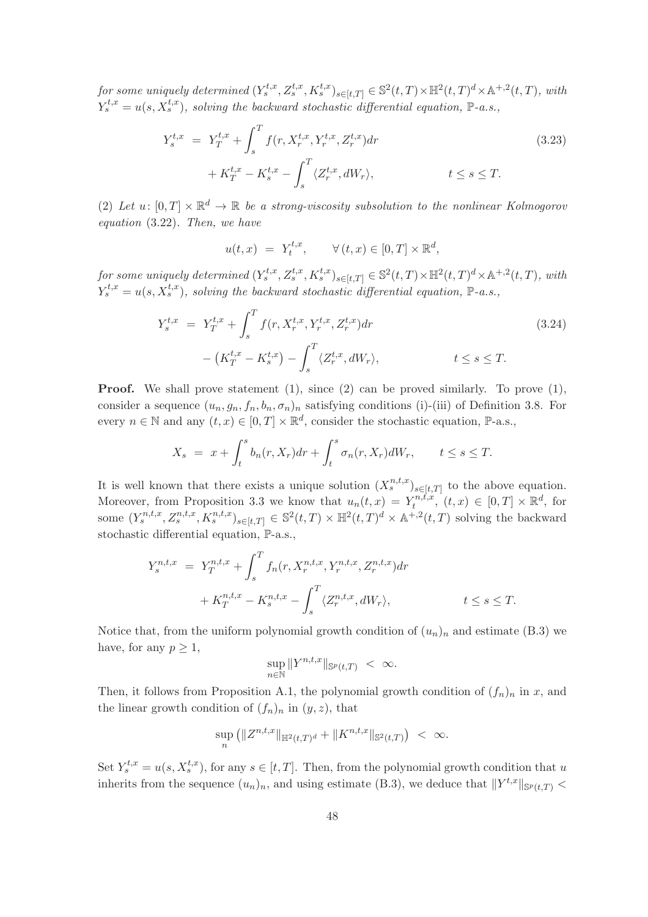for some uniquely determined  $(Y_s^{t,x}, Z_s^{t,x}, K_s^{t,x})_{s \in [t,T]} \in \mathbb{S}^2(t,T) \times \mathbb{H}^2(t,T)^d \times \mathbb{A}^{+,2}(t,T)$ , with  $Y_s^{t,x} = u(s, X_s^{t,x})$ , solving the backward stochastic differential equation, P-a.s.,

$$
Y_s^{t,x} = Y_T^{t,x} + \int_s^T f(r, X_r^{t,x}, Y_r^{t,x}, Z_r^{t,x}) dr + K_T^{t,x} - K_s^{t,x} - \int_s^T \langle Z_r^{t,x}, dW_r \rangle, \qquad t \le s \le T.
$$
\n(3.23)

(2) Let  $u: [0,T] \times \mathbb{R}^d \to \mathbb{R}$  be a strong-viscosity subsolution to the nonlinear Kolmogorov equation (3.22). Then, we have

$$
u(t,x) = Y_t^{t,x}, \qquad \forall (t,x) \in [0,T] \times \mathbb{R}^d,
$$

for some uniquely determined  $(Y_s^{t,x}, Z_s^{t,x}, K_s^{t,x})_{s \in [t,T]} \in \mathbb{S}^2(t,T) \times \mathbb{H}^2(t,T)^d \times \mathbb{A}^{+,2}(t,T)$ , with  $Y_s^{t,x} = u(s, X_s^{t,x})$ , solving the backward stochastic differential equation, P-a.s.,

$$
Y_s^{t,x} = Y_T^{t,x} + \int_s^T f(r, X_r^{t,x}, Y_r^{t,x}, Z_r^{t,x}) dr - (K_T^{t,x} - K_s^{t,x}) - \int_s^T \langle Z_r^{t,x}, dW_r \rangle, \qquad t \le s \le T.
$$
 (3.24)

**Proof.** We shall prove statement (1), since (2) can be proved similarly. To prove (1), consider a sequence  $(u_n, g_n, f_n, b_n, \sigma_n)_n$  satisfying conditions (i)-(iii) of Definition 3.8. For every  $n \in \mathbb{N}$  and any  $(t, x) \in [0, T] \times \mathbb{R}^d$ , consider the stochastic equation,  $\mathbb{P}\text{-a.s.}$ ,

$$
X_s = x + \int_t^s b_n(r, X_r) dr + \int_t^s \sigma_n(r, X_r) dW_r, \qquad t \le s \le T.
$$

It is well known that there exists a unique solution  $(X_s^{n,t,x})_{s\in[t,T]}$  to the above equation. Moreover, from Proposition 3.3 we know that  $u_n(t,x) = Y_t^{n,t,x}$  $\mathcal{F}_t^{n,t,x}, (t,x) \in [0,T] \times \mathbb{R}^d$ , for some  $(Y_s^{n,t,x}, Z_s^{n,t,x}, K_s^{n,t,x})_{s \in [t,T]} \in \mathbb{S}^2(t,T) \times \mathbb{H}^2(t,T)^d \times \mathbb{A}^{+,2}(t,T)$  solving the backward stochastic differential equation, P-a.s.,

$$
Y_s^{n,t,x} = Y_T^{n,t,x} + \int_s^T f_n(r, X_r^{n,t,x}, Y_r^{n,t,x}, Z_r^{n,t,x}) dr
$$
  
+ 
$$
K_T^{n,t,x} - K_s^{n,t,x} - \int_s^T \langle Z_r^{n,t,x}, dW_r \rangle, \qquad t \le s \le T.
$$

Notice that, from the uniform polynomial growth condition of  $(u_n)_n$  and estimate (B.3) we have, for any  $p \geq 1$ ,

$$
\sup_{n \in \mathbb{N}} \|Y^{n,t,x}\|_{\mathbb{S}^p(t,T)} < \infty.
$$

Then, it follows from Proposition A.1, the polynomial growth condition of  $(f_n)_n$  in x, and the linear growth condition of  $(f_n)_n$  in  $(y, z)$ , that

$$
\sup_n (||Z^{n,t,x}||_{\mathbb{H}^2(t,T)^d} + ||K^{n,t,x}||_{\mathbb{S}^2(t,T)}) < \infty.
$$

Set  $Y_s^{t,x} = u(s, X_s^{t,x})$ , for any  $s \in [t,T]$ . Then, from the polynomial growth condition that u inherits from the sequence  $(u_n)_n$ , and using estimate (B.3), we deduce that  $||Y^{t,x}||_{\mathbb{S}^p(t,T)} <$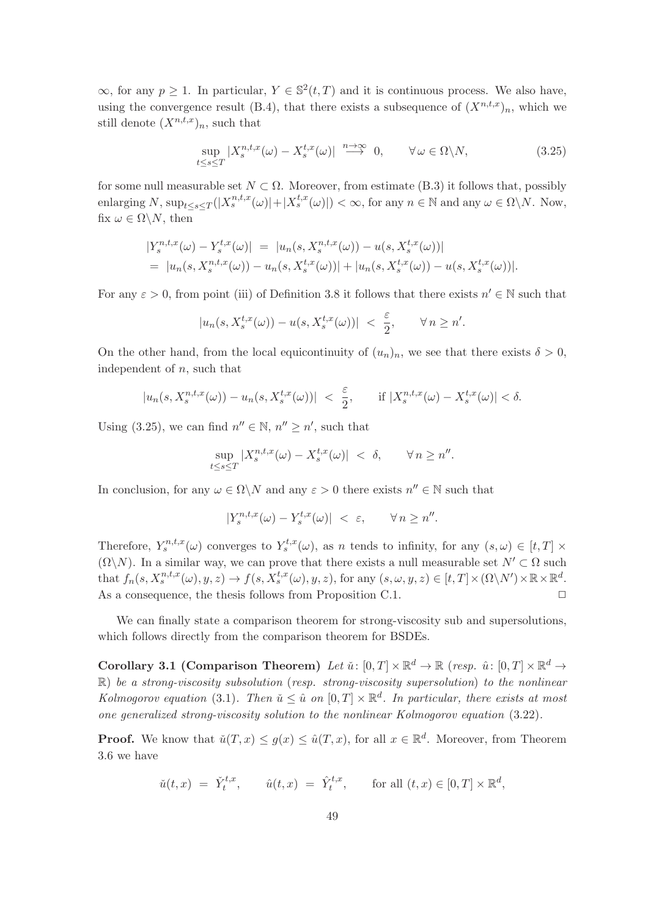$\infty$ , for any  $p \geq 1$ . In particular,  $Y \in \mathbb{S}^2(t,T)$  and it is continuous process. We also have, using the convergence result (B.4), that there exists a subsequence of  $(X^{n,t,x})_n$ , which we still denote  $(X^{n,t,x})_n$ , such that

$$
\sup_{t \le s \le T} |X_s^{n,t,x}(\omega) - X_s^{t,x}(\omega)| \stackrel{n \to \infty}{\longrightarrow} 0, \qquad \forall \omega \in \Omega \setminus N,
$$
\n(3.25)

for some null measurable set  $N \subset \Omega$ . Moreover, from estimate (B.3) it follows that, possibly enlarging N,  $\sup_{t \le s \le T} (|X_s^{n,t,x}(\omega)| + |X_s^{t,x}(\omega)|) < \infty$ , for any  $n \in \mathbb{N}$  and any  $\omega \in \Omega \backslash N$ . Now, fix  $\omega \in \Omega \backslash N$ , then

$$
\begin{aligned} \left| Y_s^{n,t,x}(\omega) - Y_s^{t,x}(\omega) \right| &= \left| u_n(s, X_s^{n,t,x}(\omega)) - u(s, X_s^{t,x}(\omega)) \right| \\ &= \left| u_n(s, X_s^{n,t,x}(\omega)) - u_n(s, X_s^{t,x}(\omega)) \right| + \left| u_n(s, X_s^{t,x}(\omega)) - u(s, X_s^{t,x}(\omega)) \right|. \end{aligned}
$$

For any  $\varepsilon > 0$ , from point (iii) of Definition 3.8 it follows that there exists  $n' \in \mathbb{N}$  such that

$$
|u_n(s, X_s^{t,x}(\omega)) - u(s, X_s^{t,x}(\omega))| < \frac{\varepsilon}{2}, \qquad \forall n \ge n'.
$$

On the other hand, from the local equicontinuity of  $(u_n)_n$ , we see that there exists  $\delta > 0$ , independent of  $n$ , such that

$$
|u_n(s, X_s^{n,t,x}(\omega)) - u_n(s, X_s^{t,x}(\omega))| < \frac{\varepsilon}{2}, \quad \text{if } |X_s^{n,t,x}(\omega) - X_s^{t,x}(\omega)| < \delta.
$$

Using (3.25), we can find  $n'' \in \mathbb{N}$ ,  $n'' \ge n'$ , such that

$$
\sup_{t \le s \le T} |X_s^{n,t,x}(\omega) - X_s^{t,x}(\omega)| < \delta, \qquad \forall n \ge n''.
$$

In conclusion, for any  $\omega \in \Omega \backslash N$  and any  $\varepsilon > 0$  there exists  $n'' \in \mathbb{N}$  such that

$$
|Y_s^{n,t,x}(\omega) - Y_s^{t,x}(\omega)| < \varepsilon, \qquad \forall n \ge n''.
$$

Therefore,  $Y_s^{n,t,x}(\omega)$  converges to  $Y_s^{t,x}(\omega)$ , as n tends to infinity, for any  $(s,\omega) \in [t,T] \times$  $(\Omega \backslash N)$ . In a similar way, we can prove that there exists a null measurable set  $N' \subset \Omega$  such that  $f_n(s, X_s^{n,t,x}(\omega), y, z) \to f(s, X_s^{t,x}(\omega), y, z)$ , for any  $(s, \omega, y, z) \in [t, T] \times (\Omega \setminus N') \times \mathbb{R} \times \mathbb{R}^d$ . As a consequence, the thesis follows from Proposition C.1.  $\Box$ 

We can finally state a comparison theorem for strong-viscosity sub and supersolutions, which follows directly from the comparison theorem for BSDEs.

Corollary 3.1 (Comparison Theorem) Let  $\check{u} \colon [0,T] \times \mathbb{R}^d \to \mathbb{R}$  (resp.  $\hat{u} \colon [0,T] \times \mathbb{R}^d \to$  $\mathbb{R}$ ) be a strong-viscosity subsolution (resp. strong-viscosity supersolution) to the nonlinear Kolmogorov equation (3.1). Then  $\check{u} \leq \hat{u}$  on  $[0, T] \times \mathbb{R}^d$ . In particular, there exists at most one generalized strong-viscosity solution to the nonlinear Kolmogorov equation (3.22).

**Proof.** We know that  $\check{u}(T,x) \leq g(x) \leq \hat{u}(T,x)$ , for all  $x \in \mathbb{R}^d$ . Moreover, from Theorem 3.6 we have

$$
\check{u}(t,x) = \check{Y}_t^{t,x}, \qquad \hat{u}(t,x) = \hat{Y}_t^{t,x}, \qquad \text{for all } (t,x) \in [0,T] \times \mathbb{R}^d,
$$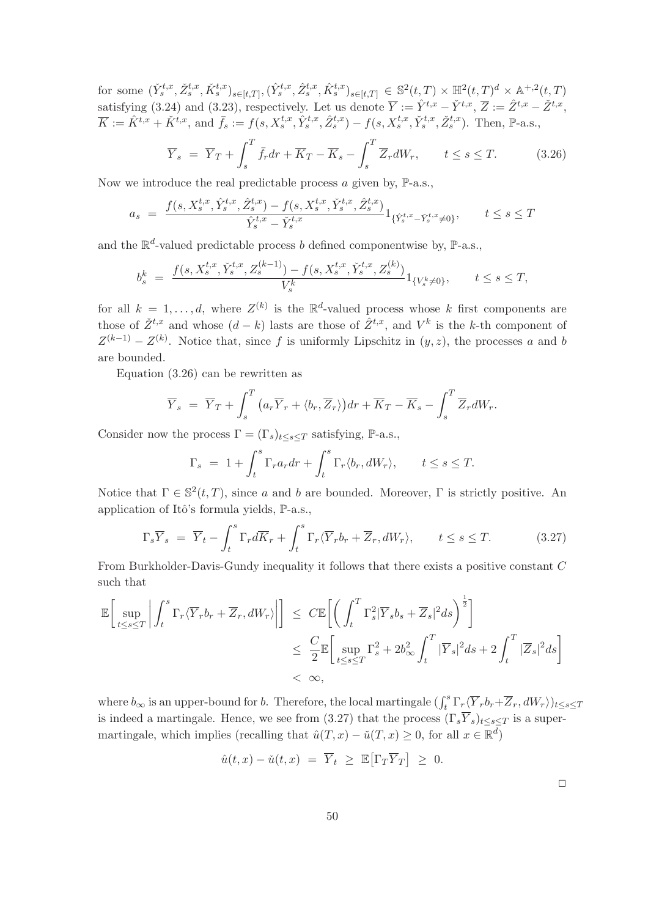for some  $(\check{Y}_{s}^{t,x}, \check{Z}_{s}^{t,x}, \check{K}_{s}^{t,x})_{s \in [t,T]}, (\hat{Y}_{s}^{t,x}, \hat{Z}_{s}^{t,x}, \hat{K}_{s}^{t,x})_{s \in [t,T]} \in \mathbb{S}^{2}(t,T) \times \mathbb{H}^{2}(t,T)^{d} \times \mathbb{A}^{+,2}(t,T)$ satisfying (3.24) and (3.23), respectively. Let us denote  $\overline{Y} := \hat{Y}^{t,x} - \check{Y}^{t,x}, \overline{Z} := \hat{Z}^{t,x} - \check{Z}^{t,x}$ ,  $\overline{K} := \hat{K}^{t,x} + \check{K}^{t,x}, \text{ and } \overline{f}_s := f(s, X_s^{t,x}, \hat{Y}_s^{t,x}, \hat{Z}_s^{t,x}) - f(s, X_s^{t,x}, \check{Y}_s^{t,x}, \check{Z}_s^{t,x}).$  Then,  $\mathbb{P}\text{-a.s.}$ 

$$
\overline{Y}_s = \overline{Y}_T + \int_s^T \overline{f}_r dr + \overline{K}_T - \overline{K}_s - \int_s^T \overline{Z}_r dW_r, \qquad t \le s \le T. \tag{3.26}
$$

Now we introduce the real predictable process  $\alpha$  given by,  $\mathbb{P}\text{-a.s.}$ ,

$$
a_s = \frac{f(s, X_s^{t,x}, \hat{Y}_s^{t,x}, \hat{Z}_s^{t,x}) - f(s, X_s^{t,x}, \check{Y}_s^{t,x}, \hat{Z}_s^{t,x})}{\hat{Y}_s^{t,x} - \check{Y}_s^{t,x}} 1_{\{\hat{Y}_s^{t,x} - \check{Y}_s^{t,x} \neq 0\}}, \qquad t \le s \le T
$$

and the  $\mathbb{R}^d$ -valued predictable process b defined componentwise by,  $\mathbb{P}\text{-a.s.}$ ,

$$
b_s^k = \frac{f(s, X_s^{t,x}, \check{Y}_s^{t,x}, Z_s^{(k-1)}) - f(s, X_s^{t,x}, \check{Y}_s^{t,x}, Z_s^{(k)})}{V_s^k} 1_{\{V_s^k \neq 0\}}, \qquad t \le s \le T,
$$

for all  $k = 1, \ldots, d$ , where  $Z^{(k)}$  is the  $\mathbb{R}^d$ -valued process whose k first components are those of  $\check{Z}^{t,x}$  and whose  $(d-k)$  lasts are those of  $\hat{Z}^{t,x}$ , and  $V^k$  is the k-th component of  $Z^{(k-1)} - Z^{(k)}$ . Notice that, since f is uniformly Lipschitz in  $(y, z)$ , the processes a and b are bounded.

Equation (3.26) can be rewritten as

$$
\overline{Y}_s = \overline{Y}_T + \int_s^T \left( a_r \overline{Y}_r + \langle b_r, \overline{Z}_r \rangle \right) dr + \overline{K}_T - \overline{K}_s - \int_s^T \overline{Z}_r dW_r.
$$

Consider now the process  $\Gamma = (\Gamma_s)_{t \leq s \leq T}$  satisfying, P-a.s.,

$$
\Gamma_s = 1 + \int_t^s \Gamma_r a_r dr + \int_t^s \Gamma_r \langle b_r, dW_r \rangle, \qquad t \le s \le T.
$$

Notice that  $\Gamma \in \mathbb{S}^2(t,T)$ , since a and b are bounded. Moreover,  $\Gamma$  is strictly positive. An application of Itô's formula yields,  $\mathbb{P}\text{-a.s.}$ ,

$$
\Gamma_s \overline{Y}_s = \overline{Y}_t - \int_t^s \Gamma_r d\overline{K}_r + \int_t^s \Gamma_r \langle \overline{Y}_r b_r + \overline{Z}_r, dW_r \rangle, \qquad t \le s \le T. \tag{3.27}
$$

From Burkholder-Davis-Gundy inequality it follows that there exists a positive constant C such that

$$
\mathbb{E}\left[\sup_{t\leq s\leq T}\left|\int_{t}^{s}\Gamma_{r}\langle\overline{Y}_{r}b_{r}+\overline{Z}_{r},dW_{r}\rangle\right|\right] \leq C\mathbb{E}\left[\left(\int_{t}^{T}\Gamma_{s}^{2}|\overline{Y}_{s}b_{s}+\overline{Z}_{s}|^{2}ds\right)^{\frac{1}{2}}\right]
$$
  

$$
\leq \frac{C}{2}\mathbb{E}\left[\sup_{t\leq s\leq T}\Gamma_{s}^{2}+2b_{\infty}^{2}\int_{t}^{T}|\overline{Y}_{s}|^{2}ds+2\int_{t}^{T}|\overline{Z}_{s}|^{2}ds\right]
$$
  

$$
<\infty,
$$

where  $b_{\infty}$  is an upper-bound for b. Therefore, the local martingale  $(\int_t^s \Gamma_r \langle \overline{Y}_r b_r + \overline{Z}_r, dW_r \rangle)_{t \le s \le T}$ is indeed a martingale. Hence, we see from (3.27) that the process  $(\Gamma_s \overline{Y}_s)_{t\leq s\leq T}$  is a supermartingale, which implies (recalling that  $\hat{u}(T, x) - \check{u}(T, x) \geq 0$ , for all  $x \in \mathbb{R}^d$ )

$$
\hat{u}(t,x) - \check{u}(t,x) = \overline{Y}_t \geq \mathbb{E}[\Gamma_T \overline{Y}_T] \geq 0.
$$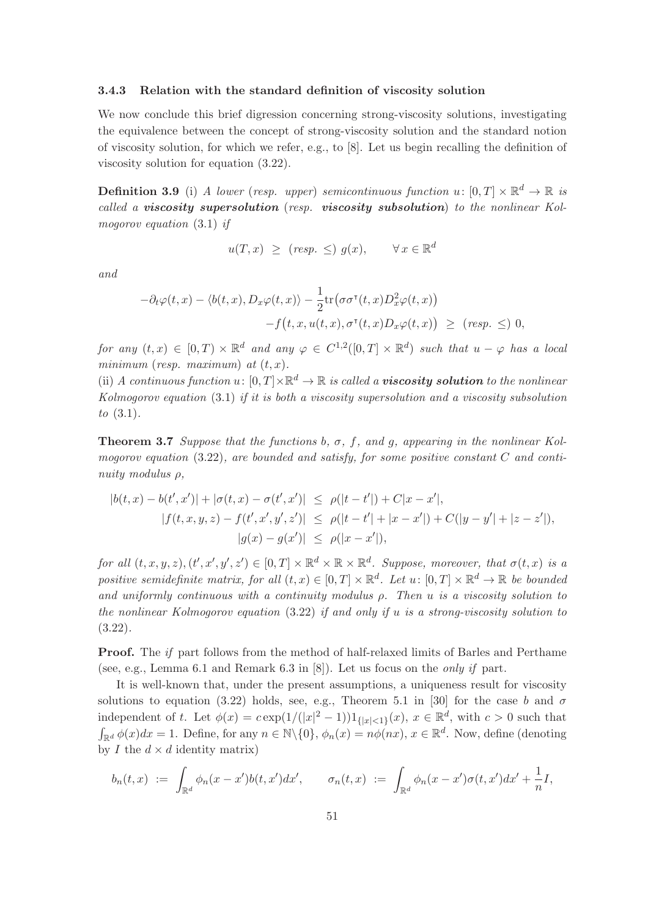# 3.4.3 Relation with the standard definition of viscosity solution

We now conclude this brief digression concerning strong-viscosity solutions, investigating the equivalence between the concept of strong-viscosity solution and the standard notion of viscosity solution, for which we refer, e.g., to  $[8]$ . Let us begin recalling the definition of viscosity solution for equation (3.22).

**Definition 3.9** (i) A lower (resp. upper) semicontinuous function  $u: [0, T] \times \mathbb{R}^d \to \mathbb{R}$  is called a viscosity supersolution (resp. viscosity subsolution) to the nonlinear Kolmogorov equation (3.1) if

$$
u(T, x) \geq (resp. \leq) g(x), \quad \forall x \in \mathbb{R}^d
$$

and

$$
-\partial_t \varphi(t,x) - \langle b(t,x), D_x \varphi(t,x) \rangle - \frac{1}{2} \text{tr}(\sigma \sigma^{\intercal}(t,x) D_x^2 \varphi(t,x))
$$
  
-f(t,x,u(t,x),\sigma^{\intercal}(t,x) D\_x \varphi(t,x)) \ge (resp. \le) 0,

for any  $(t, x) \in [0, T) \times \mathbb{R}^d$  and any  $\varphi \in C^{1,2}([0, T] \times \mathbb{R}^d)$  such that  $u - \varphi$  has a local minimum (resp. maximum) at  $(t, x)$ .

(ii) A continuous function  $u: [0, T] \times \mathbb{R}^d \to \mathbb{R}$  is called a **viscosity solution** to the nonlinear Kolmogorov equation (3.1) if it is both a viscosity supersolution and a viscosity subsolution to (3.1).

**Theorem 3.7** Suppose that the functions b,  $\sigma$ , f, and g, appearing in the nonlinear Kolmogorov equation  $(3.22)$ , are bounded and satisfy, for some positive constant C and continuity modulus ρ,

$$
|b(t, x) - b(t', x')| + |\sigma(t, x) - \sigma(t', x')| \le \rho(|t - t'|) + C|x - x'|,
$$
  
\n
$$
|f(t, x, y, z) - f(t', x', y', z')| \le \rho(|t - t'| + |x - x'|) + C(|y - y'| + |z - z'|),
$$
  
\n
$$
|g(x) - g(x')| \le \rho(|x - x'|),
$$

for all  $(t, x, y, z), (t', x', y', z') \in [0, T] \times \mathbb{R}^d \times \mathbb{R} \times \mathbb{R}^d$ . Suppose, moreover, that  $\sigma(t, x)$  is a positive semidefinite matrix, for all  $(t, x) \in [0, T] \times \mathbb{R}^d$ . Let  $u: [0, T] \times \mathbb{R}^d \to \mathbb{R}$  be bounded and uniformly continuous with a continuity modulus  $\rho$ . Then u is a viscosity solution to the nonlinear Kolmogorov equation (3.22) if and only if u is a strong-viscosity solution to (3.22).

**Proof.** The if part follows from the method of half-relaxed limits of Barles and Perthame (see, e.g., Lemma 6.1 and Remark 6.3 in  $[8]$ ). Let us focus on the *only if* part.

It is well-known that, under the present assumptions, a uniqueness result for viscosity solutions to equation (3.22) holds, see, e.g., Theorem 5.1 in [30] for the case b and  $\sigma$ independent of t. Let  $\phi(x) = c \exp(1/(|x|^2 - 1))1_{\{|x| \le 1\}}(x)$ ,  $x \in \mathbb{R}^d$ , with  $c > 0$  such that  $\int_{\mathbb{R}^d} \phi(x) dx = 1$ . Define, for any  $n \in \mathbb{N} \setminus \{0\}$ ,  $\phi_n(x) = n\phi(nx)$ ,  $x \in \mathbb{R}^d$ . Now, define (denoting by I the  $d \times d$  identity matrix)

$$
b_n(t,x) := \int_{\mathbb{R}^d} \phi_n(x-x')b(t,x')dx', \qquad \sigma_n(t,x) := \int_{\mathbb{R}^d} \phi_n(x-x')\sigma(t,x')dx' + \frac{1}{n}I,
$$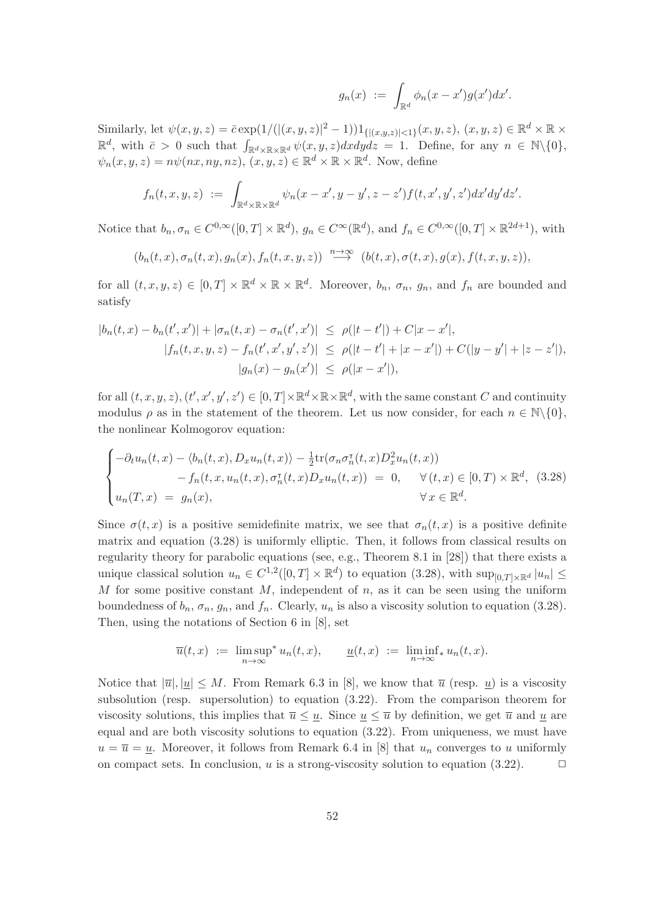$$
g_n(x) := \int_{\mathbb{R}^d} \phi_n(x - x') g(x') dx'.
$$

Similarly, let  $\psi(x, y, z) = \bar{c} \exp(1/((x, y, z)|^2 - 1)) 1_{\{|(x, y, z)| \le 1\}}(x, y, z), (x, y, z) \in \mathbb{R}^d \times \mathbb{R} \times$  $\mathbb{R}^d$ , with  $\bar{c} > 0$  such that  $\int_{\mathbb{R}^d \times \mathbb{R} \times \mathbb{R}^d} \psi(x, y, z) dx dy dz = 1$ . Define, for any  $n \in \mathbb{N} \setminus \{0\}$ ,  $\psi_n(x, y, z) = n\psi(nx, ny, nz), (x, y, z) \in \mathbb{R}^d \times \mathbb{R} \times \mathbb{R}^d$ . Now, define

$$
f_n(t,x,y,z) := \int_{\mathbb{R}^d \times \mathbb{R} \times \mathbb{R}^d} \psi_n(x-x',y-y',z-z')f(t,x',y',z')dx'dy'dz'.
$$

Notice that  $b_n, \sigma_n \in C^{0,\infty}([0,T] \times \mathbb{R}^d)$ ,  $g_n \in C^{\infty}(\mathbb{R}^d)$ , and  $f_n \in C^{0,\infty}([0,T] \times \mathbb{R}^{2d+1})$ , with

$$
(b_n(t,x), \sigma_n(t,x), g_n(x), f_n(t,x,y,z)) \stackrel{n\to\infty}{\longrightarrow} (b(t,x), \sigma(t,x), g(x), f(t,x,y,z)),
$$

for all  $(t, x, y, z) \in [0, T] \times \mathbb{R}^d \times \mathbb{R} \times \mathbb{R}^d$ . Moreover,  $b_n$ ,  $\sigma_n$ ,  $g_n$ , and  $f_n$  are bounded and satisfy

$$
|b_n(t, x) - b_n(t', x')| + |\sigma_n(t, x) - \sigma_n(t', x')| \le \rho(|t - t'|) + C|x - x'|,
$$
  
\n
$$
|f_n(t, x, y, z) - f_n(t', x', y', z')| \le \rho(|t - t'| + |x - x'|) + C(|y - y'| + |z - z'|),
$$
  
\n
$$
|g_n(x) - g_n(x')| \le \rho(|x - x'|),
$$

for all  $(t, x, y, z), (t', x', y', z') \in [0, T] \times \mathbb{R}^d \times \mathbb{R} \times \mathbb{R}^d$ , with the same constant C and continuity modulus  $\rho$  as in the statement of the theorem. Let us now consider, for each  $n \in \mathbb{N}\backslash\{0\}$ , the nonlinear Kolmogorov equation:

$$
\begin{cases}\n-\partial_t u_n(t,x) - \langle b_n(t,x), D_x u_n(t,x) \rangle - \frac{1}{2} \text{tr}(\sigma_n \sigma_n^{\tau}(t,x) D_x^2 u_n(t,x)) \\
\quad - f_n(t,x, u_n(t,x), \sigma_n^{\tau}(t,x) D_x u_n(t,x)) = 0, \quad \forall (t,x) \in [0,T) \times \mathbb{R}^d, \ (3.28) \\
u_n(T,x) = g_n(x), \quad \forall x \in \mathbb{R}^d.\n\end{cases}
$$

Since  $\sigma(t, x)$  is a positive semidefinite matrix, we see that  $\sigma_n(t, x)$  is a positive definite matrix and equation (3.28) is uniformly elliptic. Then, it follows from classical results on regularity theory for parabolic equations (see, e.g., Theorem 8.1 in [28]) that there exists a unique classical solution  $u_n \in C^{1,2}([0,T] \times \mathbb{R}^d)$  to equation (3.28), with  $\sup_{[0,T] \times \mathbb{R}^d} |u_n| \leq$ M for some positive constant  $M$ , independent of  $n$ , as it can be seen using the uniform boundedness of  $b_n$ ,  $\sigma_n$ ,  $g_n$ , and  $f_n$ . Clearly,  $u_n$  is also a viscosity solution to equation (3.28). Then, using the notations of Section 6 in [8], set

$$
\overline{u}(t,x) := \limsup_{n \to \infty} u_n(t,x), \qquad \underline{u}(t,x) := \liminf_{n \to \infty} u_n(t,x).
$$

Notice that  $|\overline{u}|, |\underline{u}| \leq M$ . From Remark 6.3 in [8], we know that  $\overline{u}$  (resp.  $\underline{u}$ ) is a viscosity subsolution (resp. supersolution) to equation (3.22). From the comparison theorem for viscosity solutions, this implies that  $\overline{u} \leq \underline{u}$ . Since  $\underline{u} \leq \overline{u}$  by definition, we get  $\overline{u}$  and  $\underline{u}$  are equal and are both viscosity solutions to equation (3.22). From uniqueness, we must have  $u = \overline{u} = \underline{u}$ . Moreover, it follows from Remark 6.4 in [8] that  $u_n$  converges to u uniformly on compact sets. In conclusion, u is a strong-viscosity solution to equation  $(3.22)$ .  $\Box$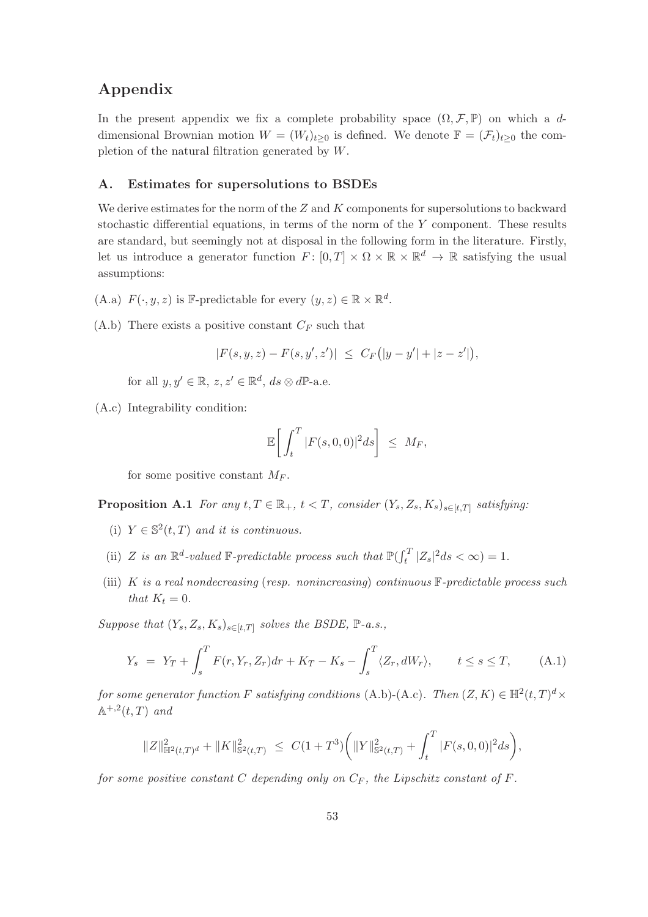# Appendix

In the present appendix we fix a complete probability space  $(\Omega, \mathcal{F}, \mathbb{P})$  on which a ddimensional Brownian motion  $W = (W_t)_{t>0}$  is defined. We denote  $\mathbb{F} = (\mathcal{F}_t)_{t>0}$  the completion of the natural filtration generated by W.

# A. Estimates for supersolutions to BSDEs

We derive estimates for the norm of the  $Z$  and  $K$  components for supersolutions to backward stochastic differential equations, in terms of the norm of the  $Y$  component. These results are standard, but seemingly not at disposal in the following form in the literature. Firstly, let us introduce a generator function  $F: [0, T] \times \Omega \times \mathbb{R} \times \mathbb{R}^d \to \mathbb{R}$  satisfying the usual assumptions:

- (A.a)  $F(\cdot, y, z)$  is F-predictable for every  $(y, z) \in \mathbb{R} \times \mathbb{R}^d$ .
- (A.b) There exists a positive constant  $C_F$  such that

 $|F(s, y, z) - F(s, y', z')| \leq C_F(|y - y'| + |z - z'|),$ 

for all  $y, y' \in \mathbb{R}, z, z' \in \mathbb{R}^d, ds \otimes d\mathbb{P}$ -a.e.

(A.c) Integrability condition:

$$
\mathbb{E}\bigg[\int_t^T |F(s,0,0)|^2 ds\bigg] \leq M_F,
$$

for some positive constant  $M_F$ .

**Proposition A.1** For any  $t, T \in \mathbb{R}_+$ ,  $t < T$ , consider  $(Y_s, Z_s, K_s)_{s \in [t,T]}$  satisfying:

- (i)  $Y \in \mathbb{S}^2(t,T)$  and it is continuous.
- (ii) Z is an  $\mathbb{R}^d$ -valued  $\mathbb{F}\text{-predictable process such that } \mathbb{P}(\int_t^T |Z_s|^2 ds < \infty) = 1.$
- (iii) K is a real nondecreasing (resp. nonincreasing) continuous  $\mathbb{F}\text{-}predictable process such$ that  $K_t = 0$ .

Suppose that  $(Y_s, Z_s, K_s)_{s \in [t,T]}$  solves the BSDE,  $\mathbb{P}\text{-}a.s.,$ 

$$
Y_s = Y_T + \int_s^T F(r, Y_r, Z_r) dr + K_T - K_s - \int_s^T \langle Z_r, dW_r \rangle, \qquad t \le s \le T,
$$
 (A.1)

for some generator function F satisfying conditions (A.b)-(A.c). Then  $(Z, K) \in \mathbb{H}^2(t,T)^d \times$  $\mathbb{A}^{+,2}(t,T)$  and

$$
\|Z\|_{\mathbb{H}^2(t,T)^d}^2 + \|K\|_{\mathbb{S}^2(t,T)}^2 \ \leq \ C(1+T^3) \bigg( \|Y\|_{\mathbb{S}^2(t,T)}^2 + \int_t^T |F(s,0,0)|^2 ds \bigg),
$$

for some positive constant  $C$  depending only on  $C_F$ , the Lipschitz constant of  $F$ .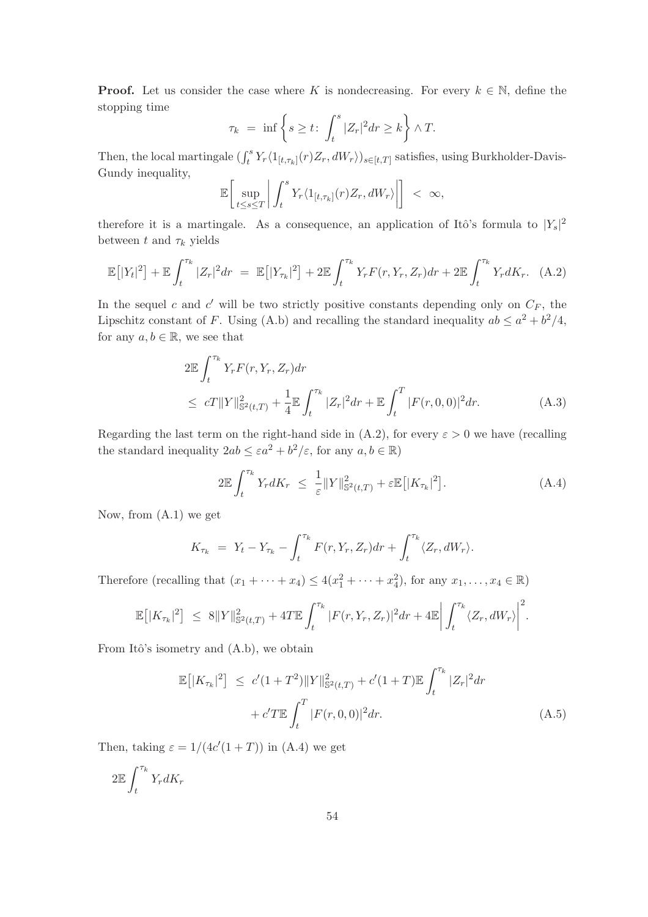**Proof.** Let us consider the case where K is nondecreasing. For every  $k \in \mathbb{N}$ , define the stopping time

$$
\tau_k = \inf \left\{ s \ge t : \int_t^s |Z_r|^2 dr \ge k \right\} \wedge T.
$$

Then, the local martingale  $(\int_t^s Y_r \langle 1_{[t,\tau_k]}(r)Z_r, dW_r \rangle)_{s \in [t,T]}$  satisfies, using Burkholder-Davis-Gundy inequality,

$$
\mathbb{E}\bigg[\sup_{t\leq s\leq T}\bigg|\int_t^s Y_r\langle 1_{[t,\tau_k]}(r)Z_r,dW_r\rangle\bigg|\bigg] < \infty,
$$

therefore it is a martingale. As a consequence, an application of Itô's formula to  $|Y_s|^2$ between t and  $\tau_k$  yields

$$
\mathbb{E}\left[|Y_t|^2\right] + \mathbb{E}\int_t^{\tau_k} |Z_r|^2 dr = \mathbb{E}\left[|Y_{\tau_k}|^2\right] + 2 \mathbb{E}\int_t^{\tau_k} Y_r F(r, Y_r, Z_r) dr + 2 \mathbb{E}\int_t^{\tau_k} Y_r dK_r. \tag{A.2}
$$

In the sequel c and  $c'$  will be two strictly positive constants depending only on  $C_F$ , the Lipschitz constant of F. Using (A.b) and recalling the standard inequality  $ab \leq a^2 + b^2/4$ , for any  $a, b \in \mathbb{R}$ , we see that

$$
2\mathbb{E}\int_{t}^{\tau_{k}} Y_{r}F(r, Y_{r}, Z_{r})dr
$$
  
\n
$$
\leq cT\|Y\|_{\mathbb{S}^{2}(t,T)}^{2} + \frac{1}{4}\mathbb{E}\int_{t}^{\tau_{k}} |Z_{r}|^{2} dr + \mathbb{E}\int_{t}^{T} |F(r, 0, 0)|^{2} dr.
$$
 (A.3)

Regarding the last term on the right-hand side in  $(A.2)$ , for every  $\varepsilon > 0$  we have (recalling the standard inequality  $2ab \leq \varepsilon a^2 + b^2/\varepsilon$ , for any  $a, b \in \mathbb{R}$ )

$$
2\mathbb{E}\int_{t}^{\tau_{k}}Y_{r}dK_{r} \leq \frac{1}{\varepsilon}\|Y\|_{\mathbb{S}^{2}(t,T)}^{2} + \varepsilon\mathbb{E}\left[\|K_{\tau_{k}}\|^{2}\right].
$$
 (A.4)

Now, from (A.1) we get

$$
K_{\tau_k} = Y_t - Y_{\tau_k} - \int_t^{\tau_k} F(r, Y_r, Z_r) dr + \int_t^{\tau_k} \langle Z_r, dW_r \rangle.
$$

Therefore (recalling that  $(x_1 + \cdots + x_4) \leq 4(x_1^2 + \cdots + x_4^2)$ , for any  $x_1, \ldots, x_4 \in \mathbb{R}$ )

$$
\mathbb{E}\big[|K_{\tau_k}|^2\big] \ \leq \ 8\|Y\|_{{\mathbb{S}^2}(t,T)}^2 + 4T\mathbb{E}\int_t^{\tau_k} |F(r,Y_r,Z_r)|^2 dr + 4\mathbb{E}\bigg|\int_t^{\tau_k} \langle Z_r, dW_r \rangle\bigg|^2.
$$

From Itô's isometry and (A.b), we obtain

$$
\mathbb{E}\left[|K_{\tau_k}|^2\right] \le c'(1+T^2) \|Y\|_{\mathbb{S}^2(t,T)}^2 + c'(1+T) \mathbb{E} \int_t^{\tau_k} |Z_r|^2 dr
$$
  
+  $c'T \mathbb{E} \int_t^T |F(r,0,0)|^2 dr.$  (A.5)

Then, taking  $\varepsilon = 1/(4c'(1+T))$  in (A.4) we get

$$
2\mathbb{E}\int_t^{\tau_k} Y_r dK_r
$$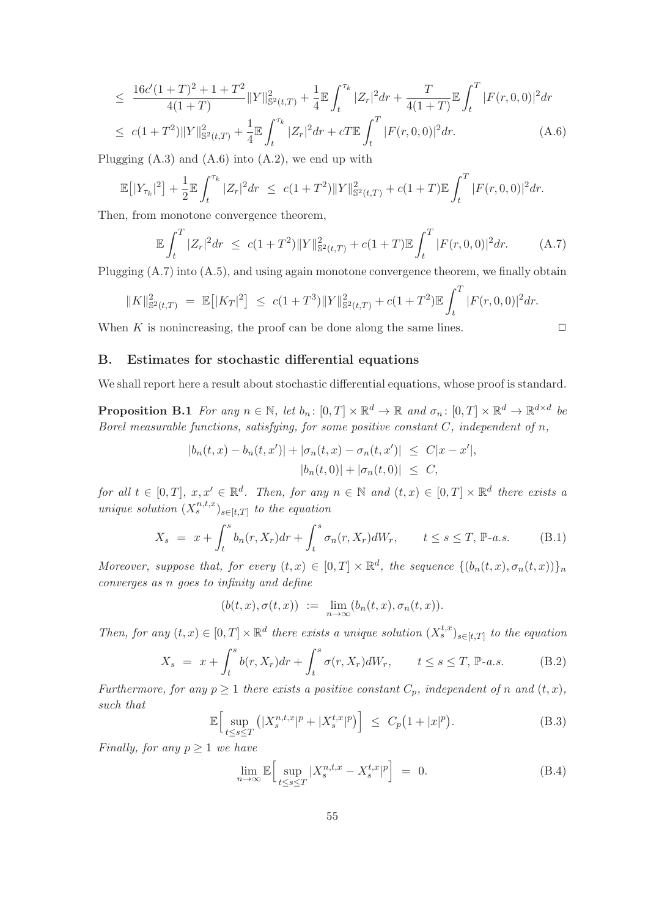$$
\leq \frac{16c'(1+T)^2 + 1 + T^2}{4(1+T)} \|Y\|_{\mathbb{S}^2(t,T)}^2 + \frac{1}{4} \mathbb{E} \int_t^{\tau_k} |Z_r|^2 dr + \frac{T}{4(1+T)} \mathbb{E} \int_t^T |F(r,0,0)|^2 dr
$$
  

$$
\leq c(1+T^2) \|Y\|_{\mathbb{S}^2(t,T)}^2 + \frac{1}{4} \mathbb{E} \int_t^{\tau_k} |Z_r|^2 dr + cT \mathbb{E} \int_t^T |F(r,0,0)|^2 dr. \tag{A.6}
$$

Plugging  $(A.3)$  and  $(A.6)$  into  $(A.2)$ , we end up with

$$
\mathbb{E}\left[|Y_{\tau_k}|^2\right] + \frac{1}{2} \mathbb{E} \int_t^{\tau_k} |Z_r|^2 dr \leq c(1+T^2) \|Y\|_{\mathbb{S}^2(t,T)}^2 + c(1+T) \mathbb{E} \int_t^T |F(r,0,0)|^2 dr.
$$

Then, from monotone convergence theorem,

$$
\mathbb{E}\int_{t}^{T} |Z_{r}|^{2} dr \leq c(1+T^{2})\|Y\|_{\mathbb{S}^{2}(t,T)}^{2} + c(1+T)\mathbb{E}\int_{t}^{T} |F(r,0,0)|^{2} dr. \tag{A.7}
$$

Plugging (A.7) into (A.5), and using again monotone convergence theorem, we finally obtain

$$
||K||_{\mathbb{S}^2(t,T)}^2 = \mathbb{E}[|K_T|^2] \le c(1+T^3)||Y||_{\mathbb{S}^2(t,T)}^2 + c(1+T^2)\mathbb{E}\int_t^T |F(r,0,0)|^2 dr.
$$

When K is nonincreasing, the proof can be done along the same lines.  $\Box$ 

# B. Estimates for stochastic differential equations

We shall report here a result about stochastic differential equations, whose proof is standard.

**Proposition B.1** For any  $n \in \mathbb{N}$ , let  $b_n : [0, T] \times \mathbb{R}^d \to \mathbb{R}$  and  $\sigma_n : [0, T] \times \mathbb{R}^d \to \mathbb{R}^{d \times d}$  be Borel measurable functions, satisfying, for some positive constant  $C$ , independent of  $n$ ,

$$
|b_n(t, x) - b_n(t, x')| + |\sigma_n(t, x) - \sigma_n(t, x')| \leq C|x - x'|,
$$
  

$$
|b_n(t, 0)| + |\sigma_n(t, 0)| \leq C,
$$

for all  $t \in [0,T]$ ,  $x, x' \in \mathbb{R}^d$ . Then, for any  $n \in \mathbb{N}$  and  $(t,x) \in [0,T] \times \mathbb{R}^d$  there exists a unique solution  $(X_s^{n,t,x})_{s\in[t,T]}$  to the equation

$$
X_s = x + \int_t^s b_n(r, X_r) dr + \int_t^s \sigma_n(r, X_r) dW_r, \qquad t \le s \le T, \mathbb{P}\text{-}a.s. \tag{B.1}
$$

Moreover, suppose that, for every  $(t, x) \in [0, T] \times \mathbb{R}^d$ , the sequence  $\{(b_n(t, x), \sigma_n(t, x))\}_n$ converges as n goes to infinity and define

$$
(b(t,x),\sigma(t,x))\ :=\ \lim_{n\to\infty}(b_n(t,x),\sigma_n(t,x)).
$$

Then, for any  $(t, x) \in [0, T] \times \mathbb{R}^d$  there exists a unique solution  $(X_s^{t,x})_{s \in [t,T]}$  to the equation

$$
X_s = x + \int_t^s b(r, X_r) dr + \int_t^s \sigma(r, X_r) dW_r, \qquad t \le s \le T, \mathbb{P}\text{-}a.s. \tag{B.2}
$$

Furthermore, for any  $p \geq 1$  there exists a positive constant  $C_p$ , independent of n and  $(t, x)$ , such that

$$
\mathbb{E}\Big[\sup_{t\leq s\leq T}\left(|X_s^{n,t,x}|^p+|X_s^{t,x}|^p\right)\Big]\leq C_p\big(1+|x|^p\big). \tag{B.3}
$$

Finally, for any  $p \geq 1$  we have

$$
\lim_{n \to \infty} \mathbb{E} \Big[ \sup_{t \le s \le T} |X_s^{n,t,x} - X_s^{t,x}|^p \Big] = 0. \tag{B.4}
$$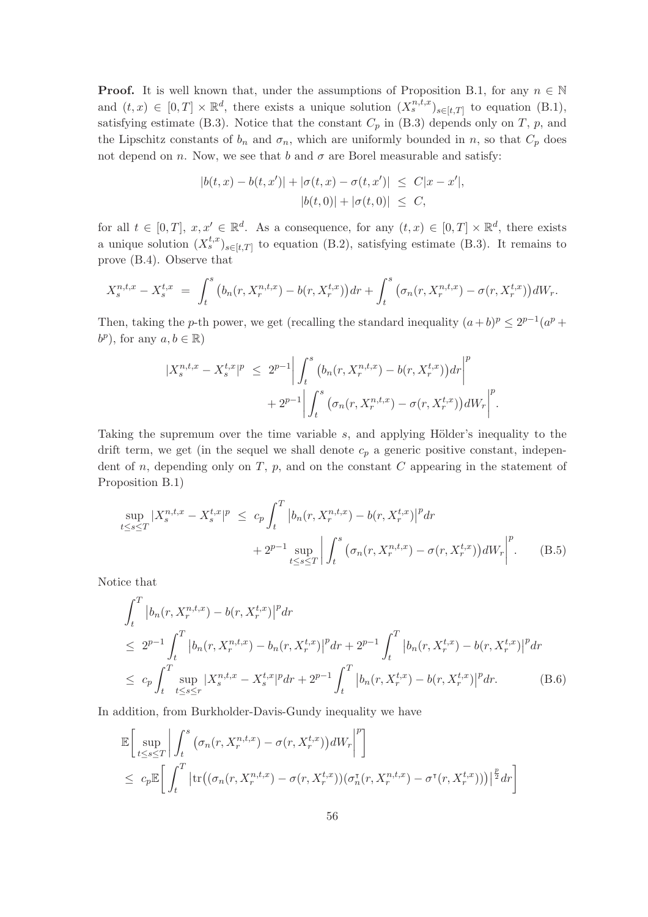**Proof.** It is well known that, under the assumptions of Proposition B.1, for any  $n \in \mathbb{N}$ and  $(t, x) \in [0, T] \times \mathbb{R}^d$ , there exists a unique solution  $(X_s^{n,t,x})_{s \in [t,T]}$  to equation  $(B.1)$ , satisfying estimate (B.3). Notice that the constant  $C_p$  in (B.3) depends only on T, p, and the Lipschitz constants of  $b_n$  and  $\sigma_n$ , which are uniformly bounded in n, so that  $C_p$  does not depend on n. Now, we see that b and  $\sigma$  are Borel measurable and satisfy:

$$
|b(t, x) - b(t, x')| + |\sigma(t, x) - \sigma(t, x')| \leq C|x - x'|,
$$
  

$$
|b(t, 0)| + |\sigma(t, 0)| \leq C,
$$

for all  $t \in [0,T], x, x' \in \mathbb{R}^d$ . As a consequence, for any  $(t,x) \in [0,T] \times \mathbb{R}^d$ , there exists a unique solution  $(X_s^{t,x})_{s \in [t,T]}$  to equation (B.2), satisfying estimate (B.3). It remains to prove (B.4). Observe that

$$
X_s^{n,t,x} - X_s^{t,x} = \int_t^s \left( b_n(r, X_r^{n,t,x}) - b(r, X_r^{t,x}) \right) dr + \int_t^s \left( \sigma_n(r, X_r^{n,t,x}) - \sigma(r, X_r^{t,x}) \right) dW_r.
$$

Then, taking the p-th power, we get (recalling the standard inequality  $(a+b)^p \leq 2^{p-1}(a^p +$  $b^p$ ), for any  $a, b \in \mathbb{R}$ )

$$
|X_{s}^{n,t,x} - X_{s}^{t,x}|^{p} \leq 2^{p-1} \bigg| \int_{t}^{s} (b_{n}(r, X_{r}^{n,t,x}) - b(r, X_{r}^{t,x})) dr \bigg|^{p} + 2^{p-1} \bigg| \int_{t}^{s} (\sigma_{n}(r, X_{r}^{n,t,x}) - \sigma(r, X_{r}^{t,x})) dW_{r} \bigg|^{p}.
$$

Taking the supremum over the time variable  $s$ , and applying Hölder's inequality to the drift term, we get (in the sequel we shall denote  $c_p$  a generic positive constant, independent of  $n$ , depending only on  $T$ ,  $p$ , and on the constant  $C$  appearing in the statement of Proposition B.1)

$$
\sup_{t \le s \le T} |X_s^{n,t,x} - X_s^{t,x}|^p \le c_p \int_t^T |b_n(r, X_r^{n,t,x}) - b(r, X_r^{t,x})|^p dr + 2^{p-1} \sup_{t \le s \le T} \left| \int_t^s (\sigma_n(r, X_r^{n,t,x}) - \sigma(r, X_r^{t,x})) dW_r \right|^p.
$$
(B.5)

Notice that

$$
\int_{t}^{T} \left| b_{n}(r, X_{r}^{n,t,x}) - b(r, X_{r}^{t,x}) \right|^{p} dr
$$
\n
$$
\leq 2^{p-1} \int_{t}^{T} \left| b_{n}(r, X_{r}^{n,t,x}) - b_{n}(r, X_{r}^{t,x}) \right|^{p} dr + 2^{p-1} \int_{t}^{T} \left| b_{n}(r, X_{r}^{t,x}) - b(r, X_{r}^{t,x}) \right|^{p} dr
$$
\n
$$
\leq c_{p} \int_{t}^{T} \sup_{t \leq s \leq r} |X_{s}^{n,t,x} - X_{s}^{t,x}|^{p} dr + 2^{p-1} \int_{t}^{T} \left| b_{n}(r, X_{r}^{t,x}) - b(r, X_{r}^{t,x}) \right|^{p} dr. \tag{B.6}
$$

In addition, from Burkholder-Davis-Gundy inequality we have

$$
\mathbb{E}\bigg[\sup_{t\leq s\leq T}\bigg|\int_{t}^{s}\big(\sigma_{n}(r,X_{r}^{n,t,x})-\sigma(r,X_{r}^{t,x})\big)dW_{r}\bigg|^{p}\bigg]
$$
\n
$$
\leq c_{p}\mathbb{E}\bigg[\int_{t}^{T}\big|\text{tr}\big((\sigma_{n}(r,X_{r}^{n,t,x})-\sigma(r,X_{r}^{t,x}))(\sigma_{n}^{\intercal}(r,X_{r}^{n,t,x})-\sigma^{\intercal}(r,X_{r}^{t,x}))\big)\big|^{\frac{p}{2}}dr\bigg]
$$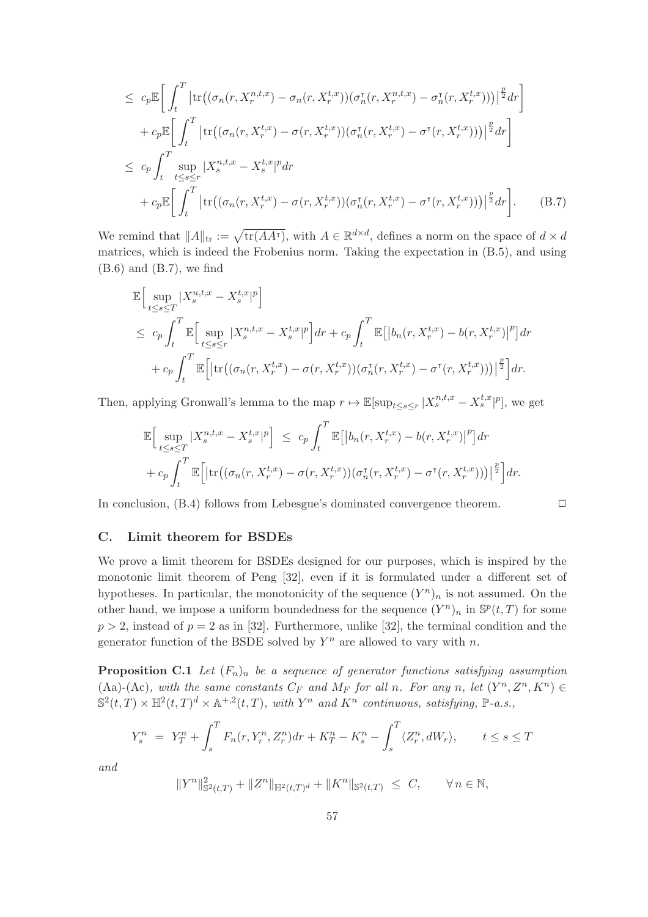$$
\leq c_p \mathbb{E} \bigg[ \int_t^T \big| tr \big( (\sigma_n(r, X_r^{n,t,x}) - \sigma_n(r, X_r^{t,x})) (\sigma_n^{\tau}(r, X_r^{n,t,x}) - \sigma_n^{\tau}(r, X_r^{t,x})) \big) \big|^{\frac{p}{2}} dr \bigg] \n+ c_p \mathbb{E} \bigg[ \int_t^T \big| tr \big( (\sigma_n(r, X_r^{t,x}) - \sigma(r, X_r^{t,x})) (\sigma_n^{\tau}(r, X_r^{t,x}) - \sigma^{\tau}(r, X_r^{t,x})) \big) \big|^{\frac{p}{2}} dr \bigg] \n\leq c_p \int_t^T \sup_{t \leq s \leq r} |X_s^{n,t,x} - X_s^{t,x}|^p dr \n+ c_p \mathbb{E} \bigg[ \int_t^T \big| tr \big( (\sigma_n(r, X_r^{t,x}) - \sigma(r, X_r^{t,x})) (\sigma_n^{\tau}(r, X_r^{t,x}) - \sigma^{\tau}(r, X_r^{t,x})) \big) \big|^{\frac{p}{2}} dr \bigg].
$$
\n(B.7)

We remind that  $||A||_{tr} := \sqrt{\text{tr}(AA^{\dagger})}$ , with  $A \in \mathbb{R}^{d \times d}$ , defines a norm on the space of  $d \times d$ matrices, which is indeed the Frobenius norm. Taking the expectation in (B.5), and using  $(B.6)$  and  $(B.7)$ , we find

$$
\mathbb{E}\Big[\sup_{t\leq s\leq T}|X_{s}^{n,t,x}-X_{s}^{t,x}|^{p}\Big]
$$
\n
$$
\leq c_{p}\int_{t}^{T}\mathbb{E}\Big[\sup_{t\leq s\leq r}|X_{s}^{n,t,x}-X_{s}^{t,x}|^{p}\Big]dr+c_{p}\int_{t}^{T}\mathbb{E}\big[\big|b_{n}(r,X_{r}^{t,x})-b(r,X_{r}^{t,x})\big|^{p}\big]dr
$$
\n
$$
+c_{p}\int_{t}^{T}\mathbb{E}\Big[\big|\text{tr}\big((\sigma_{n}(r,X_{r}^{t,x})-\sigma(r,X_{r}^{t,x}))(\sigma_{n}^{r}(r,X_{r}^{t,x})-\sigma^{r}(r,X_{r}^{t,x}))\big)\big|^{\frac{p}{2}}\Big]dr.
$$

Then, applying Gronwall's lemma to the map  $r \mapsto \mathbb{E}[\sup_{t \le s \le r} |X_s^{n,t,x} - X_s^{t,x}|^p]$ , we get

$$
\mathbb{E}\Big[\sup_{t\leq s\leq T}|X_{s}^{n,t,x}-X_{s}^{t,x}|^{p}\Big] \leq c_{p}\int_{t}^{T}\mathbb{E}\big[\big|b_{n}(r,X_{r}^{t,x})-b(r,X_{r}^{t,x})\big|^{p}\big]dr
$$
  
+ 
$$
c_{p}\int_{t}^{T}\mathbb{E}\Big[\big|\text{tr}\big((\sigma_{n}(r,X_{r}^{t,x})-\sigma(r,X_{r}^{t,x}))(\sigma_{n}^{\tau}(r,X_{r}^{t,x})-\sigma^{\tau}(r,X_{r}^{t,x}))\big)\big|^{\frac{p}{2}}\Big]dr.
$$

In conclusion,  $(B.4)$  follows from Lebesgue's dominated convergence theorem.  $\Box$ 

#### C. Limit theorem for BSDEs

We prove a limit theorem for BSDEs designed for our purposes, which is inspired by the monotonic limit theorem of Peng [32], even if it is formulated under a different set of hypotheses. In particular, the monotonicity of the sequence  $(Y^n)_n$  is not assumed. On the other hand, we impose a uniform boundedness for the sequence  $(Y^n)_n$  in  $\mathbb{S}^p(t,T)$  for some  $p > 2$ , instead of  $p = 2$  as in [32]. Furthermore, unlike [32], the terminal condition and the generator function of the BSDE solved by  $Y^n$  are allowed to vary with n.

**Proposition C.1** Let  $(F_n)_n$  be a sequence of generator functions satisfying assumption (Aa)-(Ac), with the same constants  $C_F$  and  $M_F$  for all n. For any n, let  $(Y^n, Z^n, K^n) \in$  $\mathbb{S}^2(t,T) \times \mathbb{H}^2(t,T)^d \times \mathbb{A}^{+,2}(t,T)$ , with  $Y^n$  and  $K^n$  continuous, satisfying,  $\mathbb{P}\text{-}a.s.,$ 

$$
Y_s^n = Y_T^n + \int_s^T F_n(r, Y_r^n, Z_r^n) dr + K_T^n - K_s^n - \int_s^T \langle Z_r^n, dW_r \rangle, \qquad t \le s \le T
$$

and

$$
||Y^n||_{\mathbb{S}^2(t,T)}^2 + ||Z^n||_{\mathbb{H}^2(t,T)^d} + ||K^n||_{\mathbb{S}^2(t,T)} \leq C, \qquad \forall n \in \mathbb{N},
$$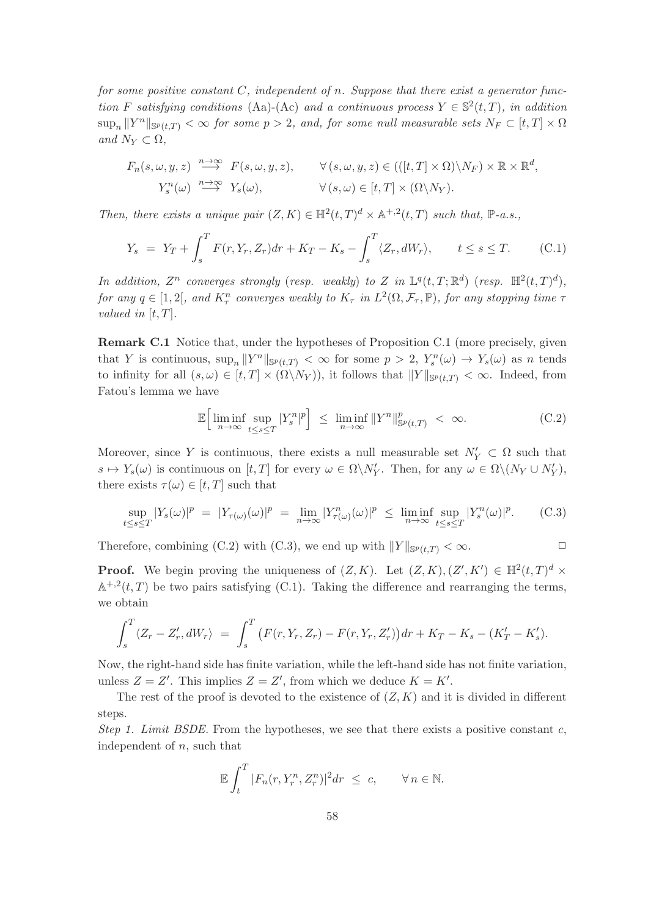for some positive constant  $C$ , independent of n. Suppose that there exist a generator function F satisfying conditions (Aa)-(Ac) and a continuous process  $Y \in \mathbb{S}^2(t,T)$ , in addition  $\sup_n ||Y^n||_{\mathbb{S}^p(t,T)} < \infty$  for some  $p > 2$ , and, for some null measurable sets  $N_F \subset [t,T] \times \Omega$ and  $N_Y \subset \Omega$ ,

$$
F_n(s, \omega, y, z) \stackrel{n \to \infty}{\longrightarrow} F(s, \omega, y, z), \qquad \forall (s, \omega, y, z) \in (((t, T] \times \Omega) \setminus N_F) \times \mathbb{R} \times \mathbb{R}^d,
$$
  

$$
Y_s^n(\omega) \stackrel{n \to \infty}{\longrightarrow} Y_s(\omega), \qquad \forall (s, \omega) \in [t, T] \times (\Omega \setminus N_Y).
$$

Then, there exists a unique pair  $(Z, K) \in \mathbb{H}^2(t,T)^d \times \mathbb{A}^{+,2}(t,T)$  such that,  $\mathbb{P}\text{-}a.s.,$ 

$$
Y_s = Y_T + \int_s^T F(r, Y_r, Z_r) dr + K_T - K_s - \int_s^T \langle Z_r, dW_r \rangle, \qquad t \le s \le T. \tag{C.1}
$$

In addition,  $Z^n$  converges strongly (resp. weakly) to Z in  $\mathbb{L}^q(t,T;\mathbb{R}^d)$  (resp.  $\mathbb{H}^2(t,T)^d$ ), for any  $q \in [1,2[$ , and  $K_{\tau}^{n}$  converges weakly to  $K_{\tau}$  in  $L^{2}(\Omega,\mathcal{F}_{\tau},\mathbb{P})$ , for any stopping time  $\tau$ valued in  $[t, T]$ .

Remark C.1 Notice that, under the hypotheses of Proposition C.1 (more precisely, given that Y is continuous,  $\sup_n ||Y^n||_{\mathbb{S}^p(t,T)} < \infty$  for some  $p > 2$ ,  $Y_s^n(\omega) \to Y_s(\omega)$  as n tends to infinity for all  $(s,\omega) \in [t,T] \times (\Omega \backslash N_Y)$ , it follows that  $||Y||_{\mathbb{S}^p(t,T)} < \infty$ . Indeed, from Fatou's lemma we have

$$
\mathbb{E}\Big[\liminf_{n\to\infty}\sup_{t\leq s\leq T}|Y_s^n|^p\Big] \leq \liminf_{n\to\infty}||Y^n||_{\mathbb{S}^p(t,T)}^p < \infty. \tag{C.2}
$$

Moreover, since Y is continuous, there exists a null measurable set  $N'_Y \subset \Omega$  such that  $s \mapsto Y_s(\omega)$  is continuous on  $[t, T]$  for every  $\omega \in \Omega \backslash N'_Y$ . Then, for any  $\omega \in \Omega \backslash (N_Y \cup N'_Y)$ , there exists  $\tau(\omega) \in [t, T]$  such that

$$
\sup_{t \le s \le T} |Y_s(\omega)|^p = |Y_{\tau(\omega)}(\omega)|^p = \lim_{n \to \infty} |Y_{\tau(\omega)}^n(\omega)|^p \le \liminf_{n \to \infty} \sup_{t \le s \le T} |Y_s^n(\omega)|^p. \tag{C.3}
$$

Therefore, combining (C.2) with (C.3), we end up with  $||Y||_{\mathbb{S}^p(t,T)} < \infty$ .

**Proof.** We begin proving the uniqueness of  $(Z, K)$ . Let  $(Z, K), (Z', K') \in \mathbb{H}^2(t, T)^d \times$  $\mathbb{A}^{+,2}(t,T)$  be two pairs satisfying (C.1). Taking the difference and rearranging the terms, we obtain

$$
\int_{s}^{T} \langle Z_{r} - Z'_{r}, dW_{r} \rangle = \int_{s}^{T} \big( F(r, Y_{r}, Z_{r}) - F(r, Y_{r}, Z'_{r}) \big) dr + K_{T} - K_{s} - (K'_{T} - K'_{s}).
$$

Now, the right-hand side has finite variation, while the left-hand side has not finite variation, unless  $Z = Z'$ . This implies  $Z = Z'$ , from which we deduce  $K = K'$ .

The rest of the proof is devoted to the existence of  $(Z, K)$  and it is divided in different steps.

Step 1. Limit BSDE. From the hypotheses, we see that there exists a positive constant  $c$ , independent of  $n$ , such that

$$
\mathbb{E}\int_t^T |F_n(r,Y_r^n,Z_r^n)|^2 dr \leq c, \qquad \forall n \in \mathbb{N}.
$$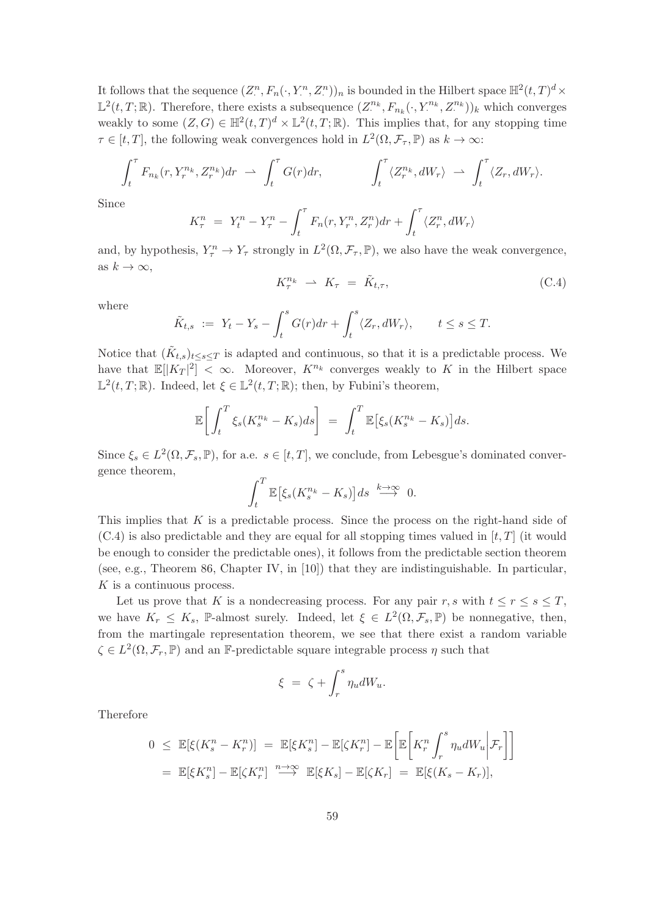It follows that the sequence  $(Z^n_-, F_n(\cdot, Y^n_-, Z^n))_n$  is bounded in the Hilbert space  $\mathbb{H}^2(t,T)^d \times$  $\mathbb{L}^2(t,T;\mathbb{R})$ . Therefore, there exists a subsequence  $(Z^{n_k}, F_{n_k}(\cdot, Y^{n_k}, Z^{n_k}))_k$  which converges weakly to some  $(Z, G) \in \mathbb{H}^2(t, T)^d \times \mathbb{L}^2(t, T; \mathbb{R})$ . This implies that, for any stopping time  $\tau \in [t, T]$ , the following weak convergences hold in  $L^2(\Omega, \mathcal{F}_{\tau}, \mathbb{P})$  as  $k \to \infty$ :

$$
\int_t^\tau F_{n_k}(r, Y_r^{n_k}, Z_r^{n_k})dr \rightharpoonup \int_t^\tau G(r)dr, \qquad \int_t^\tau \langle Z_r^{n_k}, dW_r \rangle \rightharpoonup \int_t^\tau \langle Z_r, dW_r \rangle.
$$

Since

$$
K_{\tau}^{n} = Y_{t}^{n} - Y_{\tau}^{n} - \int_{t}^{\tau} F_{n}(r, Y_{r}^{n}, Z_{r}^{n}) dr + \int_{t}^{\tau} \langle Z_{r}^{n}, dW_{r} \rangle
$$

and, by hypothesis,  $Y_{\tau}^{n} \to Y_{\tau}$  strongly in  $L^{2}(\Omega, \mathcal{F}_{\tau}, \mathbb{P})$ , we also have the weak convergence, as  $k \to \infty$ ,

$$
K_{\tau}^{n_k} \rightharpoonup K_{\tau} = \tilde{K}_{t,\tau}, \tag{C.4}
$$

where

$$
\tilde{K}_{t,s} := Y_t - Y_s - \int_t^s G(r)dr + \int_t^s \langle Z_r, dW_r \rangle, \qquad t \le s \le T.
$$

Notice that  $(\tilde{K}_{t,s})_{t\leq s\leq T}$  is adapted and continuous, so that it is a predictable process. We have that  $\mathbb{E}[|K_T|^2] < \infty$ . Moreover,  $K^{n_k}$  converges weakly to K in the Hilbert space  $\mathbb{L}^2(t,T;\mathbb{R})$ . Indeed, let  $\xi \in \mathbb{L}^2(t,T;\mathbb{R})$ ; then, by Fubini's theorem,

$$
\mathbb{E}\bigg[\int_t^T \xi_s(K_s^{n_k} - K_s)ds\bigg] = \int_t^T \mathbb{E}\big[\xi_s(K_s^{n_k} - K_s)\big]ds.
$$

Since  $\xi_s \in L^2(\Omega, \mathcal{F}_s, \mathbb{P})$ , for a.e.  $s \in [t, T]$ , we conclude, from Lebesgue's dominated convergence theorem,

$$
\int_t^T \mathbb{E}\big[\xi_s(K_s^{n_k} - K_s)\big]ds \stackrel{k\to\infty}{\longrightarrow} 0.
$$

This implies that K is a predictable process. Since the process on the right-hand side of  $(C.4)$  is also predictable and they are equal for all stopping times valued in  $[t, T]$  (it would be enough to consider the predictable ones), it follows from the predictable section theorem (see, e.g., Theorem 86, Chapter IV, in [10]) that they are indistinguishable. In particular, K is a continuous process.

Let us prove that K is a nondecreasing process. For any pair r, s with  $t \le r \le s \le T$ , we have  $K_r \leq K_s$ , P-almost surely. Indeed, let  $\xi \in L^2(\Omega, \mathcal{F}_s, \mathbb{P})$  be nonnegative, then, from the martingale representation theorem, we see that there exist a random variable  $\zeta \in L^2(\Omega, \mathcal{F}_r, \mathbb{P})$  and an F-predictable square integrable process  $\eta$  such that

$$
\xi = \zeta + \int_r^s \eta_u dW_u.
$$

Therefore

$$
0 \leq \mathbb{E}[\xi(K_s^n - K_r^n)] = \mathbb{E}[\xi K_s^n] - \mathbb{E}[\zeta K_r^n] - \mathbb{E}\left[\mathbb{E}\left[K_r^n \int_r^s \eta_u dW_u \Big| \mathcal{F}_r\right]\right]
$$
  
=  $\mathbb{E}[\xi K_s^n] - \mathbb{E}[\zeta K_r^n]$   $\xrightarrow{n \to \infty} \mathbb{E}[\xi K_s] - \mathbb{E}[\zeta K_r] = \mathbb{E}[\xi(K_s - K_r)],$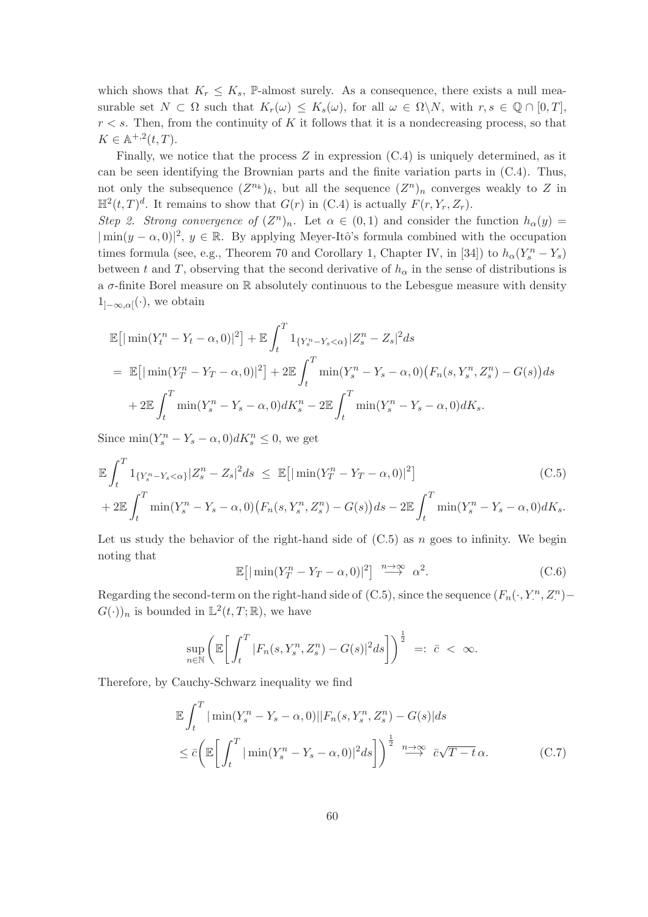which shows that  $K_r \leq K_s$ , P-almost surely. As a consequence, there exists a null measurable set  $N \subset \Omega$  such that  $K_r(\omega) \leq K_s(\omega)$ , for all  $\omega \in \Omega \backslash N$ , with  $r, s \in \mathbb{Q} \cap [0, T]$ ,  $r < s$ . Then, from the continuity of K it follows that it is a nondecreasing process, so that  $K \in \mathbb{A}^{+,2}(t,T).$ 

Finally, we notice that the process  $Z$  in expression  $(C.4)$  is uniquely determined, as it can be seen identifying the Brownian parts and the finite variation parts in (C.4). Thus, not only the subsequence  $(Z^{n_k})_k$ , but all the sequence  $(Z^n)_n$  converges weakly to Z in  $\mathbb{H}^2(t,T)^d$ . It remains to show that  $G(r)$  in (C.4) is actually  $F(r, Y_r, Z_r)$ .

Step 2. Strong convergence of  $(Z^n)_n$ . Let  $\alpha \in (0,1)$  and consider the function  $h_{\alpha}(y) =$  $|\min(y - \alpha, 0)|^2$ ,  $y \in \mathbb{R}$ . By applying Meyer-Itô's formula combined with the occupation times formula (see, e.g., Theorem 70 and Corollary 1, Chapter IV, in [34]) to  $h_{\alpha}(Y_s^n - Y_s)$ between t and T, observing that the second derivative of  $h_{\alpha}$  in the sense of distributions is a  $\sigma$ -finite Borel measure on  $\mathbb R$  absolutely continuous to the Lebesgue measure with density  $1_{]-\infty,\alpha[}(\cdot)$ , we obtain

$$
\mathbb{E}[\min(Y_t^n - Y_t - \alpha, 0)|^2] + \mathbb{E} \int_t^T 1_{\{Y_s^n - Y_s < \alpha\}} |Z_s^n - Z_s|^2 ds
$$
\n
$$
= \mathbb{E}[\min(Y_T^n - Y_T - \alpha, 0)|^2] + 2 \mathbb{E} \int_t^T \min(Y_s^n - Y_s - \alpha, 0) (F_n(s, Y_s^n, Z_s^n) - G(s)) ds
$$
\n
$$
+ 2 \mathbb{E} \int_t^T \min(Y_s^n - Y_s - \alpha, 0) dK_s^n - 2 \mathbb{E} \int_t^T \min(Y_s^n - Y_s - \alpha, 0) dK_s.
$$

Since  $\min(Y_s^n - Y_s - \alpha, 0)dK_s^n \leq 0$ , we get

$$
\mathbb{E}\int_{t}^{T}1_{\{Y_{s}^{n}-Y_{s}<\alpha\}}|Z_{s}^{n}-Z_{s}|^{2}ds \leq \mathbb{E}\big[\big|\min(Y_{T}^{n}-Y_{T}-\alpha,0)\big|^{2}\big] \tag{C.5}
$$

+ 
$$
2\mathbb{E}\int_{t}^{T} \min(Y_{s}^{n} - Y_{s} - \alpha, 0) (F_{n}(s, Y_{s}^{n}, Z_{s}^{n}) - G(s))ds - 2\mathbb{E}\int_{t}^{T} \min(Y_{s}^{n} - Y_{s} - \alpha, 0) dK_{s}.
$$

Let us study the behavior of the right-hand side of  $(C.5)$  as n goes to infinity. We begin noting that

$$
\mathbb{E}\left[|\min(Y_T^n - Y_T - \alpha, 0)|^2\right] \xrightarrow{n \to \infty} \alpha^2. \tag{C.6}
$$

Regarding the second-term on the right-hand side of  $(C.5)$ , since the sequence  $(F_n(\cdot, Y_i^n, Z_i^n) G(\cdot)$ <sub>n</sub> is bounded in  $\mathbb{L}^2(t,T;\mathbb{R})$ , we have

$$
\sup_{n\in\mathbb{N}}\left(\mathbb{E}\bigg[\int_t^T|F_n(s,Y^n_s,Z^n_s)-G(s)|^2ds\bigg]\right)^{\frac{1}{2}}\ =:\ \bar{c}\ <\ \infty.
$$

Therefore, by Cauchy-Schwarz inequality we find

$$
\mathbb{E} \int_{t}^{T} |\min(Y_{s}^{n} - Y_{s} - \alpha, 0)| |F_{n}(s, Y_{s}^{n}, Z_{s}^{n}) - G(s)| ds
$$
  

$$
\leq \bar{c} \left( \mathbb{E} \left[ \int_{t}^{T} |\min(Y_{s}^{n} - Y_{s} - \alpha, 0)|^{2} ds \right] \right)^{\frac{1}{2}} \stackrel{n \to \infty}{\longrightarrow} \bar{c} \sqrt{T - t} \alpha.
$$
 (C.7)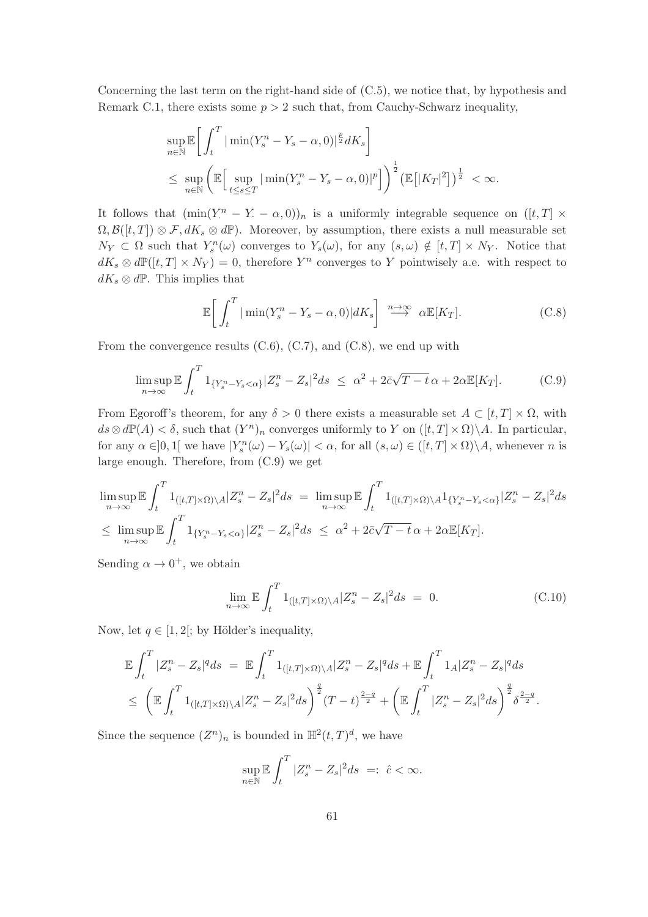Concerning the last term on the right-hand side of (C.5), we notice that, by hypothesis and Remark C.1, there exists some  $p > 2$  such that, from Cauchy-Schwarz inequality,

$$
\sup_{n\in\mathbb{N}} \mathbb{E}\bigg[\int_t^T |\min(Y_s^n - Y_s - \alpha, 0)|^{\frac{p}{2}} dK_s\bigg]
$$
  

$$
\leq \sup_{n\in\mathbb{N}} \left(\mathbb{E}\bigg[\sup_{t\leq s\leq T} |\min(Y_s^n - Y_s - \alpha, 0)|^p\bigg]\right)^{\frac{1}{2}} \left(\mathbb{E}\big[|K_T|^2\big]\right)^{\frac{1}{2}} < \infty.
$$

It follows that  $(\min(Y^n - Y - \alpha, 0))_n$  is a uniformly integrable sequence on  $([t, T] \times$  $\Omega, \mathcal{B}([t,T]) \otimes \mathcal{F}, dK_s \otimes d\mathbb{P})$ . Moreover, by assumption, there exists a null measurable set  $N_Y \subset \Omega$  such that  $Y_s^n(\omega)$  converges to  $Y_s(\omega)$ , for any  $(s, \omega) \notin [t, T] \times N_Y$ . Notice that  $dK_s \otimes d\mathbb{P}([t,T] \times N_Y) = 0$ , therefore  $Y^n$  converges to Y pointwisely a.e. with respect to  $dK_s \otimes d\mathbb{P}$ . This implies that

$$
\mathbb{E}\bigg[\int_t^T |\min(Y_s^n - Y_s - \alpha, 0)| dK_s\bigg] \stackrel{n \to \infty}{\longrightarrow} \alpha \mathbb{E}[K_T].
$$
 (C.8)

From the convergence results  $(C.6)$ ,  $(C.7)$ , and  $(C.8)$ , we end up with

$$
\limsup_{n \to \infty} \mathbb{E} \int_t^T 1_{\{Y_s^n - Y_s < \alpha\}} |Z_s^n - Z_s|^2 ds \leq \alpha^2 + 2\bar{c}\sqrt{T - t} \alpha + 2\alpha \mathbb{E}[K_T]. \tag{C.9}
$$

From Egoroff's theorem, for any  $\delta > 0$  there exists a measurable set  $A \subset [t, T] \times \Omega$ , with  $ds \otimes d\mathbb{P}(A) < \delta$ , such that  $(Y^n)_n$  converges uniformly to Y on  $([t, T] \times \Omega) \setminus A$ . In particular, for any  $\alpha \in ]0,1[$  we have  $|Y_s^n(\omega) - Y_s(\omega)| < \alpha$ , for all  $(s,\omega) \in ([t,T] \times \Omega) \backslash A$ , whenever n is large enough. Therefore, from (C.9) we get

$$
\limsup_{n \to \infty} \mathbb{E} \int_t^T 1_{([t,T] \times \Omega) \backslash A} |Z_s^n - Z_s|^2 ds = \limsup_{n \to \infty} \mathbb{E} \int_t^T 1_{([t,T] \times \Omega) \backslash A} 1_{\{Y_s^n - Y_s < \alpha\}} |Z_s^n - Z_s|^2 ds
$$
\n
$$
\leq \limsup_{n \to \infty} \mathbb{E} \int_t^T 1_{\{Y_s^n - Y_s < \alpha\}} |Z_s^n - Z_s|^2 ds \leq \alpha^2 + 2\bar{c}\sqrt{T - t} \alpha + 2\alpha \mathbb{E}[K_T].
$$

Sending  $\alpha \to 0^+$ , we obtain

$$
\lim_{n \to \infty} \mathbb{E} \int_t^T 1_{([t,T] \times \Omega) \setminus A} |Z_s^n - Z_s|^2 ds = 0.
$$
 (C.10)

Now, let  $q \in [1, 2[$ ; by Hölder's inequality,

$$
\mathbb{E} \int_{t}^{T} |Z_{s}^{n} - Z_{s}|^{q} ds = \mathbb{E} \int_{t}^{T} 1_{([t,T] \times \Omega) \backslash A} |Z_{s}^{n} - Z_{s}|^{q} ds + \mathbb{E} \int_{t}^{T} 1_{A} |Z_{s}^{n} - Z_{s}|^{q} ds \n\leq \left( \mathbb{E} \int_{t}^{T} 1_{([t,T] \times \Omega) \backslash A} |Z_{s}^{n} - Z_{s}|^{2} ds \right)^{\frac{q}{2}} (T-t)^{\frac{2-q}{2}} + \left( \mathbb{E} \int_{t}^{T} |Z_{s}^{n} - Z_{s}|^{2} ds \right)^{\frac{q}{2}} \delta^{\frac{2-q}{2}}.
$$

Since the sequence  $(Z^n)_n$  is bounded in  $\mathbb{H}^2(t,T)^d$ , we have

$$
\sup_{n \in \mathbb{N}} \mathbb{E} \int_t^T |Z_s^n - Z_s|^2 ds =: \hat{c} < \infty.
$$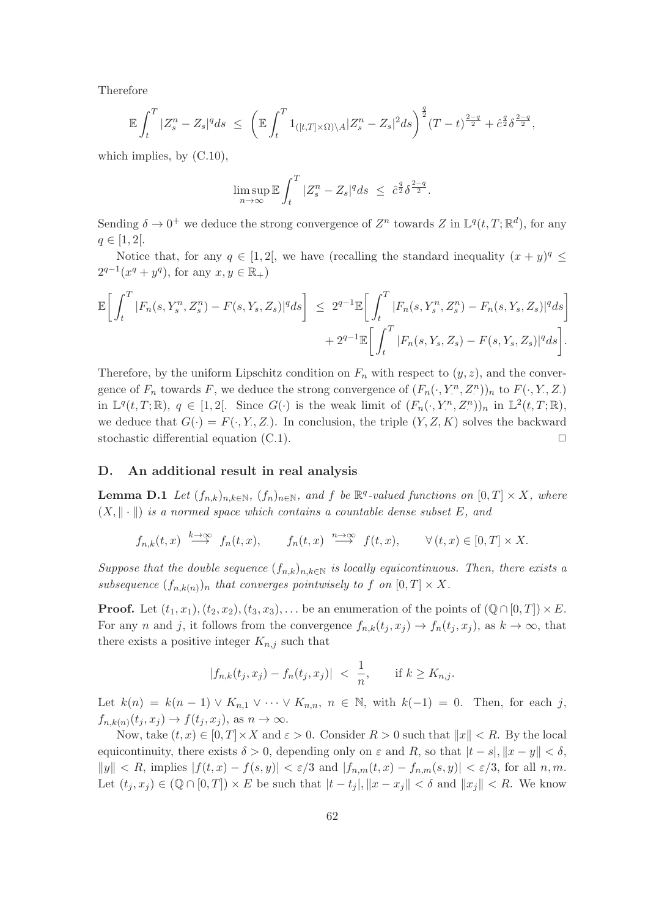Therefore

$$
\mathbb{E}\int_{t}^{T} |Z_{s}^{n} - Z_{s}|^{q} ds \leq \left(\mathbb{E}\int_{t}^{T} 1_{([t,T]\times\Omega)\setminus A} |Z_{s}^{n} - Z_{s}|^{2} ds\right)^{\frac{q}{2}} (T-t)^{\frac{2-q}{2}} + \hat{c}^{\frac{q}{2}} \delta^{\frac{2-q}{2}},
$$

which implies, by  $(C.10)$ ,

$$
\limsup_{n\to\infty}\mathbb{E}\int_t^T|Z^n_s-Z_s|^qds\ \leq\ \hat{c}^{\frac{q}{2}}\delta^{\frac{2-q}{2}}.
$$

Sending  $\delta \to 0^+$  we deduce the strong convergence of  $Z^n$  towards  $Z$  in  $\mathbb{L}^q(t,T;\mathbb{R}^d)$ , for any  $q \in [1, 2].$ 

Notice that, for any  $q \in [1,2[$ , we have (recalling the standard inequality  $(x+y)^q \le$  $2^{q-1}(x^q + y^q)$ , for any  $x, y \in \mathbb{R}_+$ )

$$
\mathbb{E}\bigg[\int_{t}^{T} |F_{n}(s,Y_{s}^{n},Z_{s}^{n})-F(s,Y_{s},Z_{s})|^{q}ds\bigg] \leq 2^{q-1}\mathbb{E}\bigg[\int_{t}^{T} |F_{n}(s,Y_{s}^{n},Z_{s}^{n})-F_{n}(s,Y_{s},Z_{s})|^{q}ds\bigg] + 2^{q-1}\mathbb{E}\bigg[\int_{t}^{T} |F_{n}(s,Y_{s},Z_{s})-F(s,Y_{s},Z_{s})|^{q}ds\bigg].
$$

Therefore, by the uniform Lipschitz condition on  $F_n$  with respect to  $(y, z)$ , and the convergence of  $F_n$  towards F, we deduce the strong convergence of  $(F_n(\cdot, Y^n, Z^n))_n$  to  $F(\cdot, Y, Z)$ in  $\mathbb{L}^q(t,T;\mathbb{R})$ ,  $q \in [1,2[$ . Since  $G(\cdot)$  is the weak limit of  $(F_n(\cdot,Y^n,Z^n))_n$  in  $\mathbb{L}^2(t,T;\mathbb{R})$ , we deduce that  $G(\cdot) = F(\cdot, Y, Z_{\cdot})$ . In conclusion, the triple  $(Y, Z, K)$  solves the backward stochastic differential equation  $(C.1)$ .

# D. An additional result in real analysis

**Lemma D.1** Let  $(f_{n,k})_{n,k\in\mathbb{N}}$ ,  $(f_n)_{n\in\mathbb{N}}$ , and f be  $\mathbb{R}^q$ -valued functions on  $[0,T] \times X$ , where  $(X, \|\cdot\|)$  is a normed space which contains a countable dense subset E, and

 $f_{n,k}(t,x) \stackrel{k\to\infty}{\longrightarrow} f_n(t,x), \qquad f_n(t,x) \stackrel{n\to\infty}{\longrightarrow} f(t,x), \qquad \forall (t,x) \in [0,T] \times X.$ 

Suppose that the double sequence  $(f_{n,k})_{n,k\in\mathbb{N}}$  is locally equicontinuous. Then, there exists a subsequence  $(f_{n,k(n)})_n$  that converges pointwisely to f on  $[0,T] \times X$ .

**Proof.** Let  $(t_1, x_1), (t_2, x_2), (t_3, x_3), \ldots$  be an enumeration of the points of  $(\mathbb{Q} \cap [0, T]) \times E$ . For any n and j, it follows from the convergence  $f_{n,k}(t_i, x_i) \to f_n(t_i, x_i)$ , as  $k \to \infty$ , that there exists a positive integer  $K_{n,j}$  such that

$$
|f_{n,k}(t_j, x_j) - f_n(t_j, x_j)| < \frac{1}{n}
$$
, if  $k \ge K_{n,j}$ .

Let  $k(n) = k(n-1) \vee K_{n,1} \vee \cdots \vee K_{n,n}, n \in \mathbb{N}$ , with  $k(-1) = 0$ . Then, for each j,  $f_{n,k(n)}(t_j, x_j) \to f(t_j, x_j)$ , as  $n \to \infty$ .

Now, take  $(t, x) \in [0, T] \times X$  and  $\varepsilon > 0$ . Consider  $R > 0$  such that  $||x|| < R$ . By the local equicontinuity, there exists  $\delta > 0$ , depending only on  $\varepsilon$  and R, so that  $|t - s|, \|x - y\| < \delta$ ,  $||y|| < R$ , implies  $|f(t,x) - f(s,y)| < \varepsilon/3$  and  $|f_{n,m}(t,x) - f_{n,m}(s,y)| < \varepsilon/3$ , for all n,m. Let  $(t_j, x_j) \in (\mathbb{Q} \cap [0, T]) \times E$  be such that  $|t - t_j|, \|x - x_j\| < \delta$  and  $||x_j|| < R$ . We know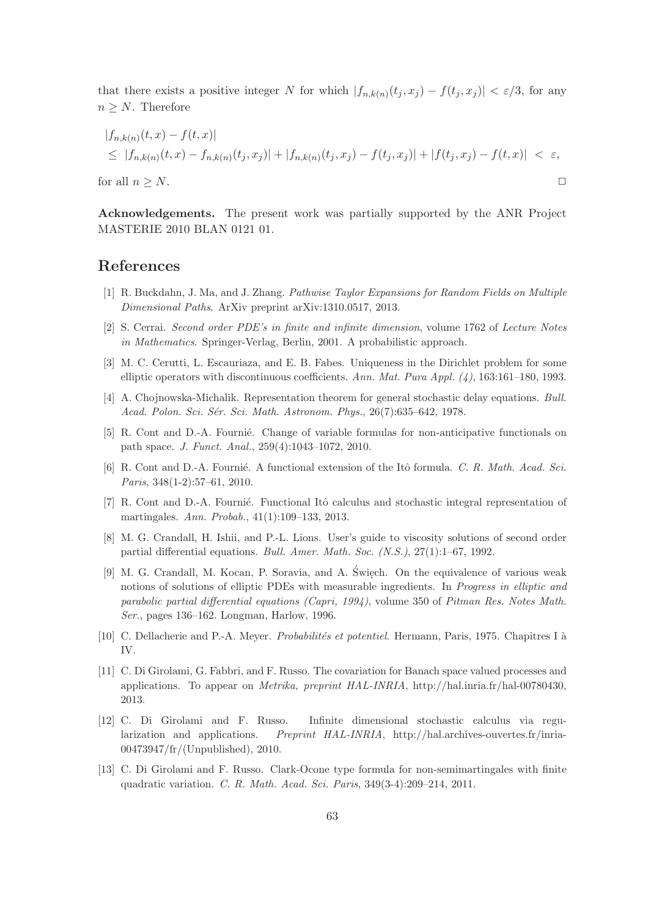that there exists a positive integer N for which  $|f_{n,k(n)}(t_j, x_j) - f(t_j, x_j)| < \varepsilon/3$ , for any  $n \geq N$ . Therefore

$$
|f_{n,k(n)}(t,x) - f(t,x)|
$$
  
\n
$$
\leq |f_{n,k(n)}(t,x) - f_{n,k(n)}(t_j,x_j)| + |f_{n,k(n)}(t_j,x_j) - f(t_j,x_j)| + |f(t_j,x_j) - f(t,x)| < \varepsilon,
$$

for all  $n \geq N$ .

Acknowledgements. The present work was partially supported by the ANR Project MASTERIE 2010 BLAN 0121 01.

# References

- [1] R. Buckdahn, J. Ma, and J. Zhang. Pathwise Taylor Expansions for Random Fields on Multiple Dimensional Paths. ArXiv preprint arXiv:1310.0517, 2013.
- [2] S. Cerrai. Second order PDE's in finite and infinite dimension, volume 1762 of Lecture Notes in Mathematics. Springer-Verlag, Berlin, 2001. A probabilistic approach.
- [3] M. C. Cerutti, L. Escauriaza, and E. B. Fabes. Uniqueness in the Dirichlet problem for some elliptic operators with discontinuous coefficients. Ann. Mat. Pura Appl.  $(4)$ , 163:161–180, 1993.
- [4] A. Chojnowska-Michalik. Representation theorem for general stochastic delay equations. Bull. Acad. Polon. Sci. Sér. Sci. Math. Astronom. Phys., 26(7):635–642, 1978.
- [5] R. Cont and D.-A. Fournié. Change of variable formulas for non-anticipative functionals on path space. J. Funct. Anal., 259(4):1043–1072, 2010.
- [6] R. Cont and D.-A. Fournié. A functional extension of the Itô formula. C. R. Math. Acad. Sci. Paris, 348(1-2):57–61, 2010.
- [7] R. Cont and D.-A. Fournié. Functional Itô calculus and stochastic integral representation of martingales. Ann. Probab., 41(1):109–133, 2013.
- [8] M. G. Crandall, H. Ishii, and P.-L. Lions. User's guide to viscosity solutions of second order partial differential equations. Bull. Amer. Math. Soc. (N.S.), 27(1):1–67, 1992.
- [9] M. G. Crandall, M. Kocan, P. Soravia, and A. Święch. On the equivalence of various weak notions of solutions of elliptic PDEs with measurable ingredients. In *Progress in elliptic and* parabolic partial differential equations (Capri, 1994), volume 350 of Pitman Res. Notes Math. Ser., pages 136–162. Longman, Harlow, 1996.
- [10] C. Dellacherie and P.-A. Meyer. *Probabilités et potentiel.* Hermann, Paris, 1975. Chapitres I à IV.
- [11] C. Di Girolami, G. Fabbri, and F. Russo. The covariation for Banach space valued processes and applications. To appear on Metrika, preprint HAL-INRIA, http://hal.inria.fr/hal-00780430, 2013.
- [12] C. Di Girolami and F. Russo. Infinite dimensional stochastic calculus via regularization and applications. Preprint HAL-INRIA, http://hal.archives-ouvertes.fr/inria-00473947/fr/(Unpublished), 2010.
- [13] C. Di Girolami and F. Russo. Clark-Ocone type formula for non-semimartingales with finite quadratic variation. C. R. Math. Acad. Sci. Paris, 349(3-4):209–214, 2011.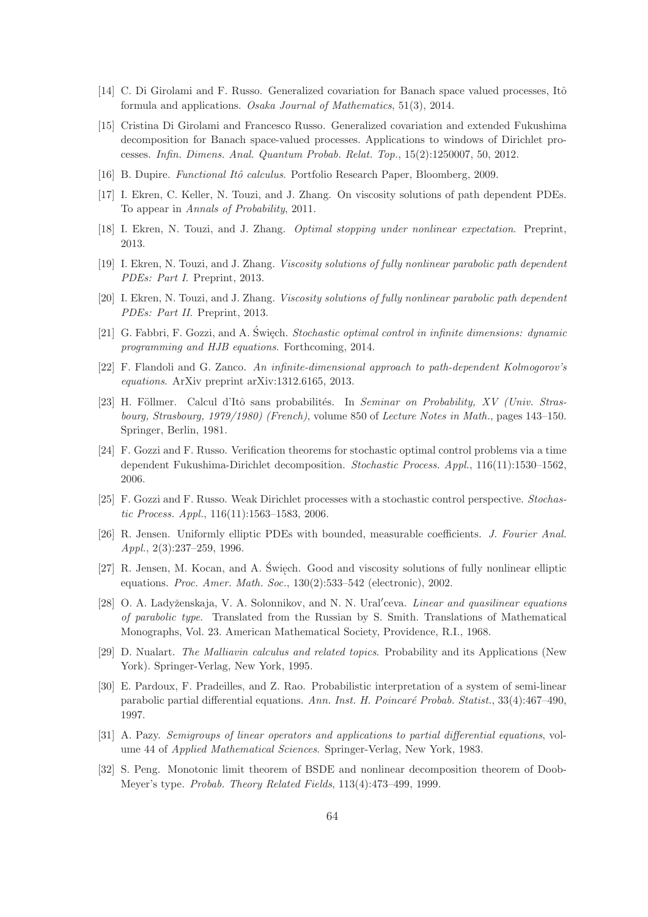- [14] C. Di Girolami and F. Russo. Generalized covariation for Banach space valued processes, Itô formula and applications. Osaka Journal of Mathematics, 51(3), 2014.
- [15] Cristina Di Girolami and Francesco Russo. Generalized covariation and extended Fukushima decomposition for Banach space-valued processes. Applications to windows of Dirichlet processes. Infin. Dimens. Anal. Quantum Probab. Relat. Top., 15(2):1250007, 50, 2012.
- [16] B. Dupire. *Functional Itô calculus*. Portfolio Research Paper, Bloomberg, 2009.
- [17] I. Ekren, C. Keller, N. Touzi, and J. Zhang. On viscosity solutions of path dependent PDEs. To appear in Annals of Probability, 2011.
- [18] I. Ekren, N. Touzi, and J. Zhang. Optimal stopping under nonlinear expectation. Preprint, 2013.
- [19] I. Ekren, N. Touzi, and J. Zhang. Viscosity solutions of fully nonlinear parabolic path dependent PDEs: Part I. Preprint, 2013.
- [20] I. Ekren, N. Touzi, and J. Zhang. Viscosity solutions of fully nonlinear parabolic path dependent PDEs: Part II. Preprint, 2013.
- [21] G. Fabbri, F. Gozzi, and A. Święch. *Stochastic optimal control in infinite dimensions: dynamic* programming and HJB equations. Forthcoming, 2014.
- [22] F. Flandoli and G. Zanco. An infinite-dimensional approach to path-dependent Kolmogorov's equations. ArXiv preprint arXiv:1312.6165, 2013.
- [23] H. Föllmer. Calcul d'Itô sans probabilités. In Seminar on Probability, XV (Univ. Strasbourg, Strasbourg, 1979/1980) (French), volume 850 of Lecture Notes in Math., pages 143–150. Springer, Berlin, 1981.
- [24] F. Gozzi and F. Russo. Verification theorems for stochastic optimal control problems via a time dependent Fukushima-Dirichlet decomposition. Stochastic Process. Appl., 116(11):1530–1562, 2006.
- [25] F. Gozzi and F. Russo. Weak Dirichlet processes with a stochastic control perspective. Stochastic Process. Appl., 116(11):1563–1583, 2006.
- [26] R. Jensen. Uniformly elliptic PDEs with bounded, measurable coefficients. J. Fourier Anal. Appl., 2(3):237–259, 1996.
- [27] R. Jensen, M. Kocan, and A. Święch. Good and viscosity solutions of fully nonlinear elliptic ' equations. Proc. Amer. Math. Soc., 130(2):533–542 (electronic), 2002.
- [28] O. A. Ladyženskaja, V. A. Solonnikov, and N. N. Ural'ceva. *Linear and quasilinear equations* of parabolic type. Translated from the Russian by S. Smith. Translations of Mathematical Monographs, Vol. 23. American Mathematical Society, Providence, R.I., 1968.
- [29] D. Nualart. The Malliavin calculus and related topics. Probability and its Applications (New York). Springer-Verlag, New York, 1995.
- [30] E. Pardoux, F. Pradeilles, and Z. Rao. Probabilistic interpretation of a system of semi-linear parabolic partial differential equations. Ann. Inst. H. Poincaré Probab. Statist., 33(4):467–490, 1997.
- [31] A. Pazy. Semigroups of linear operators and applications to partial differential equations, volume 44 of Applied Mathematical Sciences. Springer-Verlag, New York, 1983.
- [32] S. Peng. Monotonic limit theorem of BSDE and nonlinear decomposition theorem of Doob-Meyer's type. Probab. Theory Related Fields, 113(4):473–499, 1999.